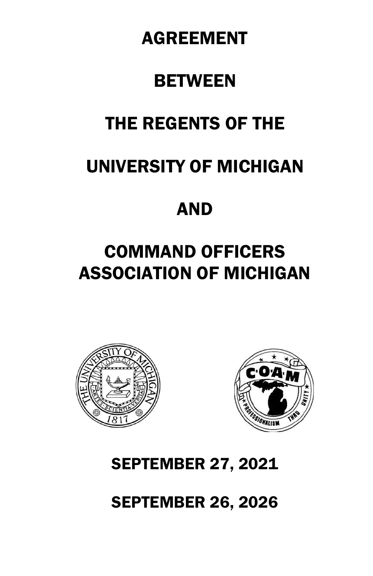# AGREEMENT

# **BETWEEN**

# THE REGENTS OF THE

# UNIVERSITY OF MICHIGAN

# AND

# COMMAND OFFICERS ASSOCIATION OF MICHIGAN





# SEPTEMBER 27, 2021

SEPTEMBER 26, 2026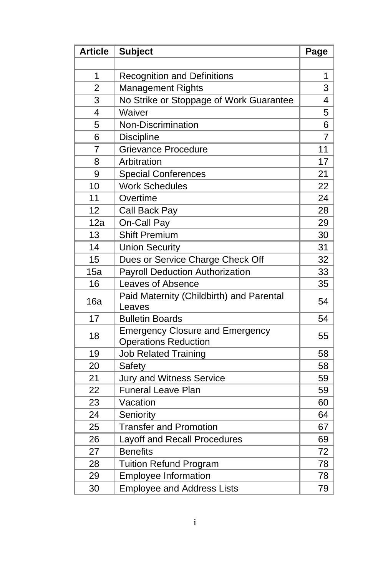| <b>Article</b> | <b>Subject</b>                                                        | Page           |
|----------------|-----------------------------------------------------------------------|----------------|
|                |                                                                       |                |
| 1              | <b>Recognition and Definitions</b>                                    | 1              |
| $\overline{2}$ | Management Rights                                                     | 3              |
| 3              | No Strike or Stoppage of Work Guarantee                               | 4              |
| 4              | Waiver                                                                | 5              |
| 5              | Non-Discrimination                                                    | 6              |
| 6              | <b>Discipline</b>                                                     | $\overline{7}$ |
| $\overline{7}$ | <b>Grievance Procedure</b>                                            | 11             |
| 8              | Arbitration                                                           | 17             |
| 9              | <b>Special Conferences</b>                                            | 21             |
| 10             | <b>Work Schedules</b>                                                 | 22             |
| 11             | Overtime                                                              | 24             |
| 12             | Call Back Pay                                                         | 28             |
| 12a            | On-Call Pay                                                           | 29             |
| 13             | <b>Shift Premium</b>                                                  | 30             |
| 14             | <b>Union Security</b>                                                 | 31             |
| 15             | Dues or Service Charge Check Off                                      | 32             |
| 15a            | <b>Payroll Deduction Authorization</b>                                | 33             |
| 16             | Leaves of Absence                                                     | 35             |
| 16a            | Paid Maternity (Childbirth) and Parental<br>Leaves                    | 54             |
| 17             | <b>Bulletin Boards</b>                                                | 54             |
| 18             | <b>Emergency Closure and Emergency</b><br><b>Operations Reduction</b> | 55             |
| 19             | <b>Job Related Training</b>                                           | 58             |
| 20             | Safety                                                                | 58             |
| 21             | Jury and Witness Service                                              | 59             |
| 22             | <b>Funeral Leave Plan</b>                                             | 59             |
| 23             | Vacation                                                              | 60             |
| 24             | Seniority                                                             | 64             |
| 25             | <b>Transfer and Promotion</b>                                         | 67             |
| 26             | Layoff and Recall Procedures                                          | 69             |
| 27             | <b>Benefits</b>                                                       | 72             |
| 28             | <b>Tuition Refund Program</b>                                         | 78             |
| 29             | <b>Employee Information</b>                                           | 78             |
| 30             | <b>Employee and Address Lists</b>                                     | 79             |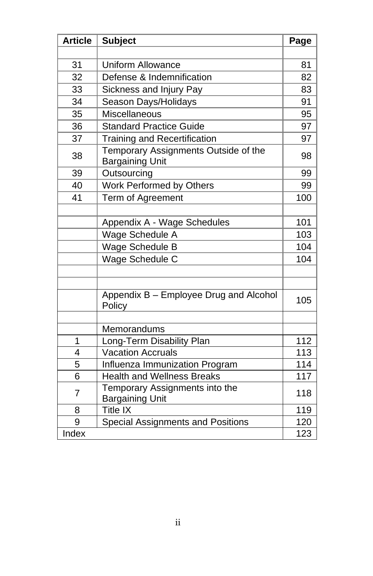| <b>Article</b> | <b>Subject</b>                                                 | Page |
|----------------|----------------------------------------------------------------|------|
|                |                                                                |      |
| 31             | <b>Uniform Allowance</b>                                       | 81   |
| 32             | Defense & Indemnification                                      | 82   |
| 33             | Sickness and Injury Pay                                        | 83   |
| 34             | Season Days/Holidays                                           | 91   |
| 35             | <b>Miscellaneous</b>                                           | 95   |
| 36             | <b>Standard Practice Guide</b>                                 | 97   |
| 37             | <b>Training and Recertification</b>                            | 97   |
| 38             | Temporary Assignments Outside of the<br><b>Bargaining Unit</b> | 98   |
| 39             | Outsourcing                                                    | 99   |
| 40             | Work Performed by Others                                       | 99   |
| 41             | Term of Agreement                                              | 100  |
|                |                                                                |      |
|                | Appendix A - Wage Schedules                                    | 101  |
|                | Wage Schedule A                                                | 103  |
|                | Wage Schedule B                                                | 104  |
|                | Wage Schedule C                                                | 104  |
|                |                                                                |      |
|                |                                                                |      |
|                | Appendix B - Employee Drug and Alcohol<br>Policy               | 105  |
|                |                                                                |      |
|                | Memorandums                                                    |      |
| 1              | Long-Term Disability Plan                                      | 112  |
| 4              | <b>Vacation Accruals</b>                                       | 113  |
| $\overline{5}$ | Influenza Immunization Program                                 | 114  |
| $\overline{6}$ | <b>Health and Wellness Breaks</b>                              | 117  |
| 7              | Temporary Assignments into the<br><b>Bargaining Unit</b>       | 118  |
| 8              | <b>Title IX</b>                                                | 119  |
| 9              | Special Assignments and Positions                              | 120  |
| Index          |                                                                | 123  |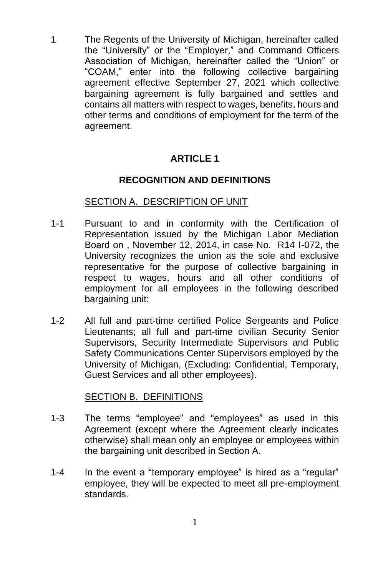1 The Regents of the University of Michigan, hereinafter called the "University" or the "Employer," and Command Officers Association of Michigan, hereinafter called the "Union" or "COAM," enter into the following collective bargaining agreement effective September 27, 2021 which collective bargaining agreement is fully bargained and settles and contains all matters with respect to wages, benefits, hours and other terms and conditions of employment for the term of the agreement.

## **ARTICLE 1**

#### **RECOGNITION AND DEFINITIONS**

#### SECTION A. DESCRIPTION OF UNIT

- 1-1 Pursuant to and in conformity with the Certification of Representation issued by the Michigan Labor Mediation Board on , November 12, 2014, in case No. R14 I-072, the University recognizes the union as the sole and exclusive representative for the purpose of collective bargaining in respect to wages, hours and all other conditions of employment for all employees in the following described bargaining unit:
- 1-2 All full and part-time certified Police Sergeants and Police Lieutenants; all full and part-time civilian Security Senior Supervisors, Security Intermediate Supervisors and Public Safety Communications Center Supervisors employed by the University of Michigan, (Excluding: Confidential, Temporary, Guest Services and all other employees).

#### SECTION B. DEFINITIONS

- 1-3 The terms "employee" and "employees" as used in this Agreement (except where the Agreement clearly indicates otherwise) shall mean only an employee or employees within the bargaining unit described in Section A.
- 1-4 In the event a "temporary employee" is hired as a "regular" employee, they will be expected to meet all pre-employment standards.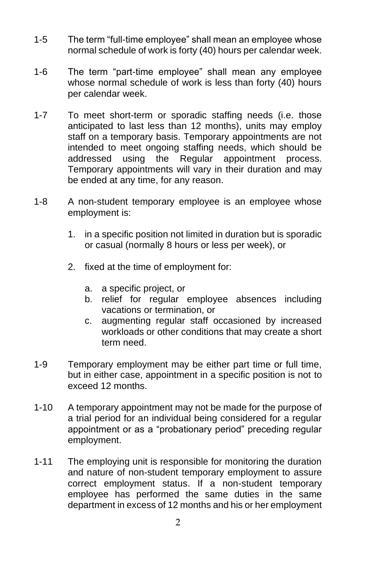- 1-5 The term "full-time employee" shall mean an employee whose normal schedule of work is forty (40) hours per calendar week.
- 1-6 The term "part-time employee" shall mean any employee whose normal schedule of work is less than forty (40) hours per calendar week.
- 1-7 To meet short-term or sporadic staffing needs (i.e. those anticipated to last less than 12 months), units may employ staff on a temporary basis. Temporary appointments are not intended to meet ongoing staffing needs, which should be addressed using the Regular appointment process. Temporary appointments will vary in their duration and may be ended at any time, for any reason.
- 1-8 A non-student temporary employee is an employee whose employment is:
	- 1. in a specific position not limited in duration but is sporadic or casual (normally 8 hours or less per week), or
	- 2. fixed at the time of employment for:
		- a. a specific project, or
		- b. relief for regular employee absences including vacations or termination, or
		- c. augmenting regular staff occasioned by increased workloads or other conditions that may create a short term need.
- 1-9 Temporary employment may be either part time or full time, but in either case, appointment in a specific position is not to exceed 12 months.
- 1-10 A temporary appointment may not be made for the purpose of a trial period for an individual being considered for a regular appointment or as a "probationary period" preceding regular employment.
- 1-11 The employing unit is responsible for monitoring the duration and nature of non-student temporary employment to assure correct employment status. If a non-student temporary employee has performed the same duties in the same department in excess of 12 months and his or her employment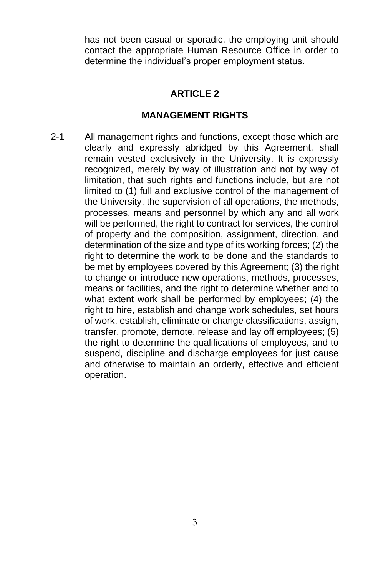has not been casual or sporadic, the employing unit should contact the appropriate Human Resource Office in order to determine the individual's proper employment status.

## **ARTICLE 2**

## **MANAGEMENT RIGHTS**

2-1 All management rights and functions, except those which are clearly and expressly abridged by this Agreement, shall remain vested exclusively in the University. It is expressly recognized, merely by way of illustration and not by way of limitation, that such rights and functions include, but are not limited to (1) full and exclusive control of the management of the University, the supervision of all operations, the methods, processes, means and personnel by which any and all work will be performed, the right to contract for services, the control of property and the composition, assignment, direction, and determination of the size and type of its working forces; (2) the right to determine the work to be done and the standards to be met by employees covered by this Agreement; (3) the right to change or introduce new operations, methods, processes, means or facilities, and the right to determine whether and to what extent work shall be performed by employees; (4) the right to hire, establish and change work schedules, set hours of work, establish, eliminate or change classifications, assign, transfer, promote, demote, release and lay off employees; (5) the right to determine the qualifications of employees, and to suspend, discipline and discharge employees for just cause and otherwise to maintain an orderly, effective and efficient operation.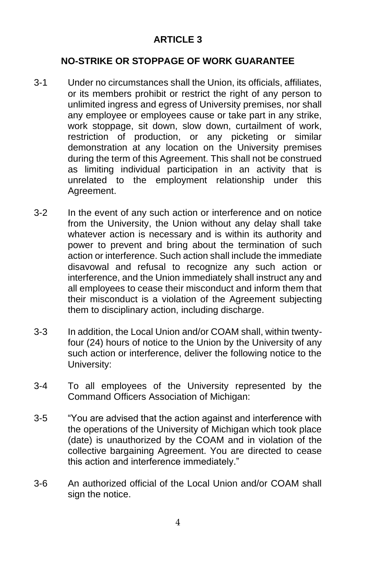# **NO-STRIKE OR STOPPAGE OF WORK GUARANTEE**

- 3-1 Under no circumstances shall the Union, its officials, affiliates, or its members prohibit or restrict the right of any person to unlimited ingress and egress of University premises, nor shall any employee or employees cause or take part in any strike, work stoppage, sit down, slow down, curtailment of work, restriction of production, or any picketing or similar demonstration at any location on the University premises during the term of this Agreement. This shall not be construed as limiting individual participation in an activity that is unrelated to the employment relationship under this Agreement.
- 3-2 In the event of any such action or interference and on notice from the University, the Union without any delay shall take whatever action is necessary and is within its authority and power to prevent and bring about the termination of such action or interference. Such action shall include the immediate disavowal and refusal to recognize any such action or interference, and the Union immediately shall instruct any and all employees to cease their misconduct and inform them that their misconduct is a violation of the Agreement subjecting them to disciplinary action, including discharge.
- 3-3 In addition, the Local Union and/or COAM shall, within twentyfour (24) hours of notice to the Union by the University of any such action or interference, deliver the following notice to the University:
- 3-4 To all employees of the University represented by the Command Officers Association of Michigan:
- 3-5 "You are advised that the action against and interference with the operations of the University of Michigan which took place (date) is unauthorized by the COAM and in violation of the collective bargaining Agreement. You are directed to cease this action and interference immediately."
- 3-6 An authorized official of the Local Union and/or COAM shall sign the notice.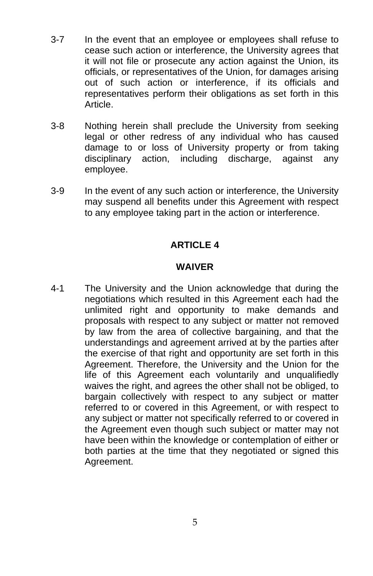- 3-7 In the event that an employee or employees shall refuse to cease such action or interference, the University agrees that it will not file or prosecute any action against the Union, its officials, or representatives of the Union, for damages arising out of such action or interference, if its officials and representatives perform their obligations as set forth in this Article.
- 3-8 Nothing herein shall preclude the University from seeking legal or other redress of any individual who has caused damage to or loss of University property or from taking disciplinary action, including discharge, against any employee.
- 3-9 In the event of any such action or interference, the University may suspend all benefits under this Agreement with respect to any employee taking part in the action or interference.

#### **WAIVER**

4-1 The University and the Union acknowledge that during the negotiations which resulted in this Agreement each had the unlimited right and opportunity to make demands and proposals with respect to any subject or matter not removed by law from the area of collective bargaining, and that the understandings and agreement arrived at by the parties after the exercise of that right and opportunity are set forth in this Agreement. Therefore, the University and the Union for the life of this Agreement each voluntarily and unqualifiedly waives the right, and agrees the other shall not be obliged, to bargain collectively with respect to any subject or matter referred to or covered in this Agreement, or with respect to any subject or matter not specifically referred to or covered in the Agreement even though such subject or matter may not have been within the knowledge or contemplation of either or both parties at the time that they negotiated or signed this Agreement.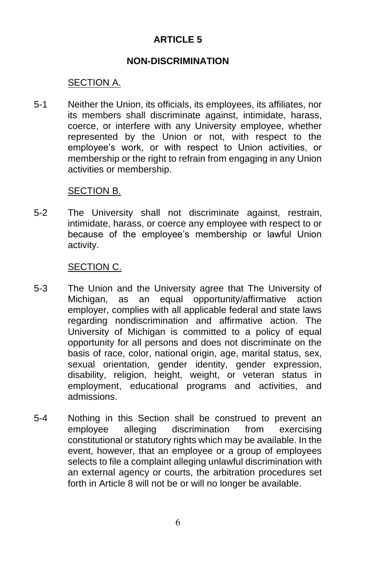#### **NON-DISCRIMINATION**

## SECTION A.

5-1 Neither the Union, its officials, its employees, its affiliates, nor its members shall discriminate against, intimidate, harass, coerce, or interfere with any University employee, whether represented by the Union or not, with respect to the employee's work, or with respect to Union activities, or membership or the right to refrain from engaging in any Union activities or membership.

#### SECTION B.

5-2 The University shall not discriminate against, restrain, intimidate, harass, or coerce any employee with respect to or because of the employee's membership or lawful Union activity.

#### SECTION C.

- 5-3 The Union and the University agree that The University of Michigan, as an equal opportunity/affirmative action employer, complies with all applicable federal and state laws regarding nondiscrimination and affirmative action. The University of Michigan is committed to a policy of equal opportunity for all persons and does not discriminate on the basis of race, color, national origin, age, marital status, sex, sexual orientation, gender identity, gender expression, disability, religion, height, weight, or veteran status in employment, educational programs and activities, and admissions.
- 5-4 Nothing in this Section shall be construed to prevent an employee alleging discrimination from exercising constitutional or statutory rights which may be available. In the event, however, that an employee or a group of employees selects to file a complaint alleging unlawful discrimination with an external agency or courts, the arbitration procedures set forth in Article 8 will not be or will no longer be available.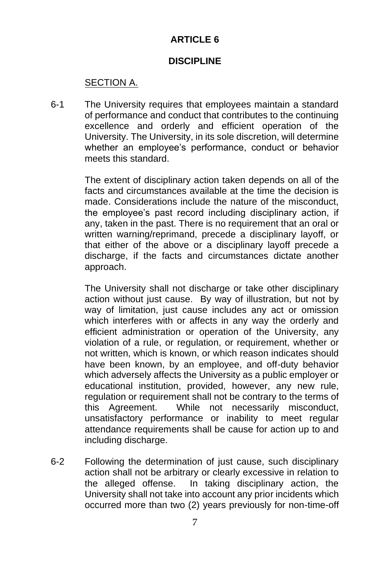## **DISCIPLINE**

# SECTION A.

6-1 The University requires that employees maintain a standard of performance and conduct that contributes to the continuing excellence and orderly and efficient operation of the University. The University, in its sole discretion, will determine whether an employee's performance, conduct or behavior meets this standard.

> The extent of disciplinary action taken depends on all of the facts and circumstances available at the time the decision is made. Considerations include the nature of the misconduct, the employee's past record including disciplinary action, if any, taken in the past. There is no requirement that an oral or written warning/reprimand, precede a disciplinary layoff, or that either of the above or a disciplinary layoff precede a discharge, if the facts and circumstances dictate another approach.

> The University shall not discharge or take other disciplinary action without just cause. By way of illustration, but not by way of limitation, just cause includes any act or omission which interferes with or affects in any way the orderly and efficient administration or operation of the University, any violation of a rule, or regulation, or requirement, whether or not written, which is known, or which reason indicates should have been known, by an employee, and off-duty behavior which adversely affects the University as a public employer or educational institution, provided, however, any new rule, regulation or requirement shall not be contrary to the terms of this Agreement. While not necessarily misconduct, unsatisfactory performance or inability to meet regular attendance requirements shall be cause for action up to and including discharge.

6-2 Following the determination of just cause, such disciplinary action shall not be arbitrary or clearly excessive in relation to the alleged offense. In taking disciplinary action, the University shall not take into account any prior incidents which occurred more than two (2) years previously for non-time-off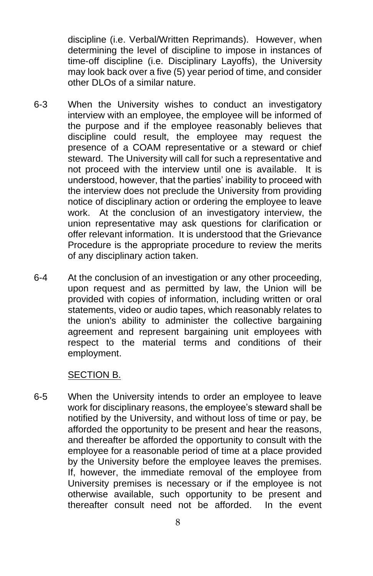discipline (i.e. Verbal/Written Reprimands). However, when determining the level of discipline to impose in instances of time-off discipline (i.e. Disciplinary Layoffs), the University may look back over a five (5) year period of time, and consider other DLOs of a similar nature.

- 6-3 When the University wishes to conduct an investigatory interview with an employee, the employee will be informed of the purpose and if the employee reasonably believes that discipline could result, the employee may request the presence of a COAM representative or a steward or chief steward. The University will call for such a representative and not proceed with the interview until one is available. It is understood, however, that the parties' inability to proceed with the interview does not preclude the University from providing notice of disciplinary action or ordering the employee to leave work. At the conclusion of an investigatory interview, the union representative may ask questions for clarification or offer relevant information. It is understood that the Grievance Procedure is the appropriate procedure to review the merits of any disciplinary action taken.
- 6-4 At the conclusion of an investigation or any other proceeding, upon request and as permitted by law, the Union will be provided with copies of information, including written or oral statements, video or audio tapes, which reasonably relates to the union's ability to administer the collective bargaining agreement and represent bargaining unit employees with respect to the material terms and conditions of their employment.

#### SECTION B.

6-5 When the University intends to order an employee to leave work for disciplinary reasons, the employee's steward shall be notified by the University, and without loss of time or pay, be afforded the opportunity to be present and hear the reasons, and thereafter be afforded the opportunity to consult with the employee for a reasonable period of time at a place provided by the University before the employee leaves the premises. If, however, the immediate removal of the employee from University premises is necessary or if the employee is not otherwise available, such opportunity to be present and thereafter consult need not be afforded. In the event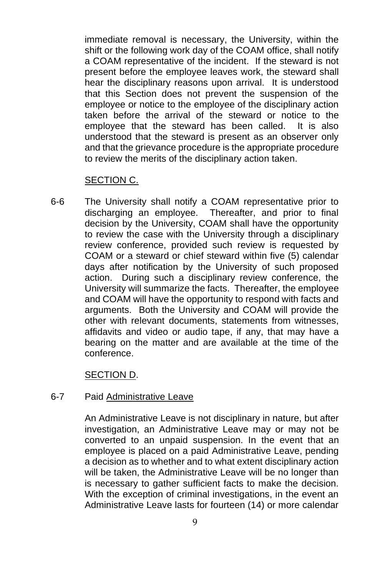immediate removal is necessary, the University, within the shift or the following work day of the COAM office, shall notify a COAM representative of the incident. If the steward is not present before the employee leaves work, the steward shall hear the disciplinary reasons upon arrival. It is understood that this Section does not prevent the suspension of the employee or notice to the employee of the disciplinary action taken before the arrival of the steward or notice to the employee that the steward has been called. It is also understood that the steward is present as an observer only and that the grievance procedure is the appropriate procedure to review the merits of the disciplinary action taken.

## SECTION C.

6-6 The University shall notify a COAM representative prior to discharging an employee. Thereafter, and prior to final decision by the University, COAM shall have the opportunity to review the case with the University through a disciplinary review conference, provided such review is requested by COAM or a steward or chief steward within five (5) calendar days after notification by the University of such proposed action. During such a disciplinary review conference, the University will summarize the facts. Thereafter, the employee and COAM will have the opportunity to respond with facts and arguments. Both the University and COAM will provide the other with relevant documents, statements from witnesses, affidavits and video or audio tape, if any, that may have a bearing on the matter and are available at the time of the conference.

## SECTION D.

#### 6-7 Paid Administrative Leave

An Administrative Leave is not disciplinary in nature, but after investigation, an Administrative Leave may or may not be converted to an unpaid suspension. In the event that an employee is placed on a paid Administrative Leave, pending a decision as to whether and to what extent disciplinary action will be taken, the Administrative Leave will be no longer than is necessary to gather sufficient facts to make the decision. With the exception of criminal investigations, in the event an Administrative Leave lasts for fourteen (14) or more calendar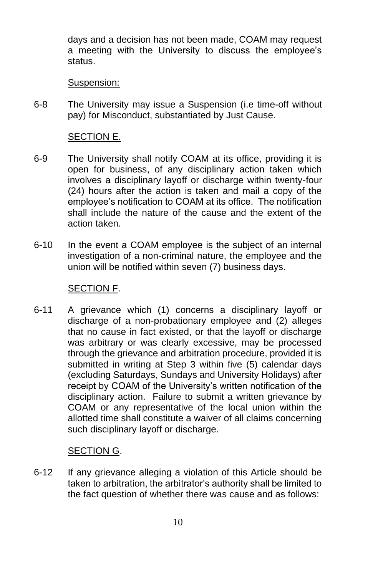days and a decision has not been made, COAM may request a meeting with the University to discuss the employee's status.

Suspension:

6-8 The University may issue a Suspension (i.e time-off without pay) for Misconduct, substantiated by Just Cause.

## SECTION E.

- 6-9 The University shall notify COAM at its office, providing it is open for business, of any disciplinary action taken which involves a disciplinary layoff or discharge within twenty-four (24) hours after the action is taken and mail a copy of the employee's notification to COAM at its office. The notification shall include the nature of the cause and the extent of the action taken.
- 6-10 In the event a COAM employee is the subject of an internal investigation of a non-criminal nature, the employee and the union will be notified within seven (7) business days.

#### SECTION F.

6-11 A grievance which (1) concerns a disciplinary layoff or discharge of a non-probationary employee and (2) alleges that no cause in fact existed, or that the layoff or discharge was arbitrary or was clearly excessive, may be processed through the grievance and arbitration procedure, provided it is submitted in writing at Step 3 within five (5) calendar days (excluding Saturdays, Sundays and University Holidays) after receipt by COAM of the University's written notification of the disciplinary action. Failure to submit a written grievance by COAM or any representative of the local union within the allotted time shall constitute a waiver of all claims concerning such disciplinary layoff or discharge.

## SECTION G.

6-12 If any grievance alleging a violation of this Article should be taken to arbitration, the arbitrator's authority shall be limited to the fact question of whether there was cause and as follows: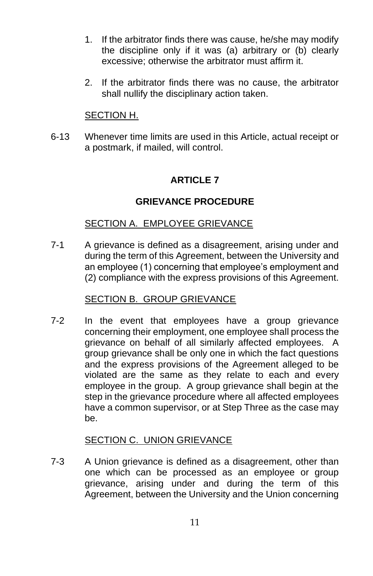- 1. If the arbitrator finds there was cause, he/she may modify the discipline only if it was (a) arbitrary or (b) clearly excessive; otherwise the arbitrator must affirm it.
- 2. If the arbitrator finds there was no cause, the arbitrator shall nullify the disciplinary action taken.

## SECTION H.

6-13 Whenever time limits are used in this Article, actual receipt or a postmark, if mailed, will control.

# **ARTICLE 7**

## **GRIEVANCE PROCEDURE**

## SECTION A. EMPLOYEE GRIEVANCE

7-1 A grievance is defined as a disagreement, arising under and during the term of this Agreement, between the University and an employee (1) concerning that employee's employment and (2) compliance with the express provisions of this Agreement.

## SECTION B. GROUP GRIEVANCE

7-2 In the event that employees have a group grievance concerning their employment, one employee shall process the grievance on behalf of all similarly affected employees. A group grievance shall be only one in which the fact questions and the express provisions of the Agreement alleged to be violated are the same as they relate to each and every employee in the group. A group grievance shall begin at the step in the grievance procedure where all affected employees have a common supervisor, or at Step Three as the case may be.

## SECTION C. UNION GRIEVANCE

7-3 A Union grievance is defined as a disagreement, other than one which can be processed as an employee or group grievance, arising under and during the term of this Agreement, between the University and the Union concerning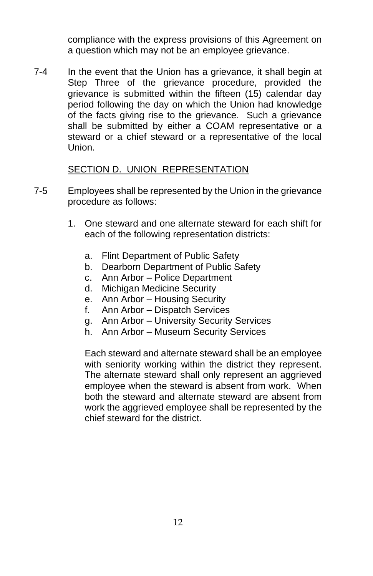compliance with the express provisions of this Agreement on a question which may not be an employee grievance.

7-4 In the event that the Union has a grievance, it shall begin at Step Three of the grievance procedure, provided the grievance is submitted within the fifteen (15) calendar day period following the day on which the Union had knowledge of the facts giving rise to the grievance. Such a grievance shall be submitted by either a COAM representative or a steward or a chief steward or a representative of the local Union.

## SECTION D. UNION REPRESENTATION

- 7-5 Employees shall be represented by the Union in the grievance procedure as follows:
	- 1. One steward and one alternate steward for each shift for each of the following representation districts:
		- a. Flint Department of Public Safety
		- b. Dearborn Department of Public Safety
		- c. Ann Arbor Police Department
		- d. Michigan Medicine Security
		- e. Ann Arbor Housing Security
		- f. Ann Arbor Dispatch Services
		- g. Ann Arbor University Security Services
		- h. Ann Arbor Museum Security Services

Each steward and alternate steward shall be an employee with seniority working within the district they represent. The alternate steward shall only represent an aggrieved employee when the steward is absent from work. When both the steward and alternate steward are absent from work the aggrieved employee shall be represented by the chief steward for the district.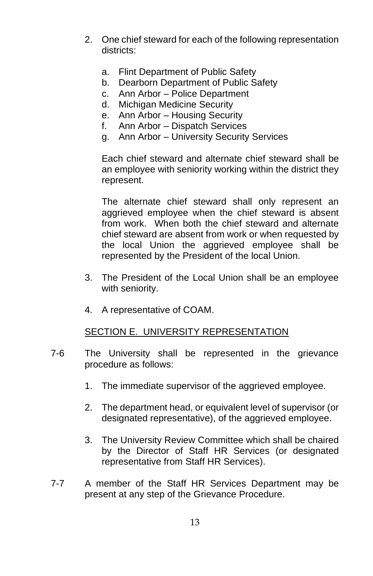- 2. One chief steward for each of the following representation districts:
	- a. Flint Department of Public Safety
	- b. Dearborn Department of Public Safety
	- c. Ann Arbor Police Department
	- d. Michigan Medicine Security
	- e. Ann Arbor Housing Security
	- f. Ann Arbor Dispatch Services
	- g. Ann Arbor University Security Services

Each chief steward and alternate chief steward shall be an employee with seniority working within the district they represent.

The alternate chief steward shall only represent an aggrieved employee when the chief steward is absent from work. When both the chief steward and alternate chief steward are absent from work or when requested by the local Union the aggrieved employee shall be represented by the President of the local Union.

- 3. The President of the Local Union shall be an employee with seniority.
- 4. A representative of COAM.

#### SECTION E. UNIVERSITY REPRESENTATION

- 7-6 The University shall be represented in the grievance procedure as follows:
	- 1. The immediate supervisor of the aggrieved employee.
	- 2. The department head, or equivalent level of supervisor (or designated representative), of the aggrieved employee.
	- 3. The University Review Committee which shall be chaired by the Director of Staff HR Services (or designated representative from Staff HR Services).
- 7-7 A member of the Staff HR Services Department may be present at any step of the Grievance Procedure.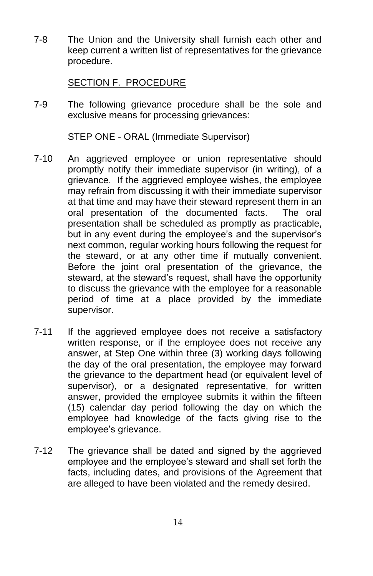7-8 The Union and the University shall furnish each other and keep current a written list of representatives for the grievance procedure.

## SECTION F. PROCEDURE

7-9 The following grievance procedure shall be the sole and exclusive means for processing grievances:

STEP ONE - ORAL (Immediate Supervisor)

- 7-10 An aggrieved employee or union representative should promptly notify their immediate supervisor (in writing), of a grievance. If the aggrieved employee wishes, the employee may refrain from discussing it with their immediate supervisor at that time and may have their steward represent them in an oral presentation of the documented facts. The oral presentation shall be scheduled as promptly as practicable, but in any event during the employee's and the supervisor's next common, regular working hours following the request for the steward, or at any other time if mutually convenient. Before the joint oral presentation of the grievance, the steward, at the steward's request, shall have the opportunity to discuss the grievance with the employee for a reasonable period of time at a place provided by the immediate supervisor.
- 7-11 If the aggrieved employee does not receive a satisfactory written response, or if the employee does not receive any answer, at Step One within three (3) working days following the day of the oral presentation, the employee may forward the grievance to the department head (or equivalent level of supervisor), or a designated representative, for written answer, provided the employee submits it within the fifteen (15) calendar day period following the day on which the employee had knowledge of the facts giving rise to the employee's grievance.
- 7-12 The grievance shall be dated and signed by the aggrieved employee and the employee's steward and shall set forth the facts, including dates, and provisions of the Agreement that are alleged to have been violated and the remedy desired.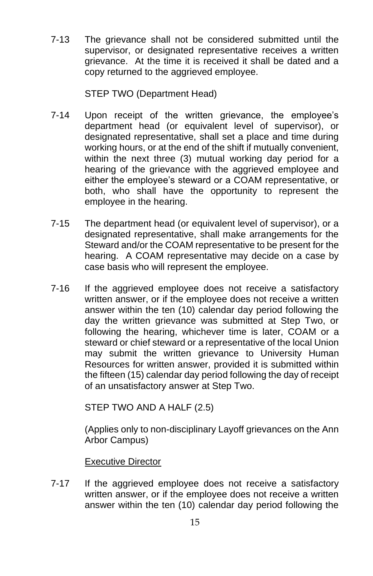7-13 The grievance shall not be considered submitted until the supervisor, or designated representative receives a written grievance. At the time it is received it shall be dated and a copy returned to the aggrieved employee.

## STEP TWO (Department Head)

- 7-14 Upon receipt of the written grievance, the employee's department head (or equivalent level of supervisor), or designated representative, shall set a place and time during working hours, or at the end of the shift if mutually convenient, within the next three (3) mutual working day period for a hearing of the grievance with the aggrieved employee and either the employee's steward or a COAM representative, or both, who shall have the opportunity to represent the employee in the hearing.
- 7-15 The department head (or equivalent level of supervisor), or a designated representative, shall make arrangements for the Steward and/or the COAM representative to be present for the hearing. A COAM representative may decide on a case by case basis who will represent the employee.
- 7-16 If the aggrieved employee does not receive a satisfactory written answer, or if the employee does not receive a written answer within the ten (10) calendar day period following the day the written grievance was submitted at Step Two, or following the hearing, whichever time is later, COAM or a steward or chief steward or a representative of the local Union may submit the written grievance to University Human Resources for written answer, provided it is submitted within the fifteen (15) calendar day period following the day of receipt of an unsatisfactory answer at Step Two.

STEP TWO AND A HALF (2.5)

(Applies only to non-disciplinary Layoff grievances on the Ann Arbor Campus)

Executive Director

7-17 If the aggrieved employee does not receive a satisfactory written answer, or if the employee does not receive a written answer within the ten (10) calendar day period following the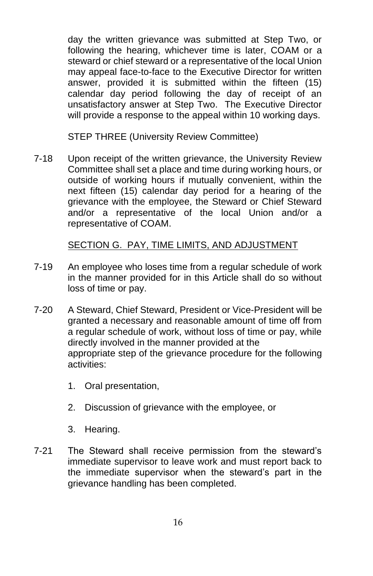day the written grievance was submitted at Step Two, or following the hearing, whichever time is later, COAM or a steward or chief steward or a representative of the local Union may appeal face-to-face to the Executive Director for written answer, provided it is submitted within the fifteen (15) calendar day period following the day of receipt of an unsatisfactory answer at Step Two. The Executive Director will provide a response to the appeal within 10 working days.

STEP THREE (University Review Committee)

7-18 Upon receipt of the written grievance, the University Review Committee shall set a place and time during working hours, or outside of working hours if mutually convenient, within the next fifteen (15) calendar day period for a hearing of the grievance with the employee, the Steward or Chief Steward and/or a representative of the local Union and/or a representative of COAM.

# SECTION G. PAY, TIME LIMITS, AND ADJUSTMENT

- 7-19 An employee who loses time from a regular schedule of work in the manner provided for in this Article shall do so without loss of time or pay.
- 7-20 A Steward, Chief Steward, President or Vice-President will be granted a necessary and reasonable amount of time off from a regular schedule of work, without loss of time or pay, while directly involved in the manner provided at the appropriate step of the grievance procedure for the following activities:
	- 1. Oral presentation,
	- 2. Discussion of grievance with the employee, or
	- 3. Hearing.
- 7-21 The Steward shall receive permission from the steward's immediate supervisor to leave work and must report back to the immediate supervisor when the steward's part in the grievance handling has been completed.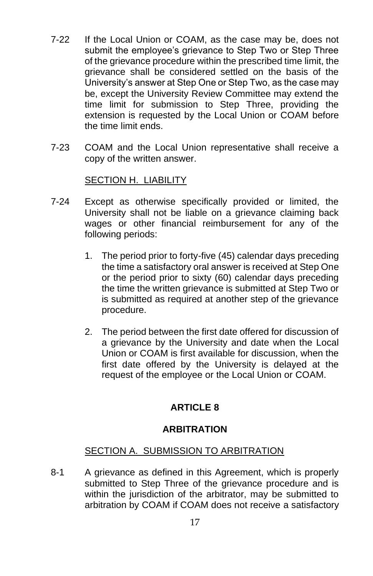- 7-22 If the Local Union or COAM, as the case may be, does not submit the employee's grievance to Step Two or Step Three of the grievance procedure within the prescribed time limit, the grievance shall be considered settled on the basis of the University's answer at Step One or Step Two, as the case may be, except the University Review Committee may extend the time limit for submission to Step Three, providing the extension is requested by the Local Union or COAM before the time limit ends.
- 7-23 COAM and the Local Union representative shall receive a copy of the written answer.

#### SECTION H. LIABILITY

- 7-24 Except as otherwise specifically provided or limited, the University shall not be liable on a grievance claiming back wages or other financial reimbursement for any of the following periods:
	- 1. The period prior to forty-five (45) calendar days preceding the time a satisfactory oral answer is received at Step One or the period prior to sixty (60) calendar days preceding the time the written grievance is submitted at Step Two or is submitted as required at another step of the grievance procedure.
	- 2. The period between the first date offered for discussion of a grievance by the University and date when the Local Union or COAM is first available for discussion, when the first date offered by the University is delayed at the request of the employee or the Local Union or COAM.

## **ARTICLE 8**

#### **ARBITRATION**

#### SECTION A. SUBMISSION TO ARBITRATION

8-1 A grievance as defined in this Agreement, which is properly submitted to Step Three of the grievance procedure and is within the jurisdiction of the arbitrator, may be submitted to arbitration by COAM if COAM does not receive a satisfactory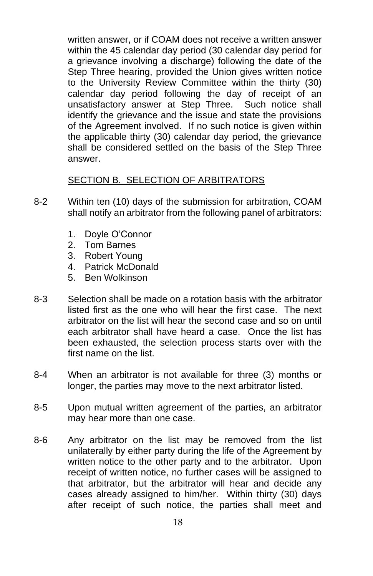written answer, or if COAM does not receive a written answer within the 45 calendar day period (30 calendar day period for a grievance involving a discharge) following the date of the Step Three hearing, provided the Union gives written notice to the University Review Committee within the thirty (30) calendar day period following the day of receipt of an unsatisfactory answer at Step Three. Such notice shall identify the grievance and the issue and state the provisions of the Agreement involved. If no such notice is given within the applicable thirty (30) calendar day period, the grievance shall be considered settled on the basis of the Step Three answer.

## SECTION B. SELECTION OF ARBITRATORS

- 8-2 Within ten (10) days of the submission for arbitration, COAM shall notify an arbitrator from the following panel of arbitrators:
	- 1. Doyle O'Connor
	- 2. Tom Barnes
	- 3. Robert Young
	- 4. Patrick McDonald
	- 5. Ben Wolkinson
- 8-3 Selection shall be made on a rotation basis with the arbitrator listed first as the one who will hear the first case. The next arbitrator on the list will hear the second case and so on until each arbitrator shall have heard a case. Once the list has been exhausted, the selection process starts over with the first name on the list.
- 8-4 When an arbitrator is not available for three (3) months or longer, the parties may move to the next arbitrator listed.
- 8-5 Upon mutual written agreement of the parties, an arbitrator may hear more than one case.
- 8-6 Any arbitrator on the list may be removed from the list unilaterally by either party during the life of the Agreement by written notice to the other party and to the arbitrator. Upon receipt of written notice, no further cases will be assigned to that arbitrator, but the arbitrator will hear and decide any cases already assigned to him/her. Within thirty (30) days after receipt of such notice, the parties shall meet and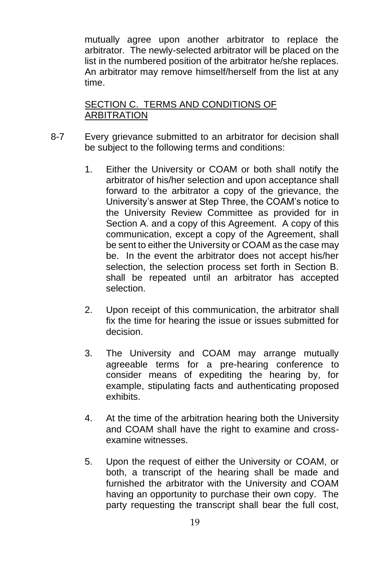mutually agree upon another arbitrator to replace the arbitrator. The newly-selected arbitrator will be placed on the list in the numbered position of the arbitrator he/she replaces. An arbitrator may remove himself/herself from the list at any time.

## SECTION C. TERMS AND CONDITIONS OF ARBITRATION

- 8-7 Every grievance submitted to an arbitrator for decision shall be subject to the following terms and conditions:
	- 1. Either the University or COAM or both shall notify the arbitrator of his/her selection and upon acceptance shall forward to the arbitrator a copy of the grievance, the University's answer at Step Three, the COAM's notice to the University Review Committee as provided for in Section A. and a copy of this Agreement. A copy of this communication, except a copy of the Agreement, shall be sent to either the University or COAM as the case may be. In the event the arbitrator does not accept his/her selection, the selection process set forth in Section B. shall be repeated until an arbitrator has accepted selection.
	- 2. Upon receipt of this communication, the arbitrator shall fix the time for hearing the issue or issues submitted for decision.
	- 3. The University and COAM may arrange mutually agreeable terms for a pre-hearing conference to consider means of expediting the hearing by, for example, stipulating facts and authenticating proposed exhibits.
	- 4. At the time of the arbitration hearing both the University and COAM shall have the right to examine and crossexamine witnesses.
	- 5. Upon the request of either the University or COAM, or both, a transcript of the hearing shall be made and furnished the arbitrator with the University and COAM having an opportunity to purchase their own copy. The party requesting the transcript shall bear the full cost,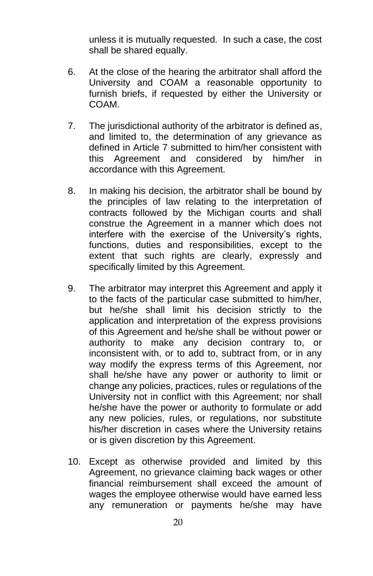unless it is mutually requested. In such a case, the cost shall be shared equally.

- 6. At the close of the hearing the arbitrator shall afford the University and COAM a reasonable opportunity to furnish briefs, if requested by either the University or COAM.
- 7. The jurisdictional authority of the arbitrator is defined as, and limited to, the determination of any grievance as defined in Article 7 submitted to him/her consistent with this Agreement and considered by him/her in accordance with this Agreement.
- 8. In making his decision, the arbitrator shall be bound by the principles of law relating to the interpretation of contracts followed by the Michigan courts and shall construe the Agreement in a manner which does not interfere with the exercise of the University's rights, functions, duties and responsibilities, except to the extent that such rights are clearly, expressly and specifically limited by this Agreement.
- 9. The arbitrator may interpret this Agreement and apply it to the facts of the particular case submitted to him/her, but he/she shall limit his decision strictly to the application and interpretation of the express provisions of this Agreement and he/she shall be without power or authority to make any decision contrary to, or inconsistent with, or to add to, subtract from, or in any way modify the express terms of this Agreement, nor shall he/she have any power or authority to limit or change any policies, practices, rules or regulations of the University not in conflict with this Agreement; nor shall he/she have the power or authority to formulate or add any new policies, rules, or regulations, nor substitute his/her discretion in cases where the University retains or is given discretion by this Agreement.
- 10. Except as otherwise provided and limited by this Agreement, no grievance claiming back wages or other financial reimbursement shall exceed the amount of wages the employee otherwise would have earned less any remuneration or payments he/she may have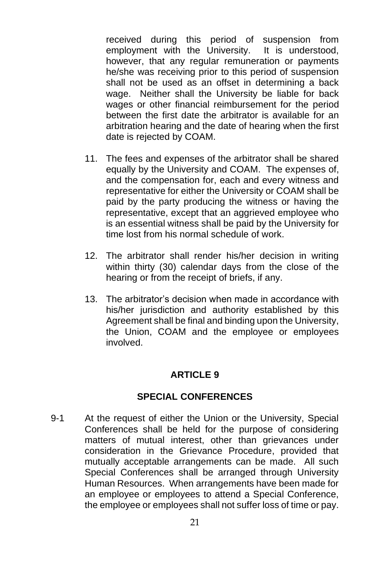received during this period of suspension from employment with the University. It is understood, however, that any regular remuneration or payments he/she was receiving prior to this period of suspension shall not be used as an offset in determining a back wage. Neither shall the University be liable for back wages or other financial reimbursement for the period between the first date the arbitrator is available for an arbitration hearing and the date of hearing when the first date is rejected by COAM.

- 11. The fees and expenses of the arbitrator shall be shared equally by the University and COAM. The expenses of, and the compensation for, each and every witness and representative for either the University or COAM shall be paid by the party producing the witness or having the representative, except that an aggrieved employee who is an essential witness shall be paid by the University for time lost from his normal schedule of work.
- 12. The arbitrator shall render his/her decision in writing within thirty (30) calendar days from the close of the hearing or from the receipt of briefs, if any.
- 13. The arbitrator's decision when made in accordance with his/her jurisdiction and authority established by this Agreement shall be final and binding upon the University, the Union, COAM and the employee or employees involved.

#### **ARTICLE 9**

#### **SPECIAL CONFERENCES**

9-1 At the request of either the Union or the University, Special Conferences shall be held for the purpose of considering matters of mutual interest, other than grievances under consideration in the Grievance Procedure, provided that mutually acceptable arrangements can be made. All such Special Conferences shall be arranged through University Human Resources. When arrangements have been made for an employee or employees to attend a Special Conference, the employee or employees shall not suffer loss of time or pay.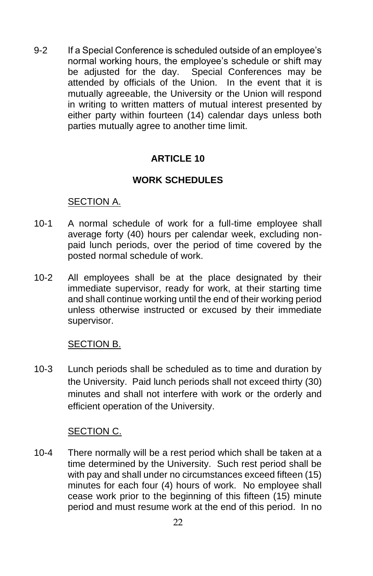9-2 If a Special Conference is scheduled outside of an employee's normal working hours, the employee's schedule or shift may be adjusted for the day. Special Conferences may be attended by officials of the Union. In the event that it is mutually agreeable, the University or the Union will respond in writing to written matters of mutual interest presented by either party within fourteen (14) calendar days unless both parties mutually agree to another time limit.

# **ARTICLE 10**

## **WORK SCHEDULES**

#### SECTION A.

- 10-1 A normal schedule of work for a full-time employee shall average forty (40) hours per calendar week, excluding nonpaid lunch periods, over the period of time covered by the posted normal schedule of work.
- 10-2 All employees shall be at the place designated by their immediate supervisor, ready for work, at their starting time and shall continue working until the end of their working period unless otherwise instructed or excused by their immediate supervisor.

#### SECTION B.

10-3 Lunch periods shall be scheduled as to time and duration by the University. Paid lunch periods shall not exceed thirty (30) minutes and shall not interfere with work or the orderly and efficient operation of the University.

#### SECTION C.

10-4 There normally will be a rest period which shall be taken at a time determined by the University. Such rest period shall be with pay and shall under no circumstances exceed fifteen (15) minutes for each four (4) hours of work. No employee shall cease work prior to the beginning of this fifteen (15) minute period and must resume work at the end of this period. In no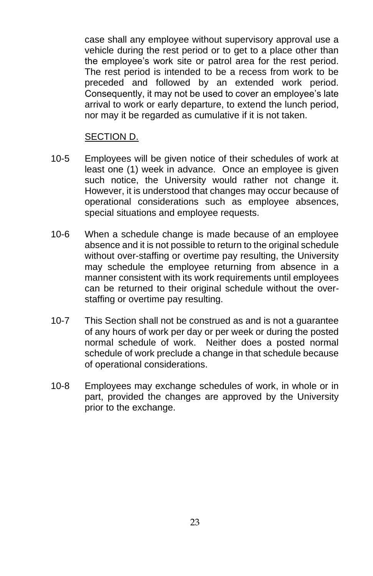case shall any employee without supervisory approval use a vehicle during the rest period or to get to a place other than the employee's work site or patrol area for the rest period. The rest period is intended to be a recess from work to be preceded and followed by an extended work period. Consequently, it may not be used to cover an employee's late arrival to work or early departure, to extend the lunch period, nor may it be regarded as cumulative if it is not taken.

#### SECTION D.

- 10-5 Employees will be given notice of their schedules of work at least one (1) week in advance. Once an employee is given such notice, the University would rather not change it. However, it is understood that changes may occur because of operational considerations such as employee absences, special situations and employee requests.
- 10-6 When a schedule change is made because of an employee absence and it is not possible to return to the original schedule without over-staffing or overtime pay resulting, the University may schedule the employee returning from absence in a manner consistent with its work requirements until employees can be returned to their original schedule without the overstaffing or overtime pay resulting.
- 10-7 This Section shall not be construed as and is not a guarantee of any hours of work per day or per week or during the posted normal schedule of work. Neither does a posted normal schedule of work preclude a change in that schedule because of operational considerations.
- 10-8 Employees may exchange schedules of work, in whole or in part, provided the changes are approved by the University prior to the exchange.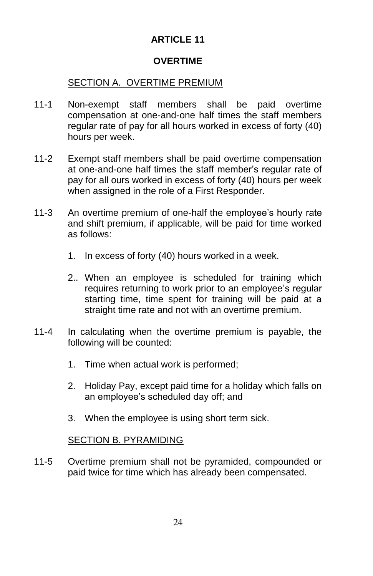## **OVERTIME**

## SECTION A. OVERTIME PREMIUM

- 11-1 Non-exempt staff members shall be paid overtime compensation at one-and-one half times the staff members regular rate of pay for all hours worked in excess of forty (40) hours per week.
- 11-2 Exempt staff members shall be paid overtime compensation at one-and-one half times the staff member's regular rate of pay for all ours worked in excess of forty (40) hours per week when assigned in the role of a First Responder.
- 11-3 An overtime premium of one-half the employee's hourly rate and shift premium, if applicable, will be paid for time worked as follows:
	- 1. In excess of forty (40) hours worked in a week.
	- 2.. When an employee is scheduled for training which requires returning to work prior to an employee's regular starting time, time spent for training will be paid at a straight time rate and not with an overtime premium.
- 11-4 In calculating when the overtime premium is payable, the following will be counted:
	- 1. Time when actual work is performed;
	- 2. Holiday Pay, except paid time for a holiday which falls on an employee's scheduled day off; and
	- 3. When the employee is using short term sick.

#### SECTION B. PYRAMIDING

11-5 Overtime premium shall not be pyramided, compounded or paid twice for time which has already been compensated.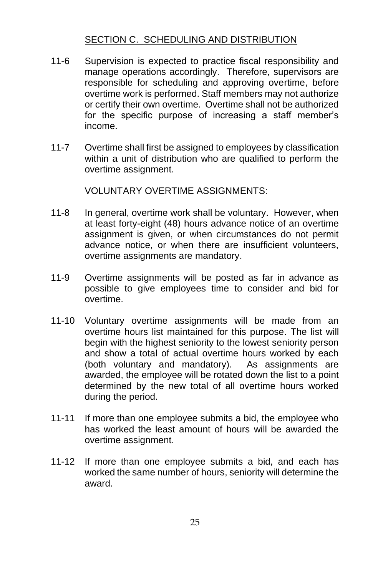# SECTION C. SCHEDULING AND DISTRIBUTION

- 11-6 Supervision is expected to practice fiscal responsibility and manage operations accordingly. Therefore, supervisors are responsible for scheduling and approving overtime, before overtime work is performed. Staff members may not authorize or certify their own overtime. Overtime shall not be authorized for the specific purpose of increasing a staff member's income.
- 11-7 Overtime shall first be assigned to employees by classification within a unit of distribution who are qualified to perform the overtime assignment.

VOLUNTARY OVERTIME ASSIGNMENTS:

- 11-8 In general, overtime work shall be voluntary. However, when at least forty-eight (48) hours advance notice of an overtime assignment is given, or when circumstances do not permit advance notice, or when there are insufficient volunteers, overtime assignments are mandatory.
- 11-9 Overtime assignments will be posted as far in advance as possible to give employees time to consider and bid for overtime.
- 11-10 Voluntary overtime assignments will be made from an overtime hours list maintained for this purpose. The list will begin with the highest seniority to the lowest seniority person and show a total of actual overtime hours worked by each (both voluntary and mandatory). As assignments are awarded, the employee will be rotated down the list to a point determined by the new total of all overtime hours worked during the period.
- 11-11 If more than one employee submits a bid, the employee who has worked the least amount of hours will be awarded the overtime assignment.
- 11-12 If more than one employee submits a bid, and each has worked the same number of hours, seniority will determine the award.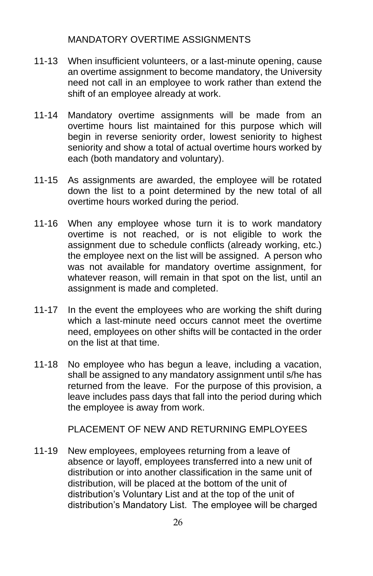## MANDATORY OVERTIME ASSIGNMENTS

- 11-13 When insufficient volunteers, or a last-minute opening, cause an overtime assignment to become mandatory, the University need not call in an employee to work rather than extend the shift of an employee already at work.
- 11-14 Mandatory overtime assignments will be made from an overtime hours list maintained for this purpose which will begin in reverse seniority order, lowest seniority to highest seniority and show a total of actual overtime hours worked by each (both mandatory and voluntary).
- 11-15 As assignments are awarded, the employee will be rotated down the list to a point determined by the new total of all overtime hours worked during the period.
- 11-16 When any employee whose turn it is to work mandatory overtime is not reached, or is not eligible to work the assignment due to schedule conflicts (already working, etc.) the employee next on the list will be assigned. A person who was not available for mandatory overtime assignment, for whatever reason, will remain in that spot on the list, until an assignment is made and completed.
- 11-17 In the event the employees who are working the shift during which a last-minute need occurs cannot meet the overtime need, employees on other shifts will be contacted in the order on the list at that time.
- 11-18 No employee who has begun a leave, including a vacation, shall be assigned to any mandatory assignment until s/he has returned from the leave. For the purpose of this provision, a leave includes pass days that fall into the period during which the employee is away from work.

PLACEMENT OF NEW AND RETURNING EMPLOYEES

11-19 New employees, employees returning from a leave of absence or layoff, employees transferred into a new unit of distribution or into another classification in the same unit of distribution, will be placed at the bottom of the unit of distribution's Voluntary List and at the top of the unit of distribution's Mandatory List. The employee will be charged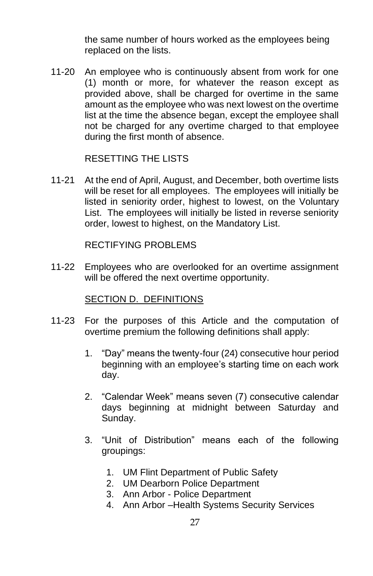the same number of hours worked as the employees being replaced on the lists.

11-20 An employee who is continuously absent from work for one (1) month or more, for whatever the reason except as provided above, shall be charged for overtime in the same amount as the employee who was next lowest on the overtime list at the time the absence began, except the employee shall not be charged for any overtime charged to that employee during the first month of absence.

#### RESETTING THE LISTS

11-21 At the end of April, August, and December, both overtime lists will be reset for all employees. The employees will initially be listed in seniority order, highest to lowest, on the Voluntary List. The employees will initially be listed in reverse seniority order, lowest to highest, on the Mandatory List.

#### RECTIFYING PROBLEMS

11-22 Employees who are overlooked for an overtime assignment will be offered the next overtime opportunity.

#### SECTION D. DEFINITIONS

- 11-23 For the purposes of this Article and the computation of overtime premium the following definitions shall apply:
	- 1. "Day" means the twenty-four (24) consecutive hour period beginning with an employee's starting time on each work day.
	- 2. "Calendar Week" means seven (7) consecutive calendar days beginning at midnight between Saturday and Sunday.
	- 3. "Unit of Distribution" means each of the following groupings:
		- 1. UM Flint Department of Public Safety
		- 2. UM Dearborn Police Department
		- 3. Ann Arbor Police Department
		- 4. Ann Arbor –Health Systems Security Services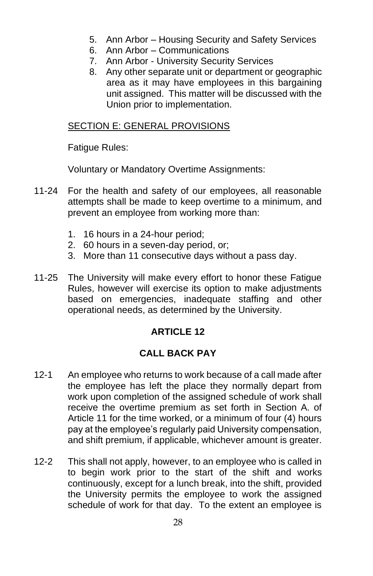- 5. Ann Arbor Housing Security and Safety Services
- 6. Ann Arbor Communications
- 7. Ann Arbor University Security Services
- 8. Any other separate unit or department or geographic area as it may have employees in this bargaining unit assigned. This matter will be discussed with the Union prior to implementation.

## SECTION E: GENERAL PROVISIONS

**Fatique Rules:** 

Voluntary or Mandatory Overtime Assignments:

- 11-24 For the health and safety of our employees, all reasonable attempts shall be made to keep overtime to a minimum, and prevent an employee from working more than:
	- 1. 16 hours in a 24-hour period;
	- 2. 60 hours in a seven-day period, or;
	- 3. More than 11 consecutive days without a pass day.
- 11-25 The University will make every effort to honor these Fatigue Rules, however will exercise its option to make adjustments based on emergencies, inadequate staffing and other operational needs, as determined by the University.

# **ARTICLE 12**

# **CALL BACK PAY**

- 12-1 An employee who returns to work because of a call made after the employee has left the place they normally depart from work upon completion of the assigned schedule of work shall receive the overtime premium as set forth in Section A. of Article 11 for the time worked, or a minimum of four (4) hours pay at the employee's regularly paid University compensation, and shift premium, if applicable, whichever amount is greater.
- 12-2 This shall not apply, however, to an employee who is called in to begin work prior to the start of the shift and works continuously, except for a lunch break, into the shift, provided the University permits the employee to work the assigned schedule of work for that day. To the extent an employee is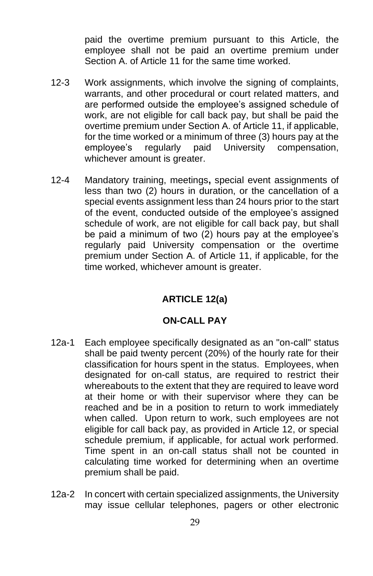paid the overtime premium pursuant to this Article, the employee shall not be paid an overtime premium under Section A. of Article 11 for the same time worked.

- 12-3 Work assignments, which involve the signing of complaints, warrants, and other procedural or court related matters, and are performed outside the employee's assigned schedule of work, are not eligible for call back pay, but shall be paid the overtime premium under Section A. of Article 11, if applicable, for the time worked or a minimum of three (3) hours pay at the employee's regularly paid University compensation, whichever amount is greater.
- 12-4 Mandatory training, meetings**,** special event assignments of less than two (2) hours in duration, or the cancellation of a special events assignment less than 24 hours prior to the start of the event, conducted outside of the employee's assigned schedule of work, are not eligible for call back pay, but shall be paid a minimum of two (2) hours pay at the employee's regularly paid University compensation or the overtime premium under Section A. of Article 11, if applicable, for the time worked, whichever amount is greater.

#### **ARTICLE 12(a)**

#### **ON-CALL PAY**

- 12a-1 Each employee specifically designated as an "on-call" status shall be paid twenty percent (20%) of the hourly rate for their classification for hours spent in the status. Employees, when designated for on-call status, are required to restrict their whereabouts to the extent that they are required to leave word at their home or with their supervisor where they can be reached and be in a position to return to work immediately when called. Upon return to work, such employees are not eligible for call back pay, as provided in Article 12, or special schedule premium, if applicable, for actual work performed. Time spent in an on-call status shall not be counted in calculating time worked for determining when an overtime premium shall be paid.
- 12a-2 In concert with certain specialized assignments, the University may issue cellular telephones, pagers or other electronic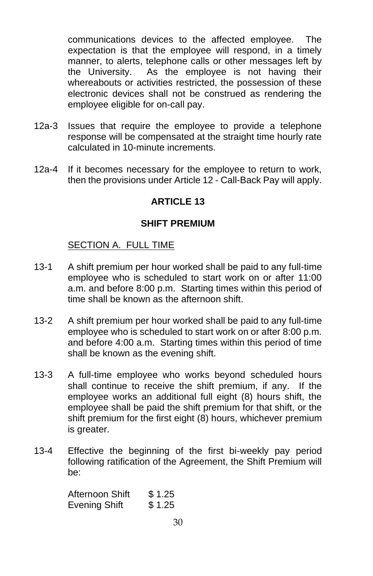communications devices to the affected employee. The expectation is that the employee will respond, in a timely manner, to alerts, telephone calls or other messages left by the University. As the employee is not having their whereabouts or activities restricted, the possession of these electronic devices shall not be construed as rendering the employee eligible for on-call pay.

- 12a-3 Issues that require the employee to provide a telephone response will be compensated at the straight time hourly rate calculated in 10-minute increments.
- 12a-4 If it becomes necessary for the employee to return to work, then the provisions under Article 12 - Call-Back Pay will apply.

## **ARTICLE 13**

#### **SHIFT PREMIUM**

#### SECTION A. FULL TIME

- 13-1 A shift premium per hour worked shall be paid to any full-time employee who is scheduled to start work on or after 11:00 a.m. and before 8:00 p.m. Starting times within this period of time shall be known as the afternoon shift.
- 13-2 A shift premium per hour worked shall be paid to any full-time employee who is scheduled to start work on or after 8:00 p.m. and before 4:00 a.m. Starting times within this period of time shall be known as the evening shift.
- 13-3 A full-time employee who works beyond scheduled hours shall continue to receive the shift premium, if any. If the employee works an additional full eight (8) hours shift, the employee shall be paid the shift premium for that shift, or the shift premium for the first eight (8) hours, whichever premium is greater.
- 13-4 Effective the beginning of the first bi-weekly pay period following ratification of the Agreement, the Shift Premium will be:

Afternoon Shift \$1.25 Evening Shift \$1.25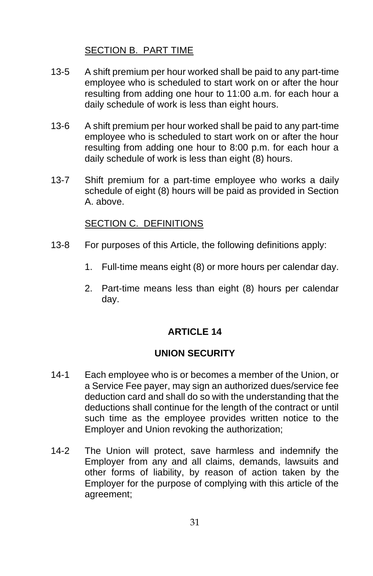## SECTION B. PART TIME

- 13-5 A shift premium per hour worked shall be paid to any part-time employee who is scheduled to start work on or after the hour resulting from adding one hour to 11:00 a.m. for each hour a daily schedule of work is less than eight hours.
- 13-6 A shift premium per hour worked shall be paid to any part-time employee who is scheduled to start work on or after the hour resulting from adding one hour to 8:00 p.m. for each hour a daily schedule of work is less than eight (8) hours.
- 13-7 Shift premium for a part-time employee who works a daily schedule of eight (8) hours will be paid as provided in Section A. above.

## SECTION C. DEFINITIONS

- 13-8 For purposes of this Article, the following definitions apply:
	- 1. Full-time means eight (8) or more hours per calendar day.
	- 2. Part-time means less than eight (8) hours per calendar day.

# **ARTICLE 14**

## **UNION SECURITY**

- 14-1 Each employee who is or becomes a member of the Union, or a Service Fee payer, may sign an authorized dues/service fee deduction card and shall do so with the understanding that the deductions shall continue for the length of the contract or until such time as the employee provides written notice to the Employer and Union revoking the authorization;
- 14-2 The Union will protect, save harmless and indemnify the Employer from any and all claims, demands, lawsuits and other forms of liability, by reason of action taken by the Employer for the purpose of complying with this article of the agreement;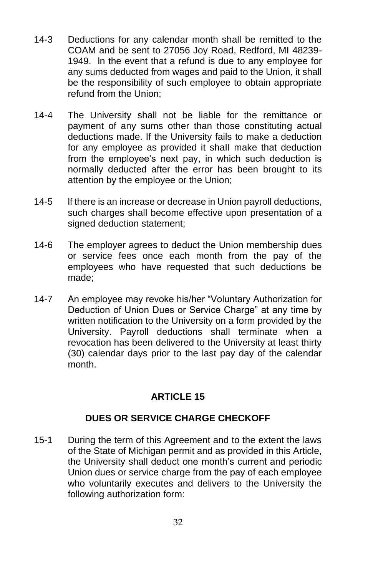- 14-3 Deductions for any calendar month shall be remitted to the COAM and be sent to 27056 Joy Road, Redford, MI 48239- 1949. ln the event that a refund is due to any employee for any sums deducted from wages and paid to the Union, it shall be the responsibility of such employee to obtain appropriate refund from the Union;
- 14-4 The University shall not be liable for the remittance or payment of any sums other than those constituting actual deductions made. If the University fails to make a deduction for any employee as provided it shaII make that deduction from the employee's next pay, in which such deduction is normally deducted after the error has been brought to its attention by the employee or the Union;
- 14-5 lf there is an increase or decrease in Union payroll deductions, such charges shall become effective upon presentation of a signed deduction statement;
- 14-6 The employer agrees to deduct the Union membership dues or service fees once each month from the pay of the employees who have requested that such deductions be made;
- 14-7 An employee may revoke his/her "Voluntary Authorization for Deduction of Union Dues or Service Charge" at any time by written notification to the University on a form provided by the University. Payroll deductions shall terminate when a revocation has been delivered to the University at least thirty (30) calendar days prior to the last pay day of the calendar month.

# **DUES OR SERVICE CHARGE CHECKOFF**

15-1 During the term of this Agreement and to the extent the laws of the State of Michigan permit and as provided in this Article, the University shall deduct one month's current and periodic Union dues or service charge from the pay of each employee who voluntarily executes and delivers to the University the following authorization form: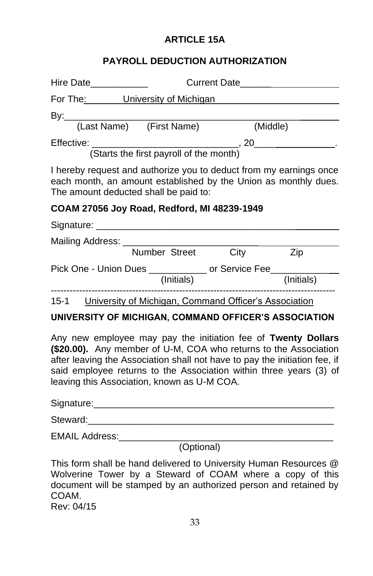# **ARTICLE 15A**

# **PAYROLL DEDUCTION AUTHORIZATION**

| Hire Date_____________                                                                                                                                                         |               |            |      |            |  |
|--------------------------------------------------------------------------------------------------------------------------------------------------------------------------------|---------------|------------|------|------------|--|
| For The: University of Michigan                                                                                                                                                |               |            |      |            |  |
|                                                                                                                                                                                |               |            |      |            |  |
| (Last Name) (First Name)                                                                                                                                                       |               |            |      | (Middle)   |  |
|                                                                                                                                                                                |               |            |      |            |  |
| (Starts the first payroll of the month)                                                                                                                                        |               |            |      |            |  |
| I hereby request and authorize you to deduct from my earnings once<br>each month, an amount established by the Union as monthly dues.<br>The amount deducted shall be paid to: |               |            |      |            |  |
| COAM 27056 Joy Road, Redford, MI 48239-1949                                                                                                                                    |               |            |      |            |  |
|                                                                                                                                                                                |               |            |      |            |  |
| Mailing Address: _____________________                                                                                                                                         |               |            |      |            |  |
|                                                                                                                                                                                | Number Street |            | City | Zip        |  |
| Pick One - Union Dues ______________ or Service Fee______                                                                                                                      |               |            |      |            |  |
|                                                                                                                                                                                |               | (Initials) |      | (Initials) |  |
|                                                                                                                                                                                |               |            |      |            |  |

15-1 University of Michigan, Command Officer's Association

#### **UNIVERSITY OF MICHIGAN, COMMAND OFFICER'S ASSOCIATION**

Any new employee may pay the initiation fee of **Twenty Dollars (\$20.00).** Any member of U-M, COA who returns to the Association after leaving the Association shall not have to pay the initiation fee, if said employee returns to the Association within three years (3) of leaving this Association, known as U-M COA.

| Signature:     |  |
|----------------|--|
| Steward:       |  |
| EMAIL Address: |  |

(Optional)

This form shall be hand delivered to University Human Resources @ Wolverine Tower by a Steward of COAM where a copy of this document will be stamped by an authorized person and retained by COAM.

Rev: 04/15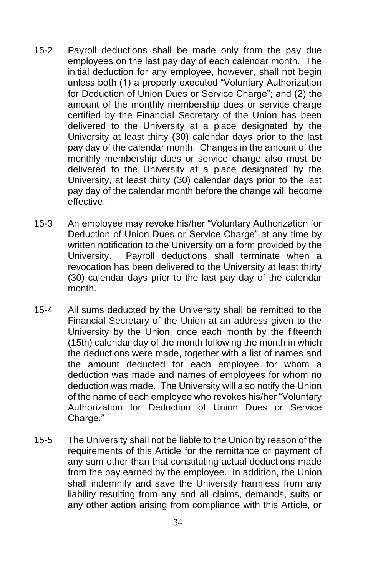- 15-2 Payroll deductions shall be made only from the pay due employees on the last pay day of each calendar month. The initial deduction for any employee, however, shall not begin unless both (1) a properly executed "Voluntary Authorization for Deduction of Union Dues or Service Charge"; and (2) the amount of the monthly membership dues or service charge certified by the Financial Secretary of the Union has been delivered to the University at a place designated by the University at least thirty (30) calendar days prior to the last pay day of the calendar month. Changes in the amount of the monthly membership dues or service charge also must be delivered to the University at a place designated by the University, at least thirty (30) calendar days prior to the last pay day of the calendar month before the change will become effective.
- 15-3 An employee may revoke his/her "Voluntary Authorization for Deduction of Union Dues or Service Charge" at any time by written notification to the University on a form provided by the University. Payroll deductions shall terminate when a revocation has been delivered to the University at least thirty (30) calendar days prior to the last pay day of the calendar month.
- 15-4 All sums deducted by the University shall be remitted to the Financial Secretary of the Union at an address given to the University by the Union, once each month by the fifteenth (15th) calendar day of the month following the month in which the deductions were made, together with a list of names and the amount deducted for each employee for whom a deduction was made and names of employees for whom no deduction was made. The University will also notify the Union of the name of each employee who revokes his/her "Voluntary Authorization for Deduction of Union Dues or Service Charge."
- 15-5 The University shall not be liable to the Union by reason of the requirements of this Article for the remittance or payment of any sum other than that constituting actual deductions made from the pay earned by the employee. In addition, the Union shall indemnify and save the University harmless from any liability resulting from any and all claims, demands, suits or any other action arising from compliance with this Article, or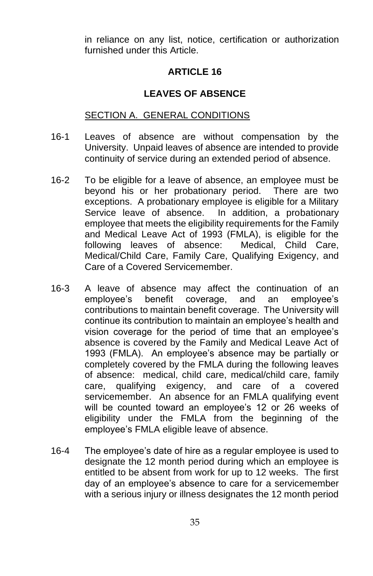in reliance on any list, notice, certification or authorization furnished under this Article.

# **ARTICLE 16**

# **LEAVES OF ABSENCE**

### SECTION A. GENERAL CONDITIONS

- 16-1 Leaves of absence are without compensation by the University. Unpaid leaves of absence are intended to provide continuity of service during an extended period of absence.
- 16-2 To be eligible for a leave of absence, an employee must be beyond his or her probationary period. There are two exceptions. A probationary employee is eligible for a Military Service leave of absence. In addition, a probationary employee that meets the eligibility requirements for the Family and Medical Leave Act of 1993 (FMLA), is eligible for the following leaves of absence: Medical, Child Care, Medical/Child Care, Family Care, Qualifying Exigency, and Care of a Covered Servicemember.
- 16-3 A leave of absence may affect the continuation of an employee's benefit coverage, and an employee's contributions to maintain benefit coverage. The University will continue its contribution to maintain an employee's health and vision coverage for the period of time that an employee's absence is covered by the Family and Medical Leave Act of 1993 (FMLA). An employee's absence may be partially or completely covered by the FMLA during the following leaves of absence: medical, child care, medical/child care, family care, qualifying exigency, and care of a covered servicemember. An absence for an FMLA qualifying event will be counted toward an employee's 12 or 26 weeks of eligibility under the FMLA from the beginning of the employee's FMLA eligible leave of absence.
- 16-4 The employee's date of hire as a regular employee is used to designate the 12 month period during which an employee is entitled to be absent from work for up to 12 weeks. The first day of an employee's absence to care for a servicemember with a serious injury or illness designates the 12 month period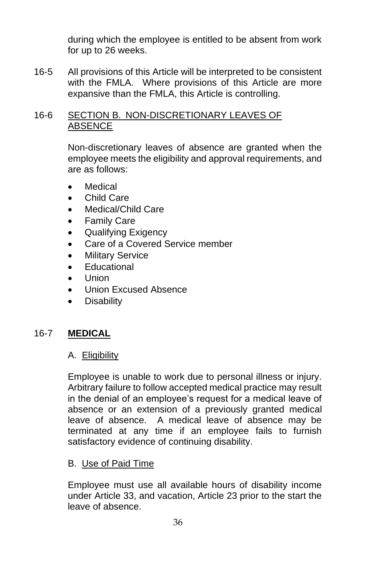during which the employee is entitled to be absent from work for up to 26 weeks.

16-5 All provisions of this Article will be interpreted to be consistent with the FMLA. Where provisions of this Article are more expansive than the FMLA, this Article is controlling.

### 16-6 SECTION B. NON-DISCRETIONARY LEAVES OF ABSENCE

Non-discretionary leaves of absence are granted when the employee meets the eligibility and approval requirements, and are as follows:

- **Medical**
- Child Care
- Medical/Child Care
- **Family Care**
- Qualifying Exigency
- Care of a Covered Service member
- **Military Service**
- Educational
- Union
- Union Excused Absence
- **Disability**

## 16-7 **MEDICAL**

#### A. Eligibility

Employee is unable to work due to personal illness or injury. Arbitrary failure to follow accepted medical practice may result in the denial of an employee's request for a medical leave of absence or an extension of a previously granted medical leave of absence. A medical leave of absence may be terminated at any time if an employee fails to furnish satisfactory evidence of continuing disability.

#### B. Use of Paid Time

Employee must use all available hours of disability income under Article 33, and vacation, Article 23 prior to the start the leave of absence.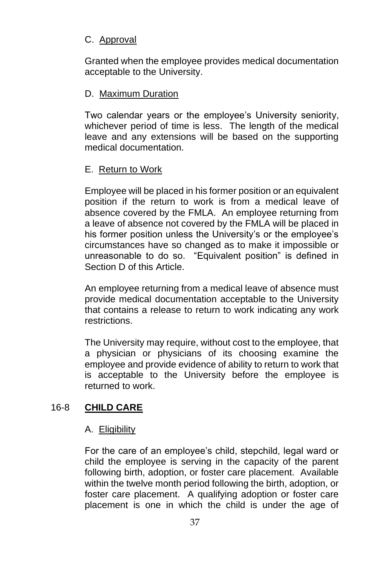# C. Approval

Granted when the employee provides medical documentation acceptable to the University.

## D. Maximum Duration

Two calendar years or the employee's University seniority, whichever period of time is less. The length of the medical leave and any extensions will be based on the supporting medical documentation.

## E. Return to Work

Employee will be placed in his former position or an equivalent position if the return to work is from a medical leave of absence covered by the FMLA. An employee returning from a leave of absence not covered by the FMLA will be placed in his former position unless the University's or the employee's circumstances have so changed as to make it impossible or unreasonable to do so. "Equivalent position" is defined in Section D of this Article.

An employee returning from a medical leave of absence must provide medical documentation acceptable to the University that contains a release to return to work indicating any work restrictions.

The University may require, without cost to the employee, that a physician or physicians of its choosing examine the employee and provide evidence of ability to return to work that is acceptable to the University before the employee is returned to work.

## 16-8 **CHILD CARE**

## A. Eligibility

For the care of an employee's child, stepchild, legal ward or child the employee is serving in the capacity of the parent following birth, adoption, or foster care placement. Available within the twelve month period following the birth, adoption, or foster care placement. A qualifying adoption or foster care placement is one in which the child is under the age of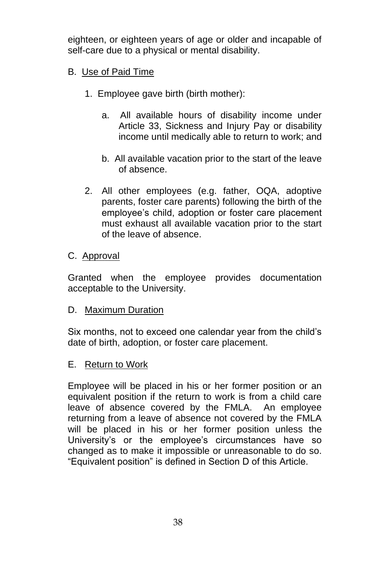eighteen, or eighteen years of age or older and incapable of self-care due to a physical or mental disability.

## B. Use of Paid Time

- 1. Employee gave birth (birth mother):
	- a. All available hours of disability income under Article 33, Sickness and Injury Pay or disability income until medically able to return to work; and
	- b. All available vacation prior to the start of the leave of absence.
- 2. All other employees (e.g. father, OQA, adoptive parents, foster care parents) following the birth of the employee's child, adoption or foster care placement must exhaust all available vacation prior to the start of the leave of absence.

## C. Approval

Granted when the employee provides documentation acceptable to the University.

#### D. Maximum Duration

Six months, not to exceed one calendar year from the child's date of birth, adoption, or foster care placement.

#### E. Return to Work

Employee will be placed in his or her former position or an equivalent position if the return to work is from a child care leave of absence covered by the FMLA. An employee returning from a leave of absence not covered by the FMLA will be placed in his or her former position unless the University's or the employee's circumstances have so changed as to make it impossible or unreasonable to do so. "Equivalent position" is defined in Section D of this Article.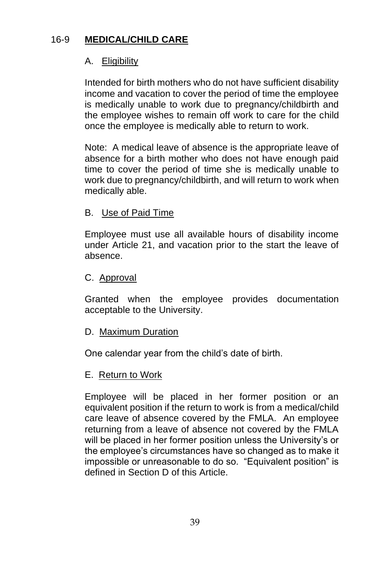# 16-9 **MEDICAL/CHILD CARE**

# A. Eligibility

Intended for birth mothers who do not have sufficient disability income and vacation to cover the period of time the employee is medically unable to work due to pregnancy/childbirth and the employee wishes to remain off work to care for the child once the employee is medically able to return to work.

Note: A medical leave of absence is the appropriate leave of absence for a birth mother who does not have enough paid time to cover the period of time she is medically unable to work due to pregnancy/childbirth, and will return to work when medically able.

## B. Use of Paid Time

Employee must use all available hours of disability income under Article 21, and vacation prior to the start the leave of absence.

## C. Approval

Granted when the employee provides documentation acceptable to the University.

#### D. Maximum Duration

One calendar year from the child's date of birth.

#### E. Return to Work

Employee will be placed in her former position or an equivalent position if the return to work is from a medical/child care leave of absence covered by the FMLA. An employee returning from a leave of absence not covered by the FMLA will be placed in her former position unless the University's or the employee's circumstances have so changed as to make it impossible or unreasonable to do so. "Equivalent position" is defined in Section D of this Article.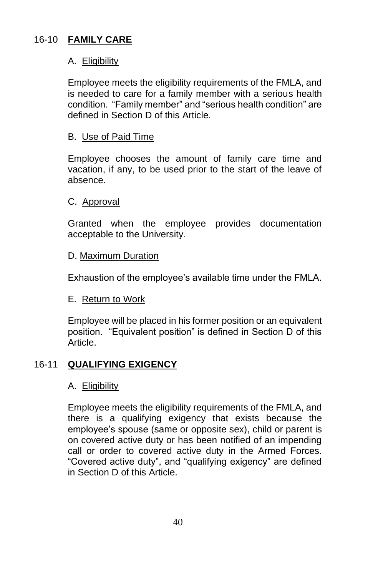# 16-10 **FAMILY CARE**

## A. Eligibility

Employee meets the eligibility requirements of the FMLA, and is needed to care for a family member with a serious health condition. "Family member" and "serious health condition" are defined in Section D of this Article.

## B. Use of Paid Time

Employee chooses the amount of family care time and vacation, if any, to be used prior to the start of the leave of absence.

## C. Approval

Granted when the employee provides documentation acceptable to the University.

#### D. Maximum Duration

Exhaustion of the employee's available time under the FMLA.

## E. Return to Work

Employee will be placed in his former position or an equivalent position. "Equivalent position" is defined in Section D of this Article.

## 16-11 **QUALIFYING EXIGENCY**

#### A. Eligibility

Employee meets the eligibility requirements of the FMLA, and there is a qualifying exigency that exists because the employee's spouse (same or opposite sex), child or parent is on covered active duty or has been notified of an impending call or order to covered active duty in the Armed Forces. "Covered active duty", and "qualifying exigency" are defined in Section D of this Article.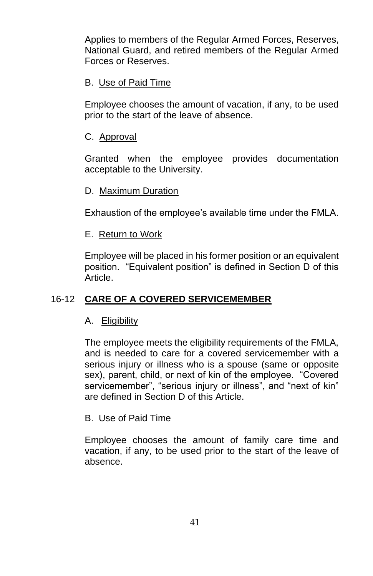Applies to members of the Regular Armed Forces, Reserves, National Guard, and retired members of the Regular Armed Forces or Reserves.

## B. Use of Paid Time

Employee chooses the amount of vacation, if any, to be used prior to the start of the leave of absence.

### C. Approval

Granted when the employee provides documentation acceptable to the University.

## D. Maximum Duration

Exhaustion of the employee's available time under the FMLA.

#### E. Return to Work

Employee will be placed in his former position or an equivalent position. "Equivalent position" is defined in Section D of this Article.

## 16-12 **CARE OF A COVERED SERVICEMEMBER**

## A. Eligibility

The employee meets the eligibility requirements of the FMLA, and is needed to care for a covered servicemember with a serious injury or illness who is a spouse (same or opposite sex), parent, child, or next of kin of the employee. "Covered servicemember", "serious injury or illness", and "next of kin" are defined in Section D of this Article.

#### B. Use of Paid Time

Employee chooses the amount of family care time and vacation, if any, to be used prior to the start of the leave of absence.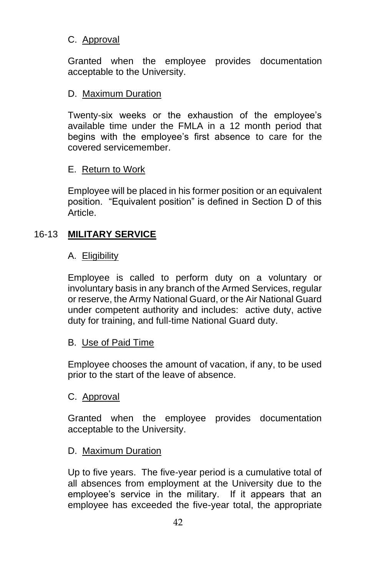# C. Approval

Granted when the employee provides documentation acceptable to the University.

## D. Maximum Duration

Twenty-six weeks or the exhaustion of the employee's available time under the FMLA in a 12 month period that begins with the employee's first absence to care for the covered servicemember.

#### E. Return to Work

Employee will be placed in his former position or an equivalent position. "Equivalent position" is defined in Section D of this Article.

## 16-13 **MILITARY SERVICE**

#### A. Eligibility

Employee is called to perform duty on a voluntary or involuntary basis in any branch of the Armed Services, regular or reserve, the Army National Guard, or the Air National Guard under competent authority and includes: active duty, active duty for training, and full-time National Guard duty.

#### B. Use of Paid Time

Employee chooses the amount of vacation, if any, to be used prior to the start of the leave of absence.

#### C. Approval

Granted when the employee provides documentation acceptable to the University.

#### D. Maximum Duration

Up to five years. The five-year period is a cumulative total of all absences from employment at the University due to the employee's service in the military. If it appears that an employee has exceeded the five-year total, the appropriate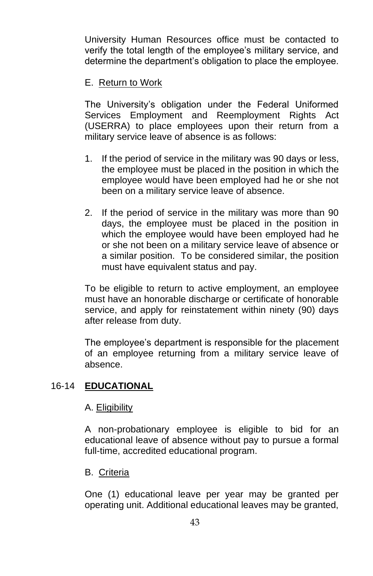University Human Resources office must be contacted to verify the total length of the employee's military service, and determine the department's obligation to place the employee.

## E. Return to Work

The University's obligation under the Federal Uniformed Services Employment and Reemployment Rights Act (USERRA) to place employees upon their return from a military service leave of absence is as follows:

- 1. If the period of service in the military was 90 days or less, the employee must be placed in the position in which the employee would have been employed had he or she not been on a military service leave of absence.
- 2. If the period of service in the military was more than 90 days, the employee must be placed in the position in which the employee would have been employed had he or she not been on a military service leave of absence or a similar position. To be considered similar, the position must have equivalent status and pay.

To be eligible to return to active employment, an employee must have an honorable discharge or certificate of honorable service, and apply for reinstatement within ninety (90) days after release from duty.

The employee's department is responsible for the placement of an employee returning from a military service leave of absence.

#### 16-14 **EDUCATIONAL**

#### A. Eligibility

A non-probationary employee is eligible to bid for an educational leave of absence without pay to pursue a formal full-time, accredited educational program.

#### B. Criteria

One (1) educational leave per year may be granted per operating unit. Additional educational leaves may be granted,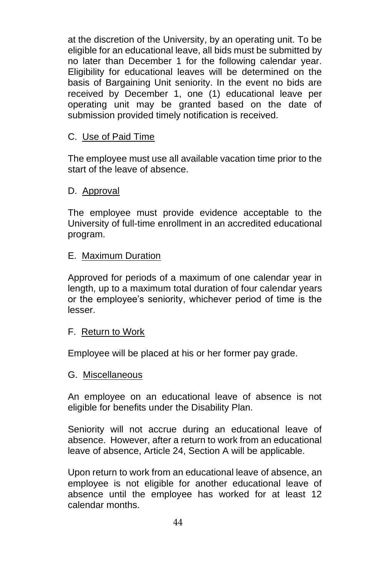at the discretion of the University, by an operating unit. To be eligible for an educational leave, all bids must be submitted by no later than December 1 for the following calendar year. Eligibility for educational leaves will be determined on the basis of Bargaining Unit seniority. In the event no bids are received by December 1, one (1) educational leave per operating unit may be granted based on the date of submission provided timely notification is received.

## C. Use of Paid Time

The employee must use all available vacation time prior to the start of the leave of absence.

## D. Approval

The employee must provide evidence acceptable to the University of full-time enrollment in an accredited educational program.

## E. Maximum Duration

Approved for periods of a maximum of one calendar year in length, up to a maximum total duration of four calendar years or the employee's seniority, whichever period of time is the lesser.

#### F. Return to Work

Employee will be placed at his or her former pay grade.

#### G. Miscellaneous

An employee on an educational leave of absence is not eligible for benefits under the Disability Plan.

Seniority will not accrue during an educational leave of absence. However, after a return to work from an educational leave of absence, Article 24, Section A will be applicable.

Upon return to work from an educational leave of absence, an employee is not eligible for another educational leave of absence until the employee has worked for at least 12 calendar months.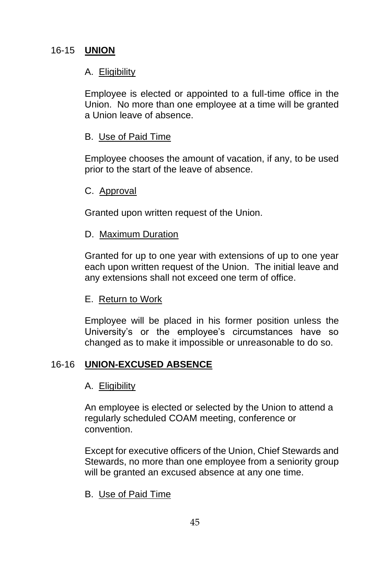# 16-15 **UNION**

# A. Eligibility

Employee is elected or appointed to a full-time office in the Union. No more than one employee at a time will be granted a Union leave of absence.

## B. Use of Paid Time

Employee chooses the amount of vacation, if any, to be used prior to the start of the leave of absence.

#### C. Approval

Granted upon written request of the Union.

#### D. Maximum Duration

Granted for up to one year with extensions of up to one year each upon written request of the Union. The initial leave and any extensions shall not exceed one term of office.

## E. Return to Work

Employee will be placed in his former position unless the University's or the employee's circumstances have so changed as to make it impossible or unreasonable to do so.

## 16-16 **UNION-EXCUSED ABSENCE**

#### A. Eligibility

An employee is elected or selected by the Union to attend a regularly scheduled COAM meeting, conference or convention.

Except for executive officers of the Union, Chief Stewards and Stewards, no more than one employee from a seniority group will be granted an excused absence at any one time.

## B. Use of Paid Time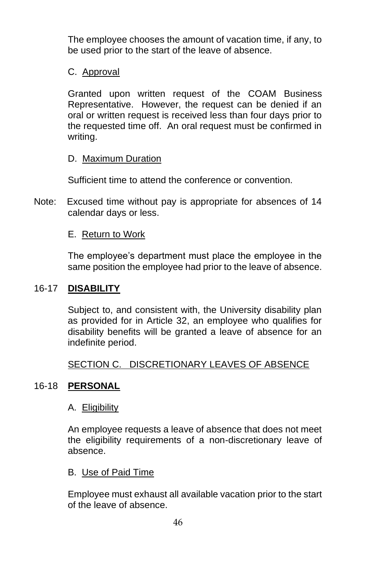The employee chooses the amount of vacation time, if any, to be used prior to the start of the leave of absence.

## C. Approval

Granted upon written request of the COAM Business Representative. However, the request can be denied if an oral or written request is received less than four days prior to the requested time off. An oral request must be confirmed in writing.

#### D. Maximum Duration

Sufficient time to attend the conference or convention.

Note: Excused time without pay is appropriate for absences of 14 calendar days or less.

## E. Return to Work

The employee's department must place the employee in the same position the employee had prior to the leave of absence.

### 16-17 **DISABILITY**

Subject to, and consistent with, the University disability plan as provided for in Article 32, an employee who qualifies for disability benefits will be granted a leave of absence for an indefinite period.

#### SECTION C. DISCRETIONARY LEAVES OF ABSENCE

#### 16-18 **PERSONAL**

#### A. Eligibility

An employee requests a leave of absence that does not meet the eligibility requirements of a non-discretionary leave of absence.

#### B. Use of Paid Time

Employee must exhaust all available vacation prior to the start of the leave of absence.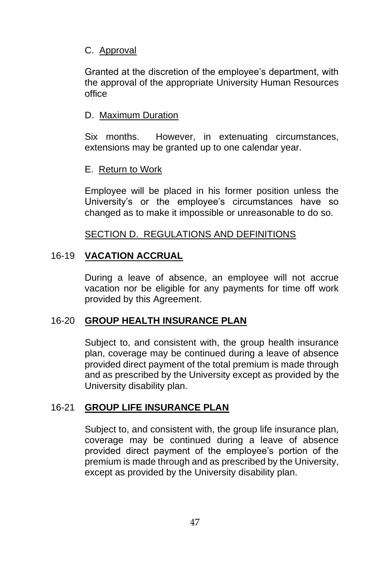## C. Approval

Granted at the discretion of the employee's department, with the approval of the appropriate University Human Resources office

#### D. Maximum Duration

Six months. However, in extenuating circumstances, extensions may be granted up to one calendar year.

#### E. Return to Work

Employee will be placed in his former position unless the University's or the employee's circumstances have so changed as to make it impossible or unreasonable to do so.

#### SECTION D. REGULATIONS AND DEFINITIONS

#### 16-19 **VACATION ACCRUAL**

During a leave of absence, an employee will not accrue vacation nor be eligible for any payments for time off work provided by this Agreement.

#### 16-20 **GROUP HEALTH INSURANCE PLAN**

Subject to, and consistent with, the group health insurance plan, coverage may be continued during a leave of absence provided direct payment of the total premium is made through and as prescribed by the University except as provided by the University disability plan.

#### 16-21 **GROUP LIFE INSURANCE PLAN**

Subject to, and consistent with, the group life insurance plan, coverage may be continued during a leave of absence provided direct payment of the employee's portion of the premium is made through and as prescribed by the University, except as provided by the University disability plan.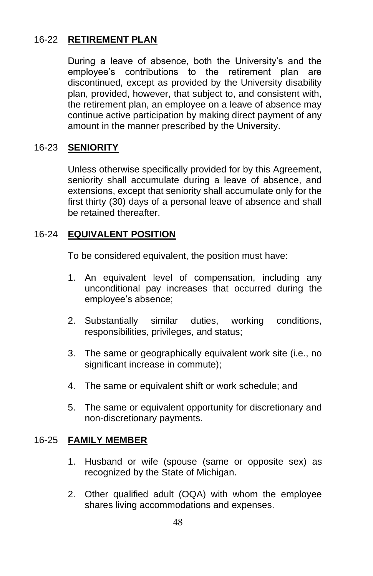# 16-22 **RETIREMENT PLAN**

During a leave of absence, both the University's and the employee's contributions to the retirement plan are discontinued, except as provided by the University disability plan, provided, however, that subject to, and consistent with, the retirement plan, an employee on a leave of absence may continue active participation by making direct payment of any amount in the manner prescribed by the University.

# 16-23 **SENIORITY**

Unless otherwise specifically provided for by this Agreement, seniority shall accumulate during a leave of absence, and extensions, except that seniority shall accumulate only for the first thirty (30) days of a personal leave of absence and shall be retained thereafter.

## 16-24 **EQUIVALENT POSITION**

To be considered equivalent, the position must have:

- 1. An equivalent level of compensation, including any unconditional pay increases that occurred during the employee's absence;
- 2. Substantially similar duties, working conditions, responsibilities, privileges, and status;
- 3. The same or geographically equivalent work site (i.e., no significant increase in commute);
- 4. The same or equivalent shift or work schedule; and
- 5. The same or equivalent opportunity for discretionary and non-discretionary payments.

#### 16-25 **FAMILY MEMBER**

- 1. Husband or wife (spouse (same or opposite sex) as recognized by the State of Michigan.
- 2. Other qualified adult (OQA) with whom the employee shares living accommodations and expenses.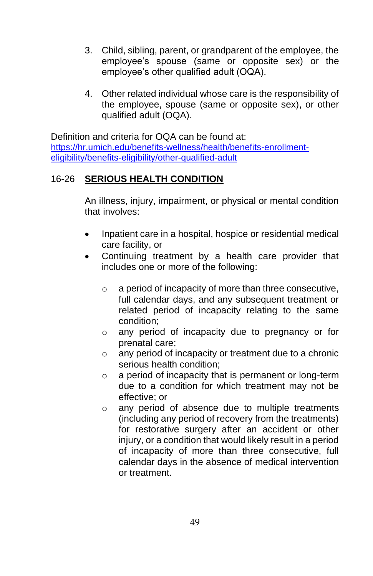- 3. Child, sibling, parent, or grandparent of the employee, the employee's spouse (same or opposite sex) or the employee's other qualified adult (OQA).
- 4. Other related individual whose care is the responsibility of the employee, spouse (same or opposite sex), or other qualified adult (OQA).

Definition and criteria for OQA can be found at: [https://hr.umich.edu/benefits-wellness/health/benefits-enrollment](https://hr.umich.edu/benefits-wellness/health/benefits-enrollment-eligibility/benefits-eligibility/other-qualified-adult)[eligibility/benefits-eligibility/other-qualified-adult](https://hr.umich.edu/benefits-wellness/health/benefits-enrollment-eligibility/benefits-eligibility/other-qualified-adult)

# 16-26 **SERIOUS HEALTH CONDITION**

An illness, injury, impairment, or physical or mental condition that involves:

- Inpatient care in a hospital, hospice or residential medical care facility, or
- Continuing treatment by a health care provider that includes one or more of the following:
	- o a period of incapacity of more than three consecutive, full calendar days, and any subsequent treatment or related period of incapacity relating to the same condition;
	- o any period of incapacity due to pregnancy or for prenatal care;
	- o any period of incapacity or treatment due to a chronic serious health condition;
	- o a period of incapacity that is permanent or long-term due to a condition for which treatment may not be effective; or
	- o any period of absence due to multiple treatments (including any period of recovery from the treatments) for restorative surgery after an accident or other injury, or a condition that would likely result in a period of incapacity of more than three consecutive, full calendar days in the absence of medical intervention or treatment.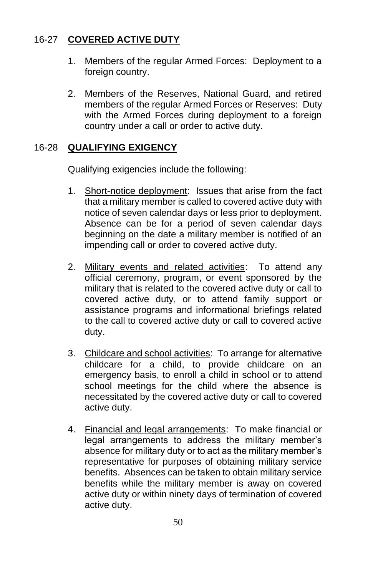# 16-27 **COVERED ACTIVE DUTY**

- 1. Members of the regular Armed Forces: Deployment to a foreign country.
- 2. Members of the Reserves, National Guard, and retired members of the regular Armed Forces or Reserves: Duty with the Armed Forces during deployment to a foreign country under a call or order to active duty.

# 16-28 **QUALIFYING EXIGENCY**

Qualifying exigencies include the following:

- 1. Short-notice deployment: Issues that arise from the fact that a military member is called to covered active duty with notice of seven calendar days or less prior to deployment. Absence can be for a period of seven calendar days beginning on the date a military member is notified of an impending call or order to covered active duty.
- 2. Military events and related activities: To attend any official ceremony, program, or event sponsored by the military that is related to the covered active duty or call to covered active duty, or to attend family support or assistance programs and informational briefings related to the call to covered active duty or call to covered active duty.
- 3. Childcare and school activities: To arrange for alternative childcare for a child, to provide childcare on an emergency basis, to enroll a child in school or to attend school meetings for the child where the absence is necessitated by the covered active duty or call to covered active duty.
- 4. Financial and legal arrangements: To make financial or legal arrangements to address the military member's absence for military duty or to act as the military member's representative for purposes of obtaining military service benefits. Absences can be taken to obtain military service benefits while the military member is away on covered active duty or within ninety days of termination of covered active duty.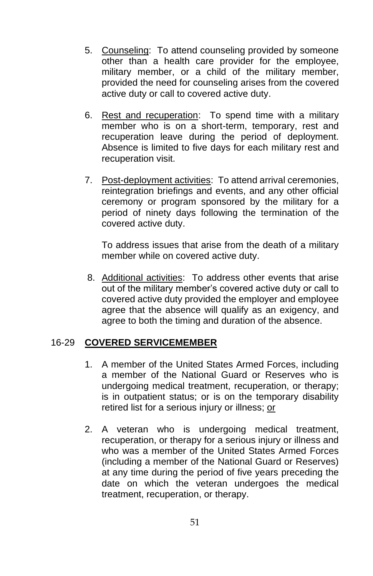- 5. Counseling: To attend counseling provided by someone other than a health care provider for the employee, military member, or a child of the military member, provided the need for counseling arises from the covered active duty or call to covered active duty.
- 6. Rest and recuperation: To spend time with a military member who is on a short-term, temporary, rest and recuperation leave during the period of deployment. Absence is limited to five days for each military rest and recuperation visit.
- 7. Post-deployment activities: To attend arrival ceremonies, reintegration briefings and events, and any other official ceremony or program sponsored by the military for a period of ninety days following the termination of the covered active duty.

To address issues that arise from the death of a military member while on covered active duty.

8. Additional activities: To address other events that arise out of the military member's covered active duty or call to covered active duty provided the employer and employee agree that the absence will qualify as an exigency, and agree to both the timing and duration of the absence.

#### 16-29 **COVERED SERVICEMEMBER**

- 1. A member of the United States Armed Forces, including a member of the National Guard or Reserves who is undergoing medical treatment, recuperation, or therapy; is in outpatient status; or is on the temporary disability retired list for a serious injury or illness; or
- 2. A veteran who is undergoing medical treatment, recuperation, or therapy for a serious injury or illness and who was a member of the United States Armed Forces (including a member of the National Guard or Reserves) at any time during the period of five years preceding the date on which the veteran undergoes the medical treatment, recuperation, or therapy.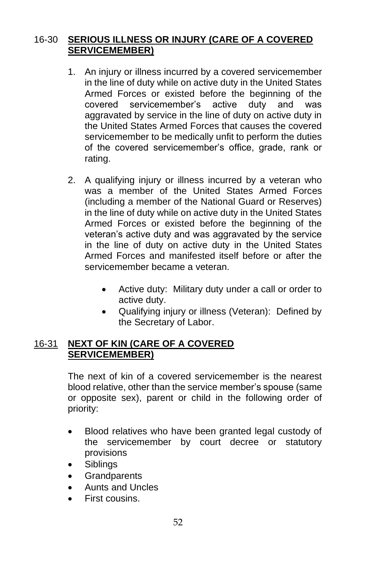# 16-30 **SERIOUS ILLNESS OR INJURY (CARE OF A COVERED SERVICEMEMBER)**

- 1. An injury or illness incurred by a covered servicemember in the line of duty while on active duty in the United States Armed Forces or existed before the beginning of the covered servicemember's active duty and was aggravated by service in the line of duty on active duty in the United States Armed Forces that causes the covered servicemember to be medically unfit to perform the duties of the covered servicemember's office, grade, rank or rating.
- 2. A qualifying injury or illness incurred by a veteran who was a member of the United States Armed Forces (including a member of the National Guard or Reserves) in the line of duty while on active duty in the United States Armed Forces or existed before the beginning of the veteran's active duty and was aggravated by the service in the line of duty on active duty in the United States Armed Forces and manifested itself before or after the servicemember became a veteran.
	- Active duty: Military duty under a call or order to active duty.
	- Qualifying injury or illness (Veteran): Defined by the Secretary of Labor.

## 16-31 **NEXT OF KIN (CARE OF A COVERED SERVICEMEMBER)**

The next of kin of a covered servicemember is the nearest blood relative, other than the service member's spouse (same or opposite sex), parent or child in the following order of priority:

- Blood relatives who have been granted legal custody of the servicemember by court decree or statutory provisions
- Siblings
- Grandparents
- Aunts and Uncles
- First cousins.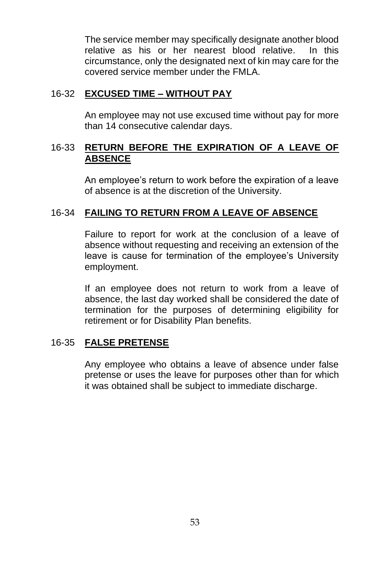The service member may specifically designate another blood relative as his or her nearest blood relative. In this circumstance, only the designated next of kin may care for the covered service member under the FMLA.

## 16-32 **EXCUSED TIME – WITHOUT PAY**

An employee may not use excused time without pay for more than 14 consecutive calendar days.

## 16-33 **RETURN BEFORE THE EXPIRATION OF A LEAVE OF ABSENCE**

An employee's return to work before the expiration of a leave of absence is at the discretion of the University.

# 16-34 **FAILING TO RETURN FROM A LEAVE OF ABSENCE**

Failure to report for work at the conclusion of a leave of absence without requesting and receiving an extension of the leave is cause for termination of the employee's University employment.

If an employee does not return to work from a leave of absence, the last day worked shall be considered the date of termination for the purposes of determining eligibility for retirement or for Disability Plan benefits.

## 16-35 **FALSE PRETENSE**

Any employee who obtains a leave of absence under false pretense or uses the leave for purposes other than for which it was obtained shall be subject to immediate discharge.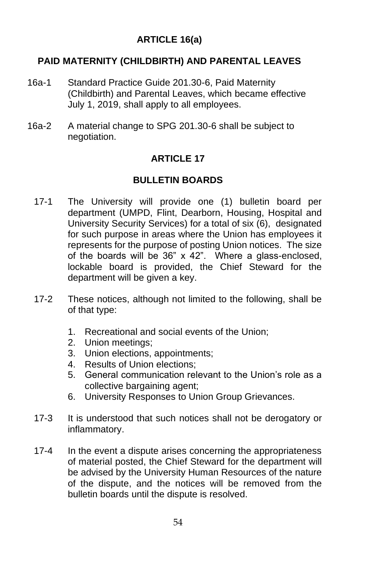# **ARTICLE 16(a)**

# **PAID MATERNITY (CHILDBIRTH) AND PARENTAL LEAVES**

- 16a-1 Standard Practice Guide 201.30-6, Paid Maternity (Childbirth) and Parental Leaves, which became effective July 1, 2019, shall apply to all employees.
- 16a-2 A material change to SPG 201.30-6 shall be subject to negotiation.

# **ARTICLE 17**

# **BULLETIN BOARDS**

- 17-1 The University will provide one (1) bulletin board per department (UMPD, Flint, Dearborn, Housing, Hospital and University Security Services) for a total of six (6), designated for such purpose in areas where the Union has employees it represents for the purpose of posting Union notices. The size of the boards will be 36" x 42". Where a glass-enclosed, lockable board is provided, the Chief Steward for the department will be given a key.
- 17-2 These notices, although not limited to the following, shall be of that type:
	- 1. Recreational and social events of the Union;
	- 2. Union meetings;
	- 3. Union elections, appointments;
	- 4. Results of Union elections;
	- 5. General communication relevant to the Union's role as a collective bargaining agent;
	- 6. University Responses to Union Group Grievances.
- 17-3 It is understood that such notices shall not be derogatory or inflammatory.
- 17-4 In the event a dispute arises concerning the appropriateness of material posted, the Chief Steward for the department will be advised by the University Human Resources of the nature of the dispute, and the notices will be removed from the bulletin boards until the dispute is resolved.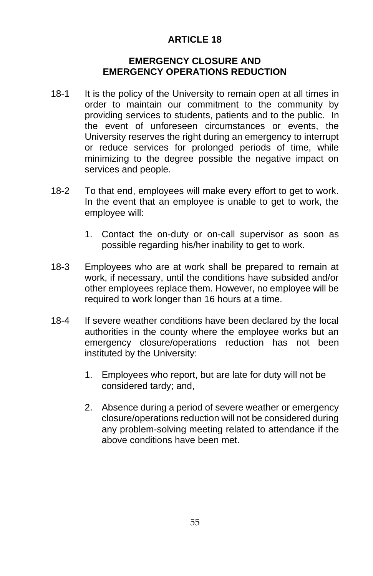# **ARTICLE 18**

#### **EMERGENCY CLOSURE AND EMERGENCY OPERATIONS REDUCTION**

- 18-1 It is the policy of the University to remain open at all times in order to maintain our commitment to the community by providing services to students, patients and to the public. In the event of unforeseen circumstances or events, the University reserves the right during an emergency to interrupt or reduce services for prolonged periods of time, while minimizing to the degree possible the negative impact on services and people.
- 18-2 To that end, employees will make every effort to get to work. In the event that an employee is unable to get to work, the employee will:
	- 1. Contact the on-duty or on-call supervisor as soon as possible regarding his/her inability to get to work.
- 18-3 Employees who are at work shall be prepared to remain at work, if necessary, until the conditions have subsided and/or other employees replace them. However, no employee will be required to work longer than 16 hours at a time.
- 18-4 If severe weather conditions have been declared by the local authorities in the county where the employee works but an emergency closure/operations reduction has not been instituted by the University:
	- 1. Employees who report, but are late for duty will not be considered tardy; and,
	- 2. Absence during a period of severe weather or emergency closure/operations reduction will not be considered during any problem-solving meeting related to attendance if the above conditions have been met.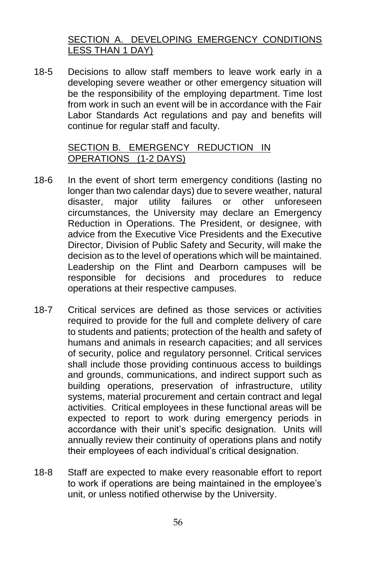# SECTION A. DEVELOPING EMERGENCY CONDITIONS LESS THAN 1 DAY)

18-5 Decisions to allow staff members to leave work early in a developing severe weather or other emergency situation will be the responsibility of the employing department. Time lost from work in such an event will be in accordance with the Fair Labor Standards Act regulations and pay and benefits will continue for regular staff and faculty.

## SECTION B. EMERGENCY REDUCTION IN OPERATIONS (1-2 DAYS)

- 18-6 In the event of short term emergency conditions (lasting no longer than two calendar days) due to severe weather, natural disaster, major utility failures or other unforeseen circumstances, the University may declare an Emergency Reduction in Operations. The President, or designee, with advice from the Executive Vice Presidents and the Executive Director, Division of Public Safety and Security, will make the decision as to the level of operations which will be maintained. Leadership on the Flint and Dearborn campuses will be responsible for decisions and procedures to reduce operations at their respective campuses.
- 18-7 Critical services are defined as those services or activities required to provide for the full and complete delivery of care to students and patients; protection of the health and safety of humans and animals in research capacities; and all services of security, police and regulatory personnel. Critical services shall include those providing continuous access to buildings and grounds, communications, and indirect support such as building operations, preservation of infrastructure, utility systems, material procurement and certain contract and legal activities. Critical employees in these functional areas will be expected to report to work during emergency periods in accordance with their unit's specific designation. Units will annually review their continuity of operations plans and notify their employees of each individual's critical designation.
- 18-8 Staff are expected to make every reasonable effort to report to work if operations are being maintained in the employee's unit, or unless notified otherwise by the University.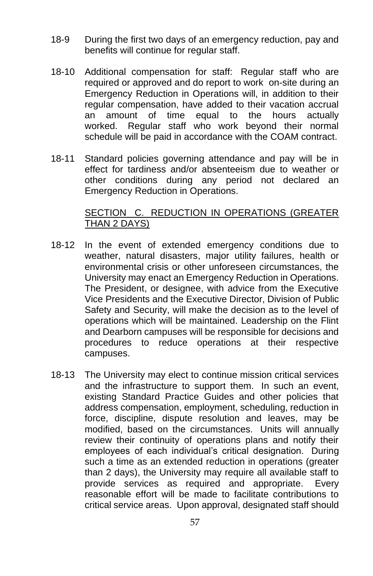- 18-9 During the first two days of an emergency reduction, pay and benefits will continue for regular staff.
- 18-10 Additional compensation for staff: Regular staff who are required or approved and do report to work on-site during an Emergency Reduction in Operations will, in addition to their regular compensation, have added to their vacation accrual an amount of time equal to the hours actually worked. Regular staff who work beyond their normal schedule will be paid in accordance with the COAM contract.
- 18-11 Standard policies governing attendance and pay will be in effect for tardiness and/or absenteeism due to weather or other conditions during any period not declared an Emergency Reduction in Operations.

#### SECTION C. REDUCTION IN OPERATIONS (GREATER THAN 2 DAYS)

- 18-12 In the event of extended emergency conditions due to weather, natural disasters, major utility failures, health or environmental crisis or other unforeseen circumstances, the University may enact an Emergency Reduction in Operations. The President, or designee, with advice from the Executive Vice Presidents and the Executive Director, Division of Public Safety and Security, will make the decision as to the level of operations which will be maintained. Leadership on the Flint and Dearborn campuses will be responsible for decisions and procedures to reduce operations at their respective campuses.
- 18-13 The University may elect to continue mission critical services and the infrastructure to support them. In such an event, existing Standard Practice Guides and other policies that address compensation, employment, scheduling, reduction in force, discipline, dispute resolution and leaves, may be modified, based on the circumstances. Units will annually review their continuity of operations plans and notify their employees of each individual's critical designation. During such a time as an extended reduction in operations (greater than 2 days), the University may require all available staff to provide services as required and appropriate. Every reasonable effort will be made to facilitate contributions to critical service areas. Upon approval, designated staff should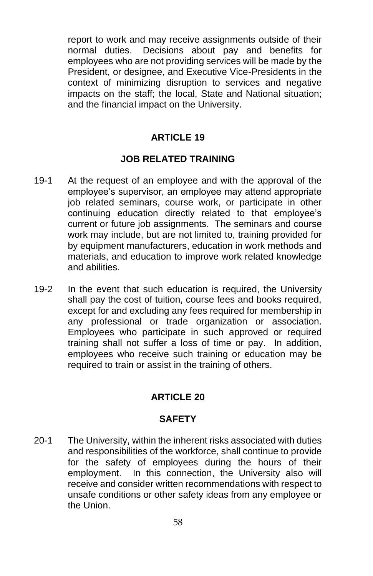report to work and may receive assignments outside of their normal duties. Decisions about pay and benefits for employees who are not providing services will be made by the President, or designee, and Executive Vice-Presidents in the context of minimizing disruption to services and negative impacts on the staff; the local, State and National situation; and the financial impact on the University.

### **ARTICLE 19**

## **JOB RELATED TRAINING**

- 19-1 At the request of an employee and with the approval of the employee's supervisor, an employee may attend appropriate job related seminars, course work, or participate in other continuing education directly related to that employee's current or future job assignments. The seminars and course work may include, but are not limited to, training provided for by equipment manufacturers, education in work methods and materials, and education to improve work related knowledge and abilities.
- 19-2 In the event that such education is required, the University shall pay the cost of tuition, course fees and books required, except for and excluding any fees required for membership in any professional or trade organization or association. Employees who participate in such approved or required training shall not suffer a loss of time or pay. In addition, employees who receive such training or education may be required to train or assist in the training of others.

## **ARTICLE 20**

#### **SAFETY**

20-1 The University, within the inherent risks associated with duties and responsibilities of the workforce, shall continue to provide for the safety of employees during the hours of their employment. In this connection, the University also will receive and consider written recommendations with respect to unsafe conditions or other safety ideas from any employee or the Union.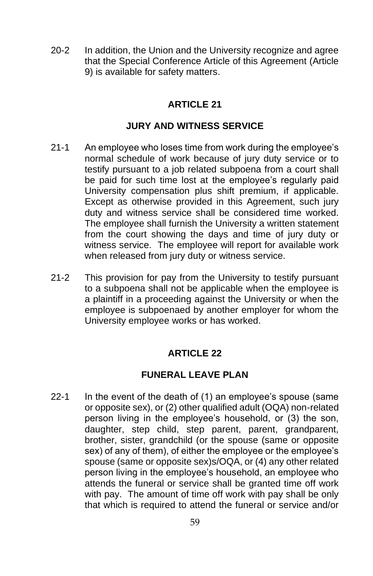20-2 In addition, the Union and the University recognize and agree that the Special Conference Article of this Agreement (Article 9) is available for safety matters.

## **ARTICLE 21**

## **JURY AND WITNESS SERVICE**

- 21-1 An employee who loses time from work during the employee's normal schedule of work because of jury duty service or to testify pursuant to a job related subpoena from a court shall be paid for such time lost at the employee's regularly paid University compensation plus shift premium, if applicable. Except as otherwise provided in this Agreement, such jury duty and witness service shall be considered time worked. The employee shall furnish the University a written statement from the court showing the days and time of jury duty or witness service. The employee will report for available work when released from jury duty or witness service.
- 21-2 This provision for pay from the University to testify pursuant to a subpoena shall not be applicable when the employee is a plaintiff in a proceeding against the University or when the employee is subpoenaed by another employer for whom the University employee works or has worked.

## **ARTICLE 22**

## **FUNERAL LEAVE PLAN**

22-1 In the event of the death of (1) an employee's spouse (same or opposite sex), or (2) other qualified adult (OQA) non-related person living in the employee's household, or (3) the son, daughter, step child, step parent, parent, grandparent, brother, sister, grandchild (or the spouse (same or opposite sex) of any of them), of either the employee or the employee's spouse (same or opposite sex)s/OQA, or (4) any other related person living in the employee's household, an employee who attends the funeral or service shall be granted time off work with pay. The amount of time off work with pay shall be only that which is required to attend the funeral or service and/or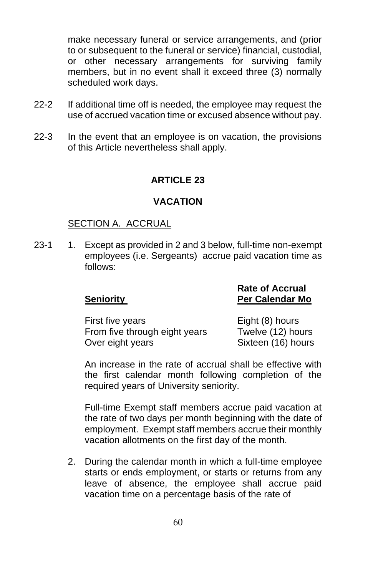make necessary funeral or service arrangements, and (prior to or subsequent to the funeral or service) financial, custodial, or other necessary arrangements for surviving family members, but in no event shall it exceed three (3) normally scheduled work days.

- 22-2 If additional time off is needed, the employee may request the use of accrued vacation time or excused absence without pay.
- 22-3 In the event that an employee is on vacation, the provisions of this Article nevertheless shall apply.

## **ARTICLE 23**

#### **VACATION**

#### SECTION A. ACCRUAL

23-1 1. Except as provided in 2 and 3 below, full-time non-exempt employees (i.e. Sergeants) accrue paid vacation time as follows:

| Seniority                     | .<br><b>Per Calendar Mo</b> |
|-------------------------------|-----------------------------|
| First five years              | Eight (8) hours             |
| From five through eight years | Twelve (12) hours           |

Over eight years Sixteen (16) hours

**Rate of Accrual**

An increase in the rate of accrual shall be effective with the first calendar month following completion of the required years of University seniority.

Full-time Exempt staff members accrue paid vacation at the rate of two days per month beginning with the date of employment. Exempt staff members accrue their monthly vacation allotments on the first day of the month.

2. During the calendar month in which a full-time employee starts or ends employment, or starts or returns from any leave of absence, the employee shall accrue paid vacation time on a percentage basis of the rate of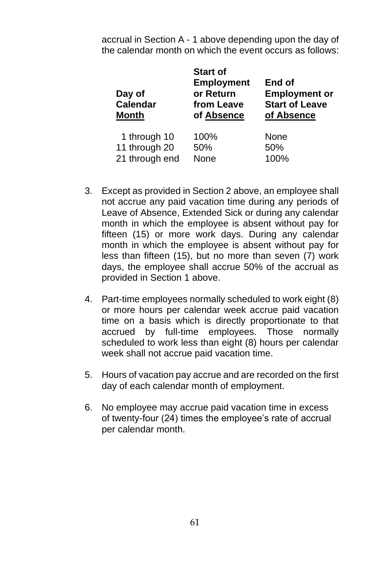accrual in Section A - 1 above depending upon the day of the calendar month on which the event occurs as follows:

| Day of<br>Calendar<br><b>Month</b> | <b>Start of</b><br><b>Employment</b><br>or Return<br>from Leave<br>of Absence | End of<br><b>Employment or</b><br><b>Start of Leave</b><br>of Absence |
|------------------------------------|-------------------------------------------------------------------------------|-----------------------------------------------------------------------|
| 1 through 10                       | 100%                                                                          | None                                                                  |
| 11 through 20                      | 50%                                                                           | 50%                                                                   |
| 21 through end                     | None                                                                          | 100%                                                                  |

- 3. Except as provided in Section 2 above, an employee shall not accrue any paid vacation time during any periods of Leave of Absence, Extended Sick or during any calendar month in which the employee is absent without pay for fifteen (15) or more work days. During any calendar month in which the employee is absent without pay for less than fifteen (15), but no more than seven (7) work days, the employee shall accrue 50% of the accrual as provided in Section 1 above.
- 4. Part-time employees normally scheduled to work eight (8) or more hours per calendar week accrue paid vacation time on a basis which is directly proportionate to that accrued by full-time employees. Those normally scheduled to work less than eight (8) hours per calendar week shall not accrue paid vacation time.
- 5. Hours of vacation pay accrue and are recorded on the first day of each calendar month of employment.
- 6. No employee may accrue paid vacation time in excess of twenty-four (24) times the employee's rate of accrual per calendar month.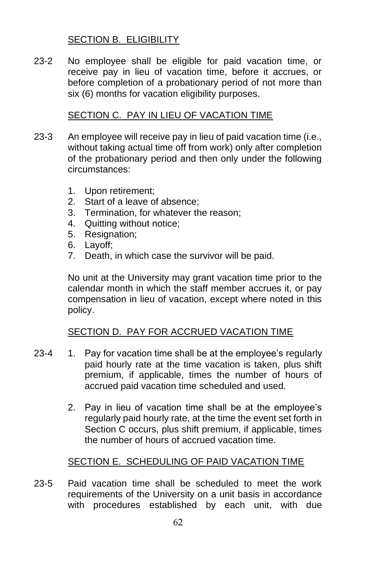# SECTION B. ELIGIBILITY

23-2 No employee shall be eligible for paid vacation time, or receive pay in lieu of vacation time, before it accrues, or before completion of a probationary period of not more than six (6) months for vacation eligibility purposes.

## SECTION C. PAY IN LIEU OF VACATION TIME

- 23-3 An employee will receive pay in lieu of paid vacation time (i.e., without taking actual time off from work) only after completion of the probationary period and then only under the following circumstances:
	- 1. Upon retirement;
	- 2. Start of a leave of absence;
	- 3. Termination, for whatever the reason;
	- 4. Quitting without notice;
	- 5. Resignation;
	- 6. Layoff;
	- 7. Death, in which case the survivor will be paid.

No unit at the University may grant vacation time prior to the calendar month in which the staff member accrues it, or pay compensation in lieu of vacation, except where noted in this policy.

## SECTION D. PAY FOR ACCRUED VACATION TIME

- 23-4 1. Pay for vacation time shall be at the employee's regularly paid hourly rate at the time vacation is taken, plus shift premium, if applicable, times the number of hours of accrued paid vacation time scheduled and used.
	- 2. Pay in lieu of vacation time shall be at the employee's regularly paid hourly rate, at the time the event set forth in Section C occurs, plus shift premium, if applicable, times the number of hours of accrued vacation time.

## SECTION E. SCHEDULING OF PAID VACATION TIME

23-5 Paid vacation time shall be scheduled to meet the work requirements of the University on a unit basis in accordance with procedures established by each unit, with due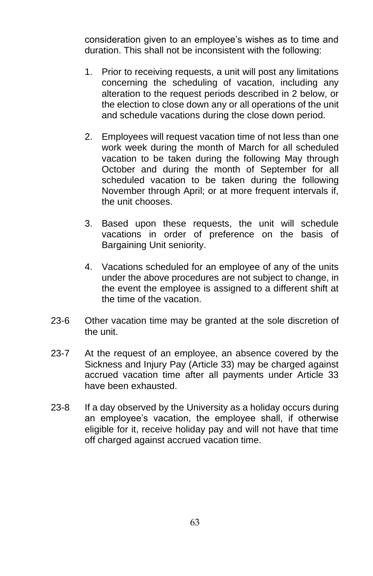consideration given to an employee's wishes as to time and duration. This shall not be inconsistent with the following:

- 1. Prior to receiving requests, a unit will post any limitations concerning the scheduling of vacation, including any alteration to the request periods described in 2 below, or the election to close down any or all operations of the unit and schedule vacations during the close down period.
- 2. Employees will request vacation time of not less than one work week during the month of March for all scheduled vacation to be taken during the following May through October and during the month of September for all scheduled vacation to be taken during the following November through April; or at more frequent intervals if, the unit chooses.
- 3. Based upon these requests, the unit will schedule vacations in order of preference on the basis of Bargaining Unit seniority.
- 4. Vacations scheduled for an employee of any of the units under the above procedures are not subject to change, in the event the employee is assigned to a different shift at the time of the vacation.
- 23-6 Other vacation time may be granted at the sole discretion of the unit.
- 23-7 At the request of an employee, an absence covered by the Sickness and Injury Pay (Article 33) may be charged against accrued vacation time after all payments under Article 33 have been exhausted.
- 23-8 If a day observed by the University as a holiday occurs during an employee's vacation, the employee shall, if otherwise eligible for it, receive holiday pay and will not have that time off charged against accrued vacation time.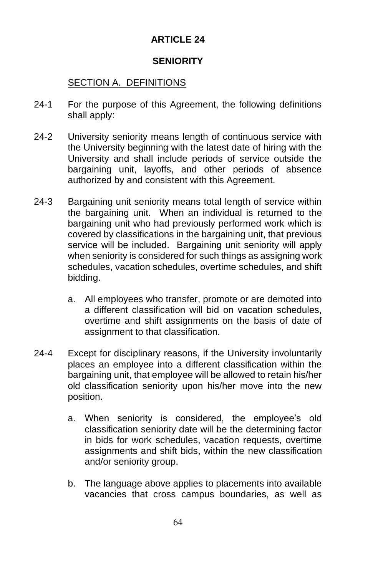# **ARTICLE 24**

## **SENIORITY**

# SECTION A. DEFINITIONS

- 24-1 For the purpose of this Agreement, the following definitions shall apply:
- 24-2 University seniority means length of continuous service with the University beginning with the latest date of hiring with the University and shall include periods of service outside the bargaining unit, layoffs, and other periods of absence authorized by and consistent with this Agreement.
- 24-3 Bargaining unit seniority means total length of service within the bargaining unit. When an individual is returned to the bargaining unit who had previously performed work which is covered by classifications in the bargaining unit, that previous service will be included. Bargaining unit seniority will apply when seniority is considered for such things as assigning work schedules, vacation schedules, overtime schedules, and shift bidding.
	- a. All employees who transfer, promote or are demoted into a different classification will bid on vacation schedules, overtime and shift assignments on the basis of date of assignment to that classification.
- 24-4 Except for disciplinary reasons, if the University involuntarily places an employee into a different classification within the bargaining unit, that employee will be allowed to retain his/her old classification seniority upon his/her move into the new position.
	- a. When seniority is considered, the employee's old classification seniority date will be the determining factor in bids for work schedules, vacation requests, overtime assignments and shift bids, within the new classification and/or seniority group.
	- b. The language above applies to placements into available vacancies that cross campus boundaries, as well as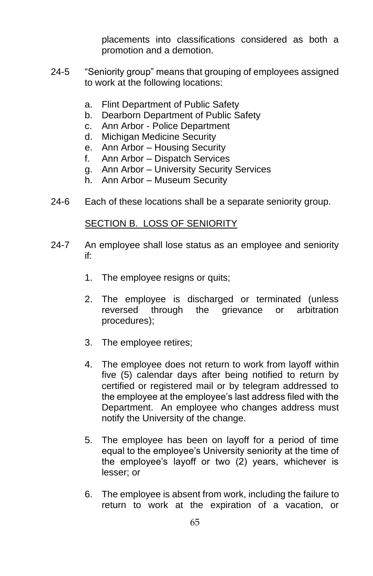placements into classifications considered as both a promotion and a demotion.

- 24-5 "Seniority group" means that grouping of employees assigned to work at the following locations:
	- a. Flint Department of Public Safety
	- b. Dearborn Department of Public Safety
	- c. Ann Arbor Police Department
	- d. Michigan Medicine Security
	- e. Ann Arbor Housing Security
	- f. Ann Arbor Dispatch Services
	- g. Ann Arbor University Security Services
	- h. Ann Arbor Museum Security
- 24-6 Each of these locations shall be a separate seniority group.

#### SECTION B. LOSS OF SENIORITY

- 24-7 An employee shall lose status as an employee and seniority if:
	- 1. The employee resigns or quits;
	- 2. The employee is discharged or terminated (unless reversed through the grievance or arbitration procedures);
	- 3. The employee retires;
	- 4. The employee does not return to work from layoff within five (5) calendar days after being notified to return by certified or registered mail or by telegram addressed to the employee at the employee's last address filed with the Department. An employee who changes address must notify the University of the change.
	- 5. The employee has been on layoff for a period of time equal to the employee's University seniority at the time of the employee's layoff or two (2) years, whichever is lesser; or
	- 6. The employee is absent from work, including the failure to return to work at the expiration of a vacation, or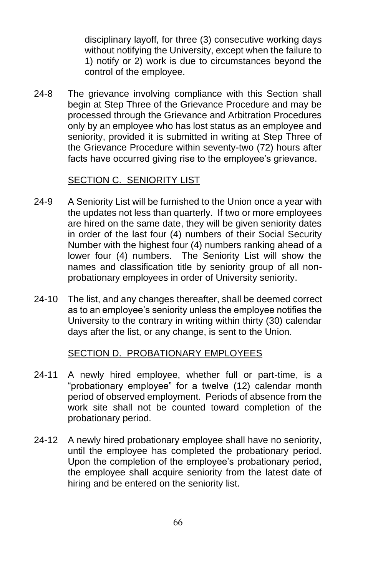disciplinary layoff, for three (3) consecutive working days without notifying the University, except when the failure to 1) notify or 2) work is due to circumstances beyond the control of the employee.

24-8 The grievance involving compliance with this Section shall begin at Step Three of the Grievance Procedure and may be processed through the Grievance and Arbitration Procedures only by an employee who has lost status as an employee and seniority, provided it is submitted in writing at Step Three of the Grievance Procedure within seventy-two (72) hours after facts have occurred giving rise to the employee's grievance.

## SECTION C. SENIORITY LIST

- 24-9 A Seniority List will be furnished to the Union once a year with the updates not less than quarterly. If two or more employees are hired on the same date, they will be given seniority dates in order of the last four (4) numbers of their Social Security Number with the highest four (4) numbers ranking ahead of a lower four (4) numbers. The Seniority List will show the names and classification title by seniority group of all nonprobationary employees in order of University seniority.
- 24-10 The list, and any changes thereafter, shall be deemed correct as to an employee's seniority unless the employee notifies the University to the contrary in writing within thirty (30) calendar days after the list, or any change, is sent to the Union.

#### SECTION D. PROBATIONARY EMPLOYEES

- 24-11 A newly hired employee, whether full or part-time, is a "probationary employee" for a twelve (12) calendar month period of observed employment. Periods of absence from the work site shall not be counted toward completion of the probationary period.
- 24-12 A newly hired probationary employee shall have no seniority, until the employee has completed the probationary period. Upon the completion of the employee's probationary period, the employee shall acquire seniority from the latest date of hiring and be entered on the seniority list.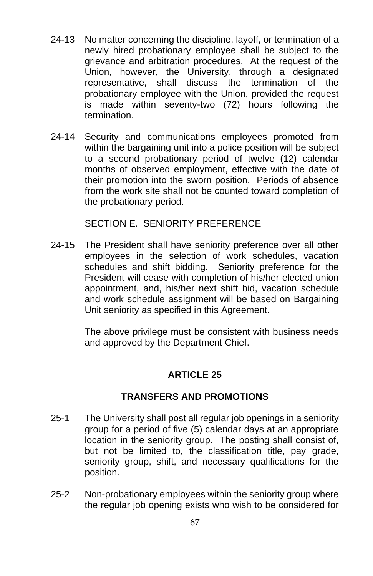- 24-13 No matter concerning the discipline, layoff, or termination of a newly hired probationary employee shall be subject to the grievance and arbitration procedures. At the request of the Union, however, the University, through a designated representative, shall discuss the termination of the probationary employee with the Union, provided the request is made within seventy-two (72) hours following the termination.
- 24-14 Security and communications employees promoted from within the bargaining unit into a police position will be subject to a second probationary period of twelve (12) calendar months of observed employment, effective with the date of their promotion into the sworn position. Periods of absence from the work site shall not be counted toward completion of the probationary period.

#### SECTION E. SENIORITY PREFERENCE

24-15 The President shall have seniority preference over all other employees in the selection of work schedules, vacation schedules and shift bidding. Seniority preference for the President will cease with completion of his/her elected union appointment, and, his/her next shift bid, vacation schedule and work schedule assignment will be based on Bargaining Unit seniority as specified in this Agreement.

> The above privilege must be consistent with business needs and approved by the Department Chief.

## **ARTICLE 25**

#### **TRANSFERS AND PROMOTIONS**

- 25-1 The University shall post all regular job openings in a seniority group for a period of five (5) calendar days at an appropriate location in the seniority group. The posting shall consist of, but not be limited to, the classification title, pay grade, seniority group, shift, and necessary qualifications for the position.
- 25-2 Non-probationary employees within the seniority group where the regular job opening exists who wish to be considered for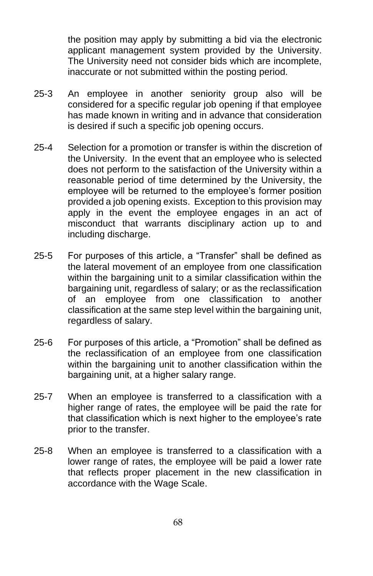the position may apply by submitting a bid via the electronic applicant management system provided by the University. The University need not consider bids which are incomplete, inaccurate or not submitted within the posting period.

- 25-3 An employee in another seniority group also will be considered for a specific regular job opening if that employee has made known in writing and in advance that consideration is desired if such a specific job opening occurs.
- 25-4 Selection for a promotion or transfer is within the discretion of the University. In the event that an employee who is selected does not perform to the satisfaction of the University within a reasonable period of time determined by the University, the employee will be returned to the employee's former position provided a job opening exists. Exception to this provision may apply in the event the employee engages in an act of misconduct that warrants disciplinary action up to and including discharge.
- 25-5 For purposes of this article, a "Transfer" shall be defined as the lateral movement of an employee from one classification within the bargaining unit to a similar classification within the bargaining unit, regardless of salary; or as the reclassification of an employee from one classification to another classification at the same step level within the bargaining unit, regardless of salary.
- 25-6 For purposes of this article, a "Promotion" shall be defined as the reclassification of an employee from one classification within the bargaining unit to another classification within the bargaining unit, at a higher salary range.
- 25-7 When an employee is transferred to a classification with a higher range of rates, the employee will be paid the rate for that classification which is next higher to the employee's rate prior to the transfer.
- 25-8 When an employee is transferred to a classification with a lower range of rates, the employee will be paid a lower rate that reflects proper placement in the new classification in accordance with the Wage Scale.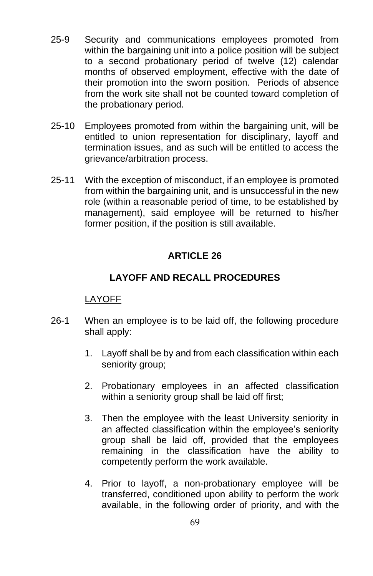- 25-9 Security and communications employees promoted from within the bargaining unit into a police position will be subject to a second probationary period of twelve (12) calendar months of observed employment, effective with the date of their promotion into the sworn position. Periods of absence from the work site shall not be counted toward completion of the probationary period.
- 25-10 Employees promoted from within the bargaining unit, will be entitled to union representation for disciplinary, layoff and termination issues, and as such will be entitled to access the grievance/arbitration process.
- 25-11 With the exception of misconduct, if an employee is promoted from within the bargaining unit, and is unsuccessful in the new role (within a reasonable period of time, to be established by management), said employee will be returned to his/her former position, if the position is still available.

#### **LAYOFF AND RECALL PROCEDURES**

#### LAYOFF

- 26-1 When an employee is to be laid off, the following procedure shall apply:
	- 1. Layoff shall be by and from each classification within each seniority group;
	- 2. Probationary employees in an affected classification within a seniority group shall be laid off first;
	- 3. Then the employee with the least University seniority in an affected classification within the employee's seniority group shall be laid off, provided that the employees remaining in the classification have the ability to competently perform the work available.
	- 4. Prior to layoff, a non-probationary employee will be transferred, conditioned upon ability to perform the work available, in the following order of priority, and with the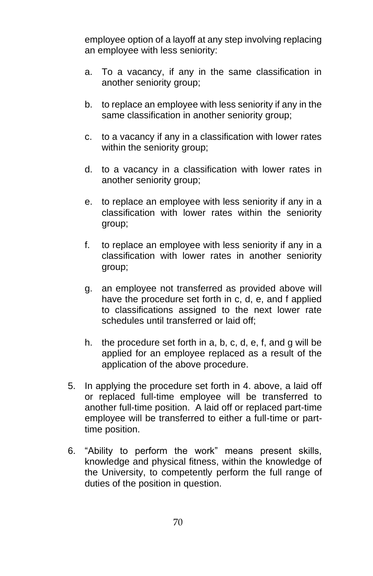employee option of a layoff at any step involving replacing an employee with less seniority:

- a. To a vacancy, if any in the same classification in another seniority group;
- b. to replace an employee with less seniority if any in the same classification in another seniority group;
- c. to a vacancy if any in a classification with lower rates within the seniority group:
- d. to a vacancy in a classification with lower rates in another seniority group;
- e. to replace an employee with less seniority if any in a classification with lower rates within the seniority group;
- f. to replace an employee with less seniority if any in a classification with lower rates in another seniority group;
- g. an employee not transferred as provided above will have the procedure set forth in c, d, e, and f applied to classifications assigned to the next lower rate schedules until transferred or laid off;
- h. the procedure set forth in a, b, c, d, e, f, and g will be applied for an employee replaced as a result of the application of the above procedure.
- 5. In applying the procedure set forth in 4. above, a laid off or replaced full-time employee will be transferred to another full-time position. A laid off or replaced part-time employee will be transferred to either a full-time or parttime position.
- 6. "Ability to perform the work" means present skills, knowledge and physical fitness, within the knowledge of the University, to competently perform the full range of duties of the position in question.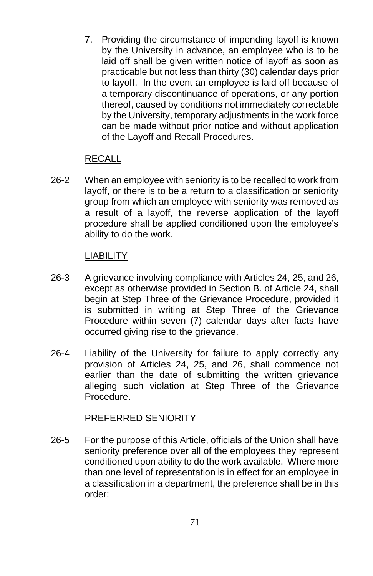7. Providing the circumstance of impending layoff is known by the University in advance, an employee who is to be laid off shall be given written notice of layoff as soon as practicable but not less than thirty (30) calendar days prior to layoff. In the event an employee is laid off because of a temporary discontinuance of operations, or any portion thereof, caused by conditions not immediately correctable by the University, temporary adjustments in the work force can be made without prior notice and without application of the Layoff and Recall Procedures.

#### RECALL

26-2 When an employee with seniority is to be recalled to work from layoff, or there is to be a return to a classification or seniority group from which an employee with seniority was removed as a result of a layoff, the reverse application of the layoff procedure shall be applied conditioned upon the employee's ability to do the work.

#### LIABILITY

- 26-3 A grievance involving compliance with Articles 24, 25, and 26, except as otherwise provided in Section B. of Article 24, shall begin at Step Three of the Grievance Procedure, provided it is submitted in writing at Step Three of the Grievance Procedure within seven (7) calendar days after facts have occurred giving rise to the grievance.
- 26-4 Liability of the University for failure to apply correctly any provision of Articles 24, 25, and 26, shall commence not earlier than the date of submitting the written grievance alleging such violation at Step Three of the Grievance Procedure.

#### PREFERRED SENIORITY

26-5 For the purpose of this Article, officials of the Union shall have seniority preference over all of the employees they represent conditioned upon ability to do the work available. Where more than one level of representation is in effect for an employee in a classification in a department, the preference shall be in this order: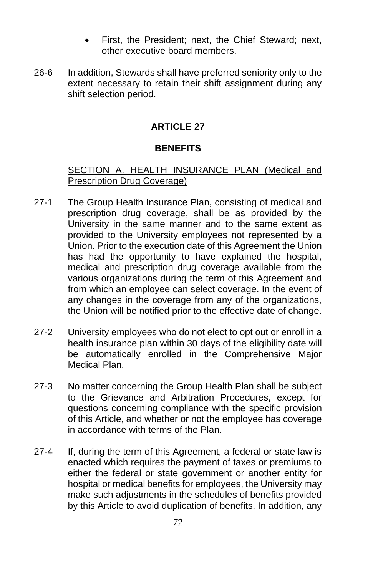- First, the President; next, the Chief Steward; next, other executive board members.
- 26-6 In addition, Stewards shall have preferred seniority only to the extent necessary to retain their shift assignment during any shift selection period.

### **BENEFITS**

### SECTION A. HEALTH INSURANCE PLAN (Medical and Prescription Drug Coverage)

- 27-1 The Group Health Insurance Plan, consisting of medical and prescription drug coverage, shall be as provided by the University in the same manner and to the same extent as provided to the University employees not represented by a Union. Prior to the execution date of this Agreement the Union has had the opportunity to have explained the hospital, medical and prescription drug coverage available from the various organizations during the term of this Agreement and from which an employee can select coverage. In the event of any changes in the coverage from any of the organizations, the Union will be notified prior to the effective date of change.
- 27-2 University employees who do not elect to opt out or enroll in a health insurance plan within 30 days of the eligibility date will be automatically enrolled in the Comprehensive Major Medical Plan.
- 27-3 No matter concerning the Group Health Plan shall be subject to the Grievance and Arbitration Procedures, except for questions concerning compliance with the specific provision of this Article, and whether or not the employee has coverage in accordance with terms of the Plan.
- 27-4 If, during the term of this Agreement, a federal or state law is enacted which requires the payment of taxes or premiums to either the federal or state government or another entity for hospital or medical benefits for employees, the University may make such adjustments in the schedules of benefits provided by this Article to avoid duplication of benefits. In addition, any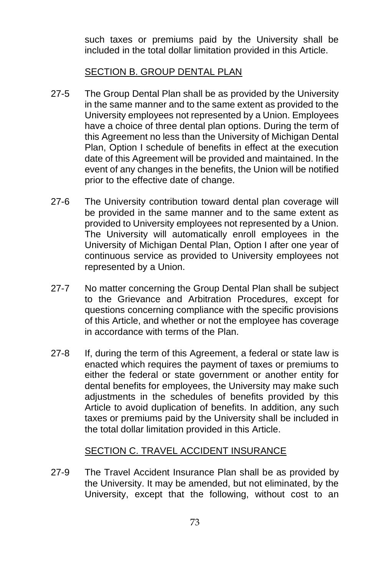such taxes or premiums paid by the University shall be included in the total dollar limitation provided in this Article.

#### SECTION B. GROUP DENTAL PLAN

- 27-5 The Group Dental Plan shall be as provided by the University in the same manner and to the same extent as provided to the University employees not represented by a Union. Employees have a choice of three dental plan options. During the term of this Agreement no less than the University of Michigan Dental Plan, Option I schedule of benefits in effect at the execution date of this Agreement will be provided and maintained. In the event of any changes in the benefits, the Union will be notified prior to the effective date of change.
- 27-6 The University contribution toward dental plan coverage will be provided in the same manner and to the same extent as provided to University employees not represented by a Union. The University will automatically enroll employees in the University of Michigan Dental Plan, Option I after one year of continuous service as provided to University employees not represented by a Union.
- 27-7 No matter concerning the Group Dental Plan shall be subject to the Grievance and Arbitration Procedures, except for questions concerning compliance with the specific provisions of this Article, and whether or not the employee has coverage in accordance with terms of the Plan.
- 27-8 If, during the term of this Agreement, a federal or state law is enacted which requires the payment of taxes or premiums to either the federal or state government or another entity for dental benefits for employees, the University may make such adjustments in the schedules of benefits provided by this Article to avoid duplication of benefits. In addition, any such taxes or premiums paid by the University shall be included in the total dollar limitation provided in this Article.

### SECTION C. TRAVEL ACCIDENT INSURANCE

27-9 The Travel Accident Insurance Plan shall be as provided by the University. It may be amended, but not eliminated, by the University, except that the following, without cost to an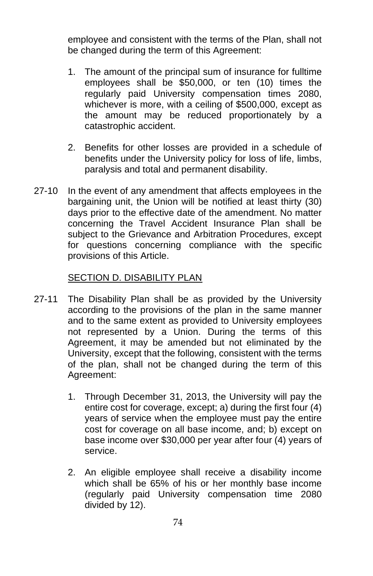employee and consistent with the terms of the Plan, shall not be changed during the term of this Agreement:

- 1. The amount of the principal sum of insurance for fulltime employees shall be \$50,000, or ten (10) times the regularly paid University compensation times 2080, whichever is more, with a ceiling of \$500,000, except as the amount may be reduced proportionately by a catastrophic accident.
- 2. Benefits for other losses are provided in a schedule of benefits under the University policy for loss of life, limbs, paralysis and total and permanent disability.
- 27-10 In the event of any amendment that affects employees in the bargaining unit, the Union will be notified at least thirty (30) days prior to the effective date of the amendment. No matter concerning the Travel Accident Insurance Plan shall be subject to the Grievance and Arbitration Procedures, except for questions concerning compliance with the specific provisions of this Article.

#### SECTION D. DISABILITY PLAN

- 27-11 The Disability Plan shall be as provided by the University according to the provisions of the plan in the same manner and to the same extent as provided to University employees not represented by a Union. During the terms of this Agreement, it may be amended but not eliminated by the University, except that the following, consistent with the terms of the plan, shall not be changed during the term of this Agreement:
	- 1. Through December 31, 2013, the University will pay the entire cost for coverage, except; a) during the first four (4) years of service when the employee must pay the entire cost for coverage on all base income, and; b) except on base income over \$30,000 per year after four (4) years of service.
	- 2. An eligible employee shall receive a disability income which shall be 65% of his or her monthly base income (regularly paid University compensation time 2080 divided by 12).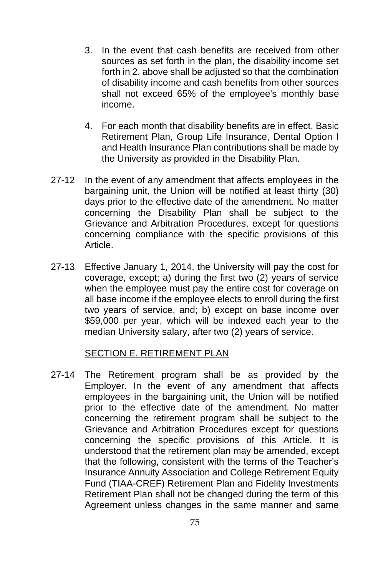- 3. In the event that cash benefits are received from other sources as set forth in the plan, the disability income set forth in 2. above shall be adjusted so that the combination of disability income and cash benefits from other sources shall not exceed 65% of the employee's monthly base income.
- 4. For each month that disability benefits are in effect, Basic Retirement Plan, Group Life Insurance, Dental Option I and Health Insurance Plan contributions shall be made by the University as provided in the Disability Plan.
- 27-12 In the event of any amendment that affects employees in the bargaining unit, the Union will be notified at least thirty (30) days prior to the effective date of the amendment. No matter concerning the Disability Plan shall be subject to the Grievance and Arbitration Procedures, except for questions concerning compliance with the specific provisions of this Article.
- 27-13 Effective January 1, 2014, the University will pay the cost for coverage, except; a) during the first two (2) years of service when the employee must pay the entire cost for coverage on all base income if the employee elects to enroll during the first two years of service, and; b) except on base income over \$59,000 per year, which will be indexed each year to the median University salary, after two (2) years of service.

#### SECTION E. RETIREMENT PLAN

27-14 The Retirement program shall be as provided by the Employer. In the event of any amendment that affects employees in the bargaining unit, the Union will be notified prior to the effective date of the amendment. No matter concerning the retirement program shall be subject to the Grievance and Arbitration Procedures except for questions concerning the specific provisions of this Article. It is understood that the retirement plan may be amended, except that the following, consistent with the terms of the Teacher's Insurance Annuity Association and College Retirement Equity Fund (TIAA-CREF) Retirement Plan and Fidelity Investments Retirement Plan shall not be changed during the term of this Agreement unless changes in the same manner and same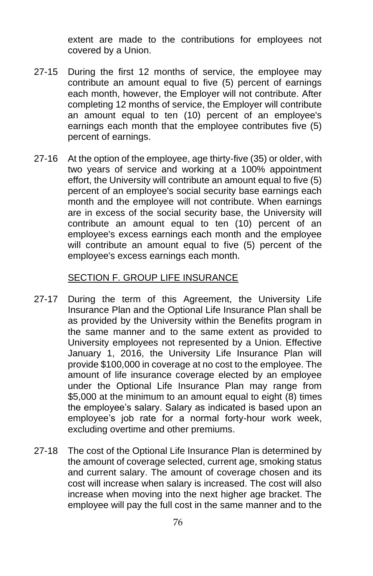extent are made to the contributions for employees not covered by a Union.

- 27-15 During the first 12 months of service, the employee may contribute an amount equal to five (5) percent of earnings each month, however, the Employer will not contribute. After completing 12 months of service, the Employer will contribute an amount equal to ten (10) percent of an employee's earnings each month that the employee contributes five (5) percent of earnings.
- 27-16 At the option of the employee, age thirty-five (35) or older, with two years of service and working at a 100% appointment effort, the University will contribute an amount equal to five (5) percent of an employee's social security base earnings each month and the employee will not contribute. When earnings are in excess of the social security base, the University will contribute an amount equal to ten (10) percent of an employee's excess earnings each month and the employee will contribute an amount equal to five (5) percent of the employee's excess earnings each month.

#### SECTION F. GROUP LIFE INSURANCE

- 27-17 During the term of this Agreement, the University Life Insurance Plan and the Optional Life Insurance Plan shall be as provided by the University within the Benefits program in the same manner and to the same extent as provided to University employees not represented by a Union. Effective January 1, 2016, the University Life Insurance Plan will provide \$100,000 in coverage at no cost to the employee. The amount of life insurance coverage elected by an employee under the Optional Life Insurance Plan may range from \$5,000 at the minimum to an amount equal to eight (8) times the employee's salary. Salary as indicated is based upon an employee's job rate for a normal forty-hour work week, excluding overtime and other premiums.
- 27-18 The cost of the Optional Life Insurance Plan is determined by the amount of coverage selected, current age, smoking status and current salary. The amount of coverage chosen and its cost will increase when salary is increased. The cost will also increase when moving into the next higher age bracket. The employee will pay the full cost in the same manner and to the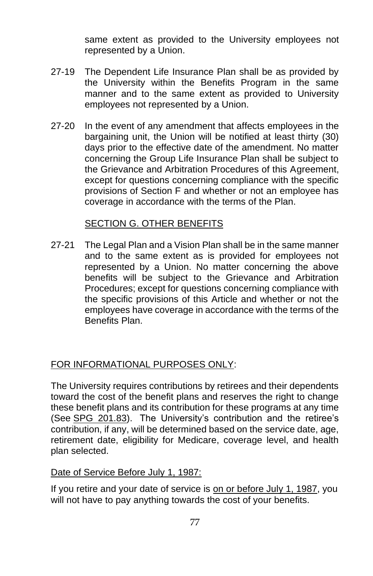same extent as provided to the University employees not represented by a Union.

- 27-19 The Dependent Life Insurance Plan shall be as provided by the University within the Benefits Program in the same manner and to the same extent as provided to University employees not represented by a Union.
- 27-20 In the event of any amendment that affects employees in the bargaining unit, the Union will be notified at least thirty (30) days prior to the effective date of the amendment. No matter concerning the Group Life Insurance Plan shall be subject to the Grievance and Arbitration Procedures of this Agreement, except for questions concerning compliance with the specific provisions of Section F and whether or not an employee has coverage in accordance with the terms of the Plan.

#### SECTION G. OTHER BENEFITS

27-21 The Legal Plan and a Vision Plan shall be in the same manner and to the same extent as is provided for employees not represented by a Union. No matter concerning the above benefits will be subject to the Grievance and Arbitration Procedures; except for questions concerning compliance with the specific provisions of this Article and whether or not the employees have coverage in accordance with the terms of the Benefits Plan.

### FOR INFORMATIONAL PURPOSES ONLY:

The University requires contributions by retirees and their dependents toward the cost of the benefit plans and reserves the right to change these benefit plans and its contribution for these programs at any time (See [SPG 201.83\)](http://spg.umich.edu/pdf/201.83.pdf). The University's contribution and the retiree's contribution, if any, will be determined based on the service date, age, retirement date, eligibility for Medicare, coverage level, and health plan selected.

#### Date of Service Before July 1, 1987:

If you retire and your date of service is on or before July 1, 1987, you will not have to pay anything towards the cost of your benefits.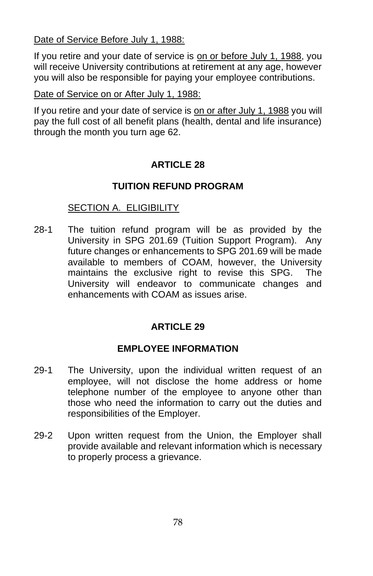Date of Service Before July 1, 1988:

If you retire and your date of service is on or before July 1, 1988, you will receive University contributions at retirement at any age, however you will also be responsible for paying your employee contributions.

Date of Service on or After July 1, 1988:

If you retire and your date of service is on or after July 1, 1988 you will pay the full cost of all benefit plans (health, dental and life insurance) through the month you turn age 62.

# **ARTICLE 28**

# **TUITION REFUND PROGRAM**

# SECTION A. ELIGIBILITY

28-1 The tuition refund program will be as provided by the University in SPG 201.69 (Tuition Support Program). Any future changes or enhancements to SPG 201.69 will be made available to members of COAM, however, the University maintains the exclusive right to revise this SPG. The University will endeavor to communicate changes and enhancements with COAM as issues arise.

# **ARTICLE 29**

# **EMPLOYEE INFORMATION**

- 29-1 The University, upon the individual written request of an employee, will not disclose the home address or home telephone number of the employee to anyone other than those who need the information to carry out the duties and responsibilities of the Employer.
- 29-2 Upon written request from the Union, the Employer shall provide available and relevant information which is necessary to properly process a grievance.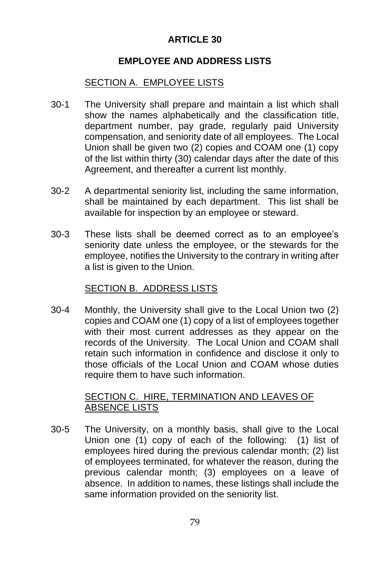### **EMPLOYEE AND ADDRESS LISTS**

### SECTION A. EMPLOYEE LISTS

- 30-1 The University shall prepare and maintain a list which shall show the names alphabetically and the classification title, department number, pay grade, regularly paid University compensation, and seniority date of all employees. The Local Union shall be given two (2) copies and COAM one (1) copy of the list within thirty (30) calendar days after the date of this Agreement, and thereafter a current list monthly.
- 30-2 A departmental seniority list, including the same information, shall be maintained by each department. This list shall be available for inspection by an employee or steward.
- 30-3 These lists shall be deemed correct as to an employee's seniority date unless the employee, or the stewards for the employee, notifies the University to the contrary in writing after a list is given to the Union.

#### SECTION B. ADDRESS LISTS

30-4 Monthly, the University shall give to the Local Union two (2) copies and COAM one (1) copy of a list of employees together with their most current addresses as they appear on the records of the University. The Local Union and COAM shall retain such information in confidence and disclose it only to those officials of the Local Union and COAM whose duties require them to have such information.

#### SECTION C. HIRE, TERMINATION AND LEAVES OF ABSENCE LISTS

30-5 The University, on a monthly basis, shall give to the Local Union one (1) copy of each of the following: (1) list of employees hired during the previous calendar month; (2) list of employees terminated, for whatever the reason, during the previous calendar month; (3) employees on a leave of absence. In addition to names, these listings shall include the same information provided on the seniority list.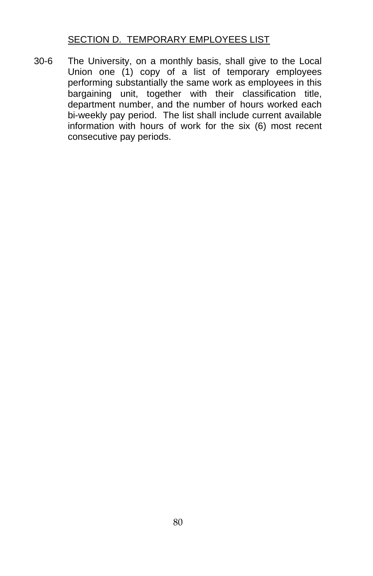# SECTION D. TEMPORARY EMPLOYEES LIST

30-6 The University, on a monthly basis, shall give to the Local Union one (1) copy of a list of temporary employees performing substantially the same work as employees in this bargaining unit, together with their classification title, department number, and the number of hours worked each bi-weekly pay period. The list shall include current available information with hours of work for the six (6) most recent consecutive pay periods.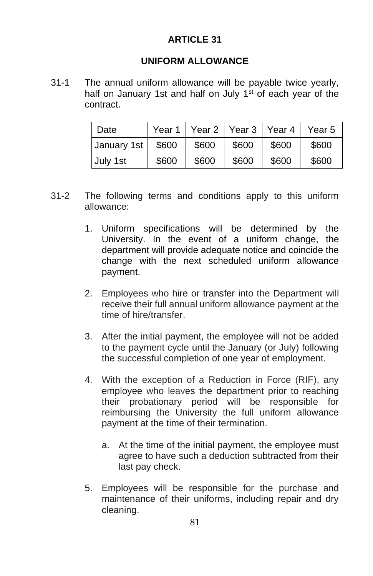#### **UNIFORM ALLOWANCE**

31-1 The annual uniform allowance will be payable twice yearly, half on January 1st and half on July 1<sup>st</sup> of each year of the contract.

| Date        | Year 1 |       | Year 2   Year 3   Year 4 |       | Year 5 |
|-------------|--------|-------|--------------------------|-------|--------|
| January 1st | \$600  | \$600 | \$600                    | \$600 | \$600  |
| July 1st    | \$600  | \$600 | \$600                    | \$600 | \$600  |

- 31-2 The following terms and conditions apply to this uniform allowance:
	- 1. Uniform specifications will be determined by the University. In the event of a uniform change, the department will provide adequate notice and coincide the change with the next scheduled uniform allowance payment.
	- 2. Employees who hire or transfer into the Department will receive their full annual uniform allowance payment at the time of hire/transfer.
	- 3. After the initial payment, the employee will not be added to the payment cycle until the January (or July) following the successful completion of one year of employment.
	- 4. With the exception of a Reduction in Force (RIF), any employee who leaves the department prior to reaching their probationary period will be responsible for reimbursing the University the full uniform allowance payment at the time of their termination.
		- a. At the time of the initial payment, the employee must agree to have such a deduction subtracted from their last pay check.
	- 5. Employees will be responsible for the purchase and maintenance of their uniforms, including repair and dry cleaning.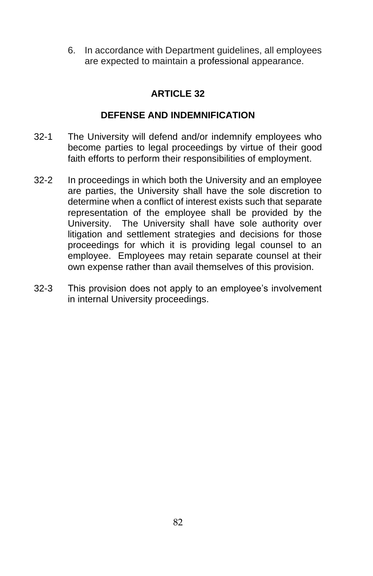6. In accordance with Department guidelines, all employees are expected to maintain a professional appearance.

### **ARTICLE 32**

### **DEFENSE AND INDEMNIFICATION**

- 32-1 The University will defend and/or indemnify employees who become parties to legal proceedings by virtue of their good faith efforts to perform their responsibilities of employment.
- 32-2 In proceedings in which both the University and an employee are parties, the University shall have the sole discretion to determine when a conflict of interest exists such that separate representation of the employee shall be provided by the University. The University shall have sole authority over litigation and settlement strategies and decisions for those proceedings for which it is providing legal counsel to an employee. Employees may retain separate counsel at their own expense rather than avail themselves of this provision.
- 32-3 This provision does not apply to an employee's involvement in internal University proceedings.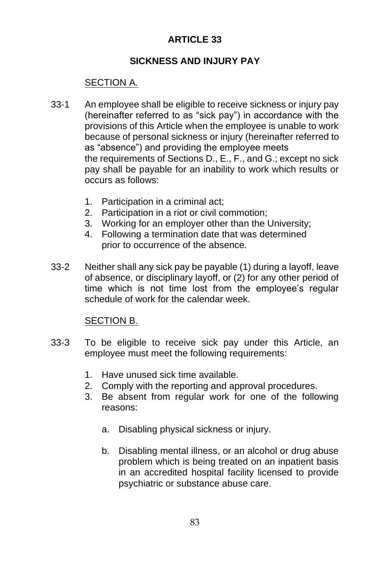### **SICKNESS AND INJURY PAY**

## SECTION A.

- 33-1 An employee shall be eligible to receive sickness or injury pay (hereinafter referred to as "sick pay") in accordance with the provisions of this Article when the employee is unable to work because of personal sickness or injury (hereinafter referred to as "absence") and providing the employee meets the requirements of Sections D., E., F., and G.; except no sick pay shall be payable for an inability to work which results or occurs as follows:
	- 1. Participation in a criminal act;
	- 2. Participation in a riot or civil commotion;
	- 3. Working for an employer other than the University;
	- 4. Following a termination date that was determined prior to occurrence of the absence.
- 33-2 Neither shall any sick pay be payable (1) during a layoff, leave of absence, or disciplinary layoff, or (2) for any other period of time which is not time lost from the employee's regular schedule of work for the calendar week.

### SECTION B.

- 33-3 To be eligible to receive sick pay under this Article, an employee must meet the following requirements:
	- 1. Have unused sick time available.
	- 2. Comply with the reporting and approval procedures.
	- 3. Be absent from regular work for one of the following reasons:
		- a. Disabling physical sickness or injury.
		- b. Disabling mental illness, or an alcohol or drug abuse problem which is being treated on an inpatient basis in an accredited hospital facility licensed to provide psychiatric or substance abuse care.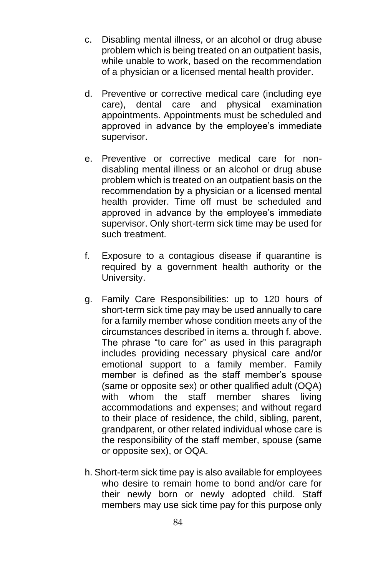- c. Disabling mental illness, or an alcohol or drug abuse problem which is being treated on an outpatient basis, while unable to work, based on the recommendation of a physician or a licensed mental health provider.
- d. Preventive or corrective medical care (including eye care), dental care and physical examination appointments. Appointments must be scheduled and approved in advance by the employee's immediate supervisor.
- e. Preventive or corrective medical care for nondisabling mental illness or an alcohol or drug abuse problem which is treated on an outpatient basis on the recommendation by a physician or a licensed mental health provider. Time off must be scheduled and approved in advance by the employee's immediate supervisor. Only short-term sick time may be used for such treatment.
- f. Exposure to a contagious disease if quarantine is required by a government health authority or the University.
- g. Family Care Responsibilities: up to 120 hours of short-term sick time pay may be used annually to care for a family member whose condition meets any of the circumstances described in items a. through f. above. The phrase "to care for" as used in this paragraph includes providing necessary physical care and/or emotional support to a family member. Family member is defined as the staff member's spouse (same or opposite sex) or other qualified adult (OQA) with whom the staff member shares living accommodations and expenses; and without regard to their place of residence, the child, sibling, parent, grandparent, or other related individual whose care is the responsibility of the staff member, spouse (same or opposite sex), or OQA.
- h. Short-term sick time pay is also available for employees who desire to remain home to bond and/or care for their newly born or newly adopted child. Staff members may use sick time pay for this purpose only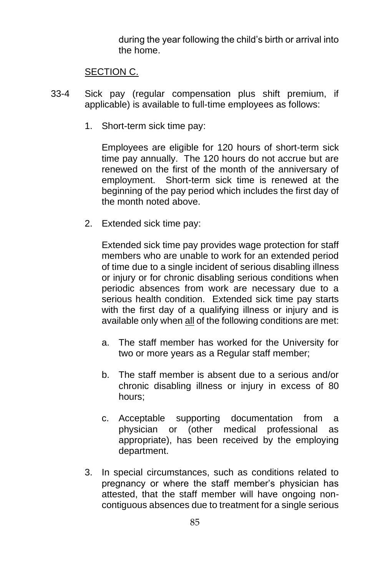during the year following the child's birth or arrival into the home.

#### SECTION C.

- 33-4 Sick pay (regular compensation plus shift premium, if applicable) is available to full-time employees as follows:
	- 1. Short-term sick time pay:

Employees are eligible for 120 hours of short-term sick time pay annually. The 120 hours do not accrue but are renewed on the first of the month of the anniversary of employment. Short-term sick time is renewed at the beginning of the pay period which includes the first day of the month noted above.

2. Extended sick time pay:

Extended sick time pay provides wage protection for staff members who are unable to work for an extended period of time due to a single incident of serious disabling illness or injury or for chronic disabling serious conditions when periodic absences from work are necessary due to a serious health condition. Extended sick time pay starts with the first day of a qualifying illness or injury and is available only when all of the following conditions are met:

- a. The staff member has worked for the University for two or more years as a Regular staff member;
- b. The staff member is absent due to a serious and/or chronic disabling illness or injury in excess of 80 hours;
- c. Acceptable supporting documentation from a physician or (other medical professional as appropriate), has been received by the employing department.
- 3. In special circumstances, such as conditions related to pregnancy or where the staff member's physician has attested, that the staff member will have ongoing noncontiguous absences due to treatment for a single serious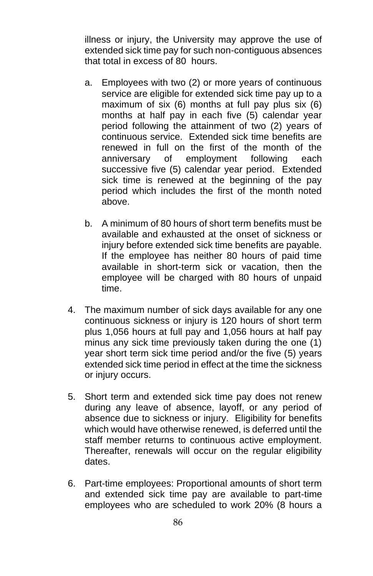illness or injury, the University may approve the use of extended sick time pay for such non-contiguous absences that total in excess of 80 hours.

- a. Employees with two (2) or more years of continuous service are eligible for extended sick time pay up to a maximum of six (6) months at full pay plus six (6) months at half pay in each five (5) calendar year period following the attainment of two (2) years of continuous service. Extended sick time benefits are renewed in full on the first of the month of the anniversary of employment following each successive five (5) calendar year period. Extended sick time is renewed at the beginning of the pay period which includes the first of the month noted above.
- b. A minimum of 80 hours of short term benefits must be available and exhausted at the onset of sickness or injury before extended sick time benefits are payable. If the employee has neither 80 hours of paid time available in short-term sick or vacation, then the employee will be charged with 80 hours of unpaid time.
- 4. The maximum number of sick days available for any one continuous sickness or injury is 120 hours of short term plus 1,056 hours at full pay and 1,056 hours at half pay minus any sick time previously taken during the one (1) year short term sick time period and/or the five (5) years extended sick time period in effect at the time the sickness or injury occurs.
- 5. Short term and extended sick time pay does not renew during any leave of absence, layoff, or any period of absence due to sickness or injury. Eligibility for benefits which would have otherwise renewed, is deferred until the staff member returns to continuous active employment. Thereafter, renewals will occur on the regular eligibility dates.
- 6. Part-time employees: Proportional amounts of short term and extended sick time pay are available to part-time employees who are scheduled to work 20% (8 hours a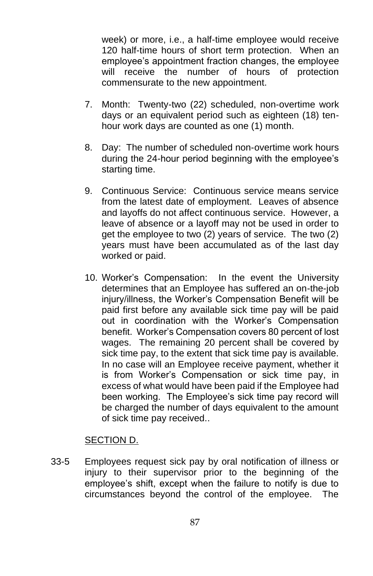week) or more, i.e., a half-time employee would receive 120 half-time hours of short term protection. When an employee's appointment fraction changes, the employee will receive the number of hours of protection commensurate to the new appointment.

- 7. Month: Twenty-two (22) scheduled, non-overtime work days or an equivalent period such as eighteen (18) tenhour work days are counted as one (1) month.
- 8. Day: The number of scheduled non-overtime work hours during the 24-hour period beginning with the employee's starting time.
- 9. Continuous Service: Continuous service means service from the latest date of employment. Leaves of absence and layoffs do not affect continuous service. However, a leave of absence or a layoff may not be used in order to get the employee to two (2) years of service. The two (2) years must have been accumulated as of the last day worked or paid.
- 10. Worker's Compensation: In the event the University determines that an Employee has suffered an on-the-job injury/illness, the Worker's Compensation Benefit will be paid first before any available sick time pay will be paid out in coordination with the Worker's Compensation benefit. Worker's Compensation covers 80 percent of lost wages. The remaining 20 percent shall be covered by sick time pay, to the extent that sick time pay is available. In no case will an Employee receive payment, whether it is from Worker's Compensation or sick time pay, in excess of what would have been paid if the Employee had been working. The Employee's sick time pay record will be charged the number of days equivalent to the amount of sick time pay received..

#### SECTION D.

33-5 Employees request sick pay by oral notification of illness or injury to their supervisor prior to the beginning of the employee's shift, except when the failure to notify is due to circumstances beyond the control of the employee. The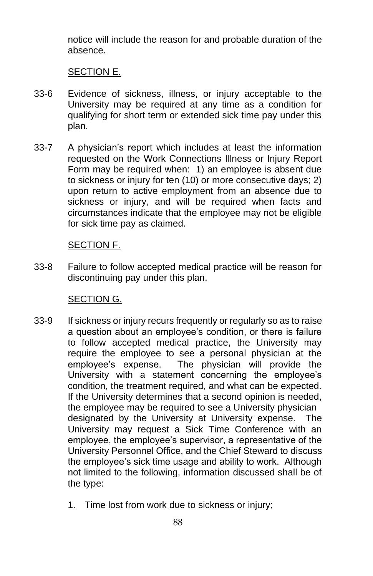notice will include the reason for and probable duration of the absence.

#### SECTION E.

- 33-6 Evidence of sickness, illness, or injury acceptable to the University may be required at any time as a condition for qualifying for short term or extended sick time pay under this plan.
- 33-7 A physician's report which includes at least the information requested on the Work Connections Illness or Injury Report Form may be required when: 1) an employee is absent due to sickness or injury for ten (10) or more consecutive days; 2) upon return to active employment from an absence due to sickness or injury, and will be required when facts and circumstances indicate that the employee may not be eligible for sick time pay as claimed.

### SECTION F.

33-8 Failure to follow accepted medical practice will be reason for discontinuing pay under this plan.

#### SECTION G.

- 33-9 If sickness or injury recurs frequently or regularly so as to raise a question about an employee's condition, or there is failure to follow accepted medical practice, the University may require the employee to see a personal physician at the employee's expense. The physician will provide the University with a statement concerning the employee's condition, the treatment required, and what can be expected. If the University determines that a second opinion is needed, the employee may be required to see a University physician designated by the University at University expense. The University may request a Sick Time Conference with an employee, the employee's supervisor, a representative of the University Personnel Office, and the Chief Steward to discuss the employee's sick time usage and ability to work. Although not limited to the following, information discussed shall be of the type:
	- 1. Time lost from work due to sickness or injury;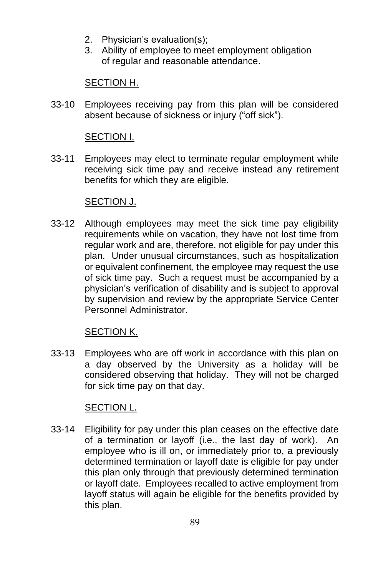- 2. Physician's evaluation(s);
- 3. Ability of employee to meet employment obligation of regular and reasonable attendance.

### SECTION H.

33-10 Employees receiving pay from this plan will be considered absent because of sickness or injury ("off sick").

### SECTION I.

33-11 Employees may elect to terminate regular employment while receiving sick time pay and receive instead any retirement benefits for which they are eligible.

### SECTION J.

33-12 Although employees may meet the sick time pay eligibility requirements while on vacation, they have not lost time from regular work and are, therefore, not eligible for pay under this plan. Under unusual circumstances, such as hospitalization or equivalent confinement, the employee may request the use of sick time pay. Such a request must be accompanied by a physician's verification of disability and is subject to approval by supervision and review by the appropriate Service Center Personnel Administrator.

### SECTION K.

33-13 Employees who are off work in accordance with this plan on a day observed by the University as a holiday will be considered observing that holiday. They will not be charged for sick time pay on that day.

# SECTION L.

33-14 Eligibility for pay under this plan ceases on the effective date of a termination or layoff (i.e., the last day of work). An employee who is ill on, or immediately prior to, a previously determined termination or layoff date is eligible for pay under this plan only through that previously determined termination or layoff date. Employees recalled to active employment from layoff status will again be eligible for the benefits provided by this plan.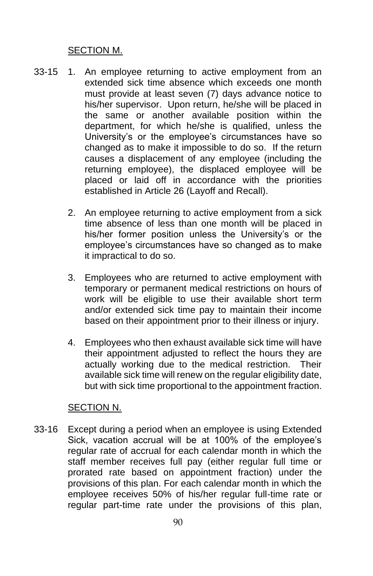#### SECTION M.

- 33-15 1. An employee returning to active employment from an extended sick time absence which exceeds one month must provide at least seven (7) days advance notice to his/her supervisor. Upon return, he/she will be placed in the same or another available position within the department, for which he/she is qualified, unless the University's or the employee's circumstances have so changed as to make it impossible to do so. If the return causes a displacement of any employee (including the returning employee), the displaced employee will be placed or laid off in accordance with the priorities established in Article 26 (Layoff and Recall).
	- 2. An employee returning to active employment from a sick time absence of less than one month will be placed in his/her former position unless the University's or the employee's circumstances have so changed as to make it impractical to do so.
	- 3. Employees who are returned to active employment with temporary or permanent medical restrictions on hours of work will be eligible to use their available short term and/or extended sick time pay to maintain their income based on their appointment prior to their illness or injury.
	- 4. Employees who then exhaust available sick time will have their appointment adjusted to reflect the hours they are actually working due to the medical restriction. Their available sick time will renew on the regular eligibility date, but with sick time proportional to the appointment fraction.

#### SECTION N.

33-16 Except during a period when an employee is using Extended Sick, vacation accrual will be at 100% of the employee's regular rate of accrual for each calendar month in which the staff member receives full pay (either regular full time or prorated rate based on appointment fraction) under the provisions of this plan. For each calendar month in which the employee receives 50% of his/her regular full-time rate or regular part-time rate under the provisions of this plan,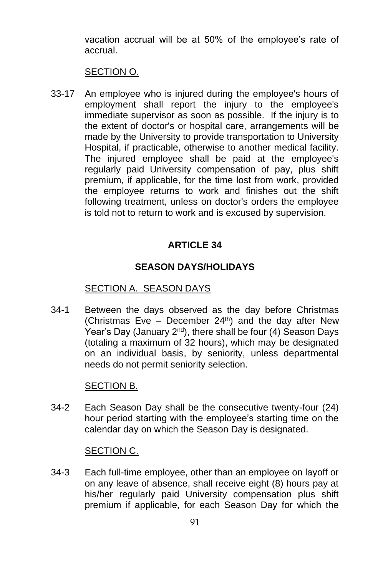vacation accrual will be at 50% of the employee's rate of accrual.

#### SECTION O.

33-17 An employee who is injured during the employee's hours of employment shall report the injury to the employee's immediate supervisor as soon as possible. If the injury is to the extent of doctor's or hospital care, arrangements will be made by the University to provide transportation to University Hospital, if practicable, otherwise to another medical facility. The injured employee shall be paid at the employee's regularly paid University compensation of pay, plus shift premium, if applicable, for the time lost from work, provided the employee returns to work and finishes out the shift following treatment, unless on doctor's orders the employee is told not to return to work and is excused by supervision.

### **ARTICLE 34**

#### **SEASON DAYS/HOLIDAYS**

#### SECTION A. SEASON DAYS

34-1 Between the days observed as the day before Christmas (Christmas Eve – December  $24<sup>th</sup>$ ) and the day after New Year's Day (January 2<sup>nd</sup>), there shall be four (4) Season Days (totaling a maximum of 32 hours), which may be designated on an individual basis, by seniority, unless departmental needs do not permit seniority selection.

#### SECTION B.

34-2 Each Season Day shall be the consecutive twenty-four (24) hour period starting with the employee's starting time on the calendar day on which the Season Day is designated.

#### SECTION C.

34-3 Each full-time employee, other than an employee on layoff or on any leave of absence, shall receive eight (8) hours pay at his/her regularly paid University compensation plus shift premium if applicable, for each Season Day for which the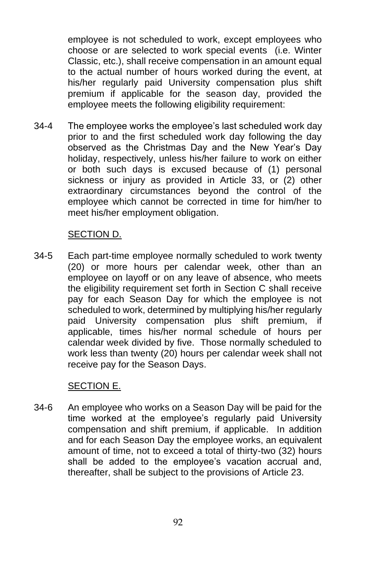employee is not scheduled to work, except employees who choose or are selected to work special events (i.e. Winter Classic, etc.), shall receive compensation in an amount equal to the actual number of hours worked during the event, at his/her regularly paid University compensation plus shift premium if applicable for the season day, provided the employee meets the following eligibility requirement:

34-4 The employee works the employee's last scheduled work day prior to and the first scheduled work day following the day observed as the Christmas Day and the New Year's Day holiday, respectively, unless his/her failure to work on either or both such days is excused because of (1) personal sickness or injury as provided in Article 33, or (2) other extraordinary circumstances beyond the control of the employee which cannot be corrected in time for him/her to meet his/her employment obligation.

#### SECTION D.

34-5 Each part-time employee normally scheduled to work twenty (20) or more hours per calendar week, other than an employee on layoff or on any leave of absence, who meets the eligibility requirement set forth in Section C shall receive pay for each Season Day for which the employee is not scheduled to work, determined by multiplying his/her regularly paid University compensation plus shift premium, if applicable, times his/her normal schedule of hours per calendar week divided by five. Those normally scheduled to work less than twenty (20) hours per calendar week shall not receive pay for the Season Days.

#### SECTION E.

34-6 An employee who works on a Season Day will be paid for the time worked at the employee's regularly paid University compensation and shift premium, if applicable. In addition and for each Season Day the employee works, an equivalent amount of time, not to exceed a total of thirty-two (32) hours shall be added to the employee's vacation accrual and, thereafter, shall be subject to the provisions of Article 23.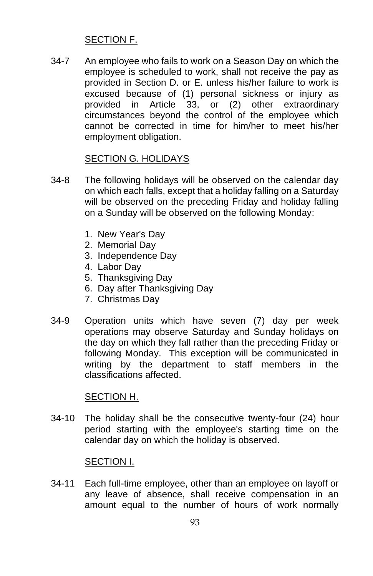### SECTION F.

34-7 An employee who fails to work on a Season Day on which the employee is scheduled to work, shall not receive the pay as provided in Section D. or E. unless his/her failure to work is excused because of (1) personal sickness or injury as provided in Article 33, or (2) other extraordinary circumstances beyond the control of the employee which cannot be corrected in time for him/her to meet his/her employment obligation.

### SECTION G. HOLIDAYS

- 34-8 The following holidays will be observed on the calendar day on which each falls, except that a holiday falling on a Saturday will be observed on the preceding Friday and holiday falling on a Sunday will be observed on the following Monday:
	- 1. New Year's Day
	- 2. Memorial Day
	- 3. Independence Day
	- 4. Labor Day
	- 5. Thanksgiving Day
	- 6. Day after Thanksgiving Day
	- 7. Christmas Day
- 34-9 Operation units which have seven (7) day per week operations may observe Saturday and Sunday holidays on the day on which they fall rather than the preceding Friday or following Monday. This exception will be communicated in writing by the department to staff members in the classifications affected.

#### SECTION H.

34-10 The holiday shall be the consecutive twenty-four (24) hour period starting with the employee's starting time on the calendar day on which the holiday is observed.

#### SECTION I.

34-11 Each full-time employee, other than an employee on layoff or any leave of absence, shall receive compensation in an amount equal to the number of hours of work normally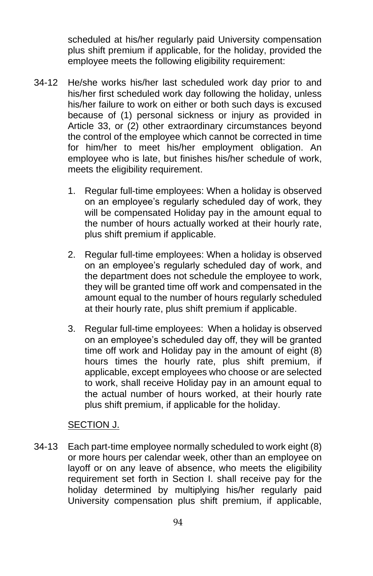scheduled at his/her regularly paid University compensation plus shift premium if applicable, for the holiday, provided the employee meets the following eligibility requirement:

- 34-12 He/she works his/her last scheduled work day prior to and his/her first scheduled work day following the holiday, unless his/her failure to work on either or both such days is excused because of (1) personal sickness or injury as provided in Article 33, or (2) other extraordinary circumstances beyond the control of the employee which cannot be corrected in time for him/her to meet his/her employment obligation. An employee who is late, but finishes his/her schedule of work, meets the eligibility requirement.
	- 1. Regular full-time employees: When a holiday is observed on an employee's regularly scheduled day of work, they will be compensated Holiday pay in the amount equal to the number of hours actually worked at their hourly rate, plus shift premium if applicable.
	- 2. Regular full-time employees: When a holiday is observed on an employee's regularly scheduled day of work, and the department does not schedule the employee to work, they will be granted time off work and compensated in the amount equal to the number of hours regularly scheduled at their hourly rate, plus shift premium if applicable.
	- 3. Regular full-time employees: When a holiday is observed on an employee's scheduled day off, they will be granted time off work and Holiday pay in the amount of eight (8) hours times the hourly rate, plus shift premium, if applicable, except employees who choose or are selected to work, shall receive Holiday pay in an amount equal to the actual number of hours worked, at their hourly rate plus shift premium, if applicable for the holiday.

#### SECTION J.

34-13 Each part-time employee normally scheduled to work eight (8) or more hours per calendar week, other than an employee on layoff or on any leave of absence, who meets the eligibility requirement set forth in Section I. shall receive pay for the holiday determined by multiplying his/her regularly paid University compensation plus shift premium, if applicable,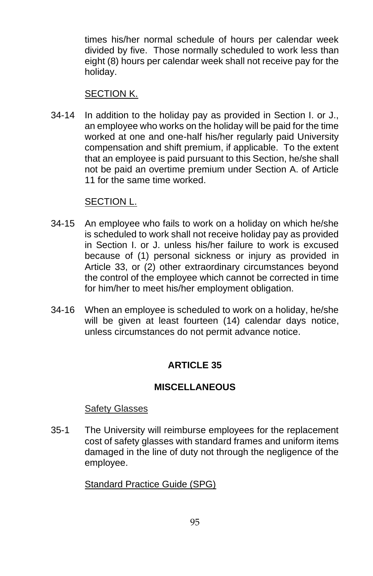times his/her normal schedule of hours per calendar week divided by five. Those normally scheduled to work less than eight (8) hours per calendar week shall not receive pay for the holiday.

#### SECTION K.

34-14 In addition to the holiday pay as provided in Section I. or J., an employee who works on the holiday will be paid for the time worked at one and one-half his/her regularly paid University compensation and shift premium, if applicable. To the extent that an employee is paid pursuant to this Section, he/she shall not be paid an overtime premium under Section A. of Article 11 for the same time worked.

#### SECTION L.

- 34-15 An employee who fails to work on a holiday on which he/she is scheduled to work shall not receive holiday pay as provided in Section I. or J. unless his/her failure to work is excused because of (1) personal sickness or injury as provided in Article 33, or (2) other extraordinary circumstances beyond the control of the employee which cannot be corrected in time for him/her to meet his/her employment obligation.
- 34-16 When an employee is scheduled to work on a holiday, he/she will be given at least fourteen (14) calendar days notice, unless circumstances do not permit advance notice.

# **ARTICLE 35**

### **MISCELLANEOUS**

### Safety Glasses

35-1 The University will reimburse employees for the replacement cost of safety glasses with standard frames and uniform items damaged in the line of duty not through the negligence of the employee.

Standard Practice Guide (SPG)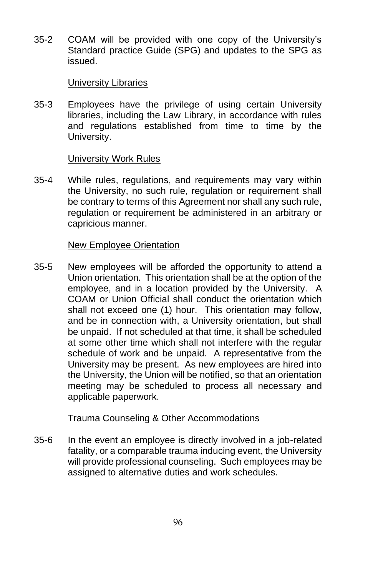35-2 COAM will be provided with one copy of the University's Standard practice Guide (SPG) and updates to the SPG as issued.

#### University Libraries

35-3 Employees have the privilege of using certain University libraries, including the Law Library, in accordance with rules and regulations established from time to time by the University.

#### University Work Rules

35-4 While rules, regulations, and requirements may vary within the University, no such rule, regulation or requirement shall be contrary to terms of this Agreement nor shall any such rule, regulation or requirement be administered in an arbitrary or capricious manner.

#### New Employee Orientation

35-5 New employees will be afforded the opportunity to attend a Union orientation. This orientation shall be at the option of the employee, and in a location provided by the University. A COAM or Union Official shall conduct the orientation which shall not exceed one (1) hour. This orientation may follow, and be in connection with, a University orientation, but shall be unpaid. If not scheduled at that time, it shall be scheduled at some other time which shall not interfere with the regular schedule of work and be unpaid. A representative from the University may be present. As new employees are hired into the University, the Union will be notified, so that an orientation meeting may be scheduled to process all necessary and applicable paperwork.

### Trauma Counseling & Other Accommodations

35-6 In the event an employee is directly involved in a job-related fatality, or a comparable trauma inducing event, the University will provide professional counseling. Such employees may be assigned to alternative duties and work schedules.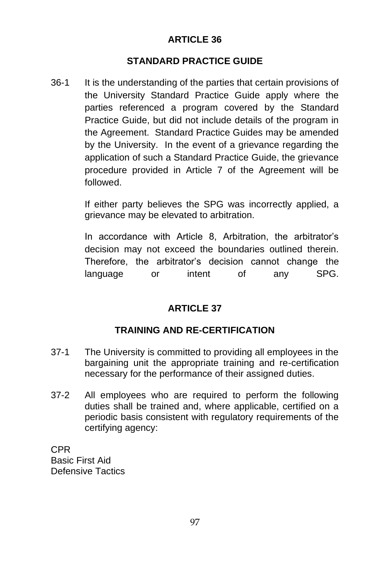# **STANDARD PRACTICE GUIDE**

36-1 It is the understanding of the parties that certain provisions of the University Standard Practice Guide apply where the parties referenced a program covered by the Standard Practice Guide, but did not include details of the program in the Agreement. Standard Practice Guides may be amended by the University. In the event of a grievance regarding the application of such a Standard Practice Guide, the grievance procedure provided in Article 7 of the Agreement will be followed.

> If either party believes the SPG was incorrectly applied, a grievance may be elevated to arbitration.

> In accordance with Article 8, Arbitration, the arbitrator's decision may not exceed the boundaries outlined therein. Therefore, the arbitrator's decision cannot change the language or intent of any SPG.

# **ARTICLE 37**

# **TRAINING AND RE-CERTIFICATION**

- 37-1 The University is committed to providing all employees in the bargaining unit the appropriate training and re-certification necessary for the performance of their assigned duties.
- 37-2 All employees who are required to perform the following duties shall be trained and, where applicable, certified on a periodic basis consistent with regulatory requirements of the certifying agency:

CPR Basic First Aid Defensive Tactics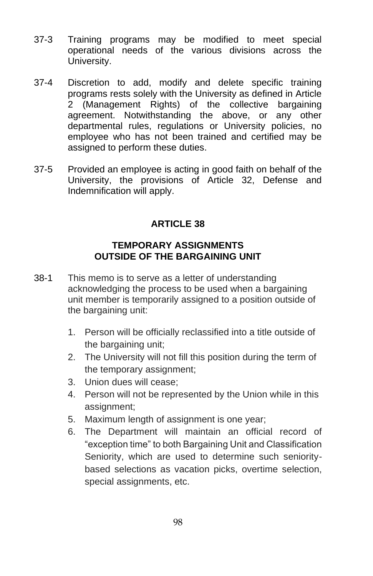- 37-3 Training programs may be modified to meet special operational needs of the various divisions across the University.
- 37-4 Discretion to add, modify and delete specific training programs rests solely with the University as defined in Article 2 (Management Rights) of the collective bargaining agreement. Notwithstanding the above, or any other departmental rules, regulations or University policies, no employee who has not been trained and certified may be assigned to perform these duties.
- 37-5 Provided an employee is acting in good faith on behalf of the University, the provisions of Article 32, Defense and Indemnification will apply.

### **TEMPORARY ASSIGNMENTS OUTSIDE OF THE BARGAINING UNIT**

- 38-1 This memo is to serve as a letter of understanding acknowledging the process to be used when a bargaining unit member is temporarily assigned to a position outside of the bargaining unit:
	- 1. Person will be officially reclassified into a title outside of the bargaining unit;
	- 2. The University will not fill this position during the term of the temporary assignment;
	- 3. Union dues will cease;
	- 4. Person will not be represented by the Union while in this assignment;
	- 5. Maximum length of assignment is one year;
	- 6. The Department will maintain an official record of "exception time" to both Bargaining Unit and Classification Seniority, which are used to determine such senioritybased selections as vacation picks, overtime selection, special assignments, etc.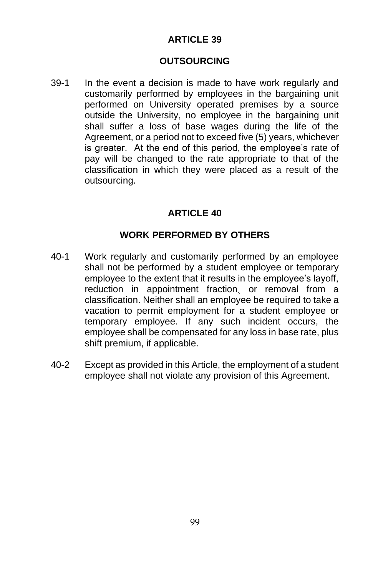#### **OUTSOURCING**

39-1 In the event a decision is made to have work regularly and customarily performed by employees in the bargaining unit performed on University operated premises by a source outside the University, no employee in the bargaining unit shall suffer a loss of base wages during the life of the Agreement, or a period not to exceed five (5) years, whichever is greater. At the end of this period, the employee's rate of pay will be changed to the rate appropriate to that of the classification in which they were placed as a result of the outsourcing.

### **ARTICLE 40**

#### **WORK PERFORMED BY OTHERS**

- 40-1 Work regularly and customarily performed by an employee shall not be performed by a student employee or temporary employee to the extent that it results in the employee's layoff, reduction in appointment fraction or removal from a classification. Neither shall an employee be required to take a vacation to permit employment for a student employee or temporary employee. If any such incident occurs, the employee shall be compensated for any loss in base rate, plus shift premium, if applicable.
- 40-2 Except as provided in this Article, the employment of a student employee shall not violate any provision of this Agreement.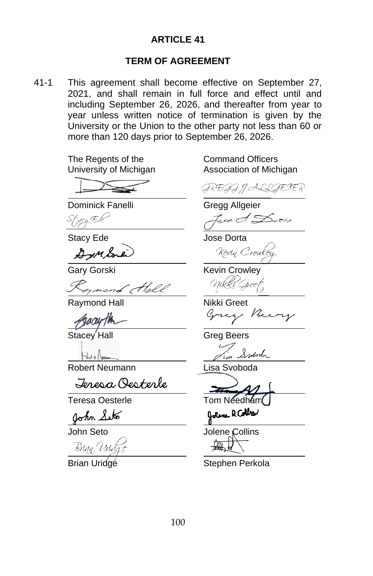#### **TERM OF AGREEMENT**

41-1 This agreement shall become effective on September 27, 2021, and shall remain in full force and effect until and including September 26, 2026, and thereafter from year to year unless written notice of termination is given by the University or the Union to the other party not less than 60 or more than 120 days prior to September 26, 2026.

The Regents of the Command Officers

Dominick Fanelli Gregg Allgeier

Stracy Ede

gynond Hell

Raymond Hall Nikki Greet

Garuth

 Stacey Hall Greg Beers

Robert Neumann Lisa Svoboda

Jeresa Oesterle

Teresa Oesterle Tom Needham

John Seto

**John Seto** 

Brian Uridge<br>**Brian Uridge** 

University of Michigan Association of Michigan

GREGG J ALLGERER

Jose A Dorta

Stacy Ede **Jose Dorta** 

2 mbre) Kevin Crowles

Gary Gorski Kevin Crowley Mikki Gree<sub>l</sub>

Grey Berry

Swood

bolone R Colles

Jolene Collins

Stephen Perkola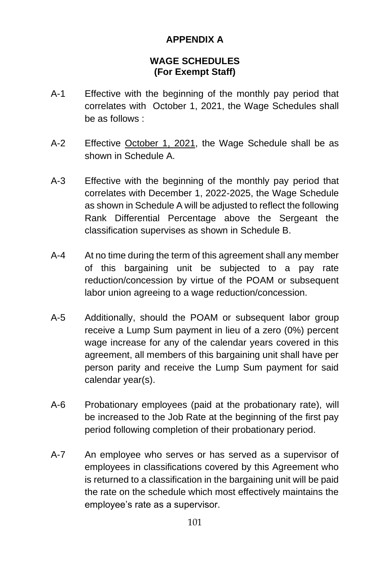# **APPENDIX A**

### **WAGE SCHEDULES (For Exempt Staff)**

- A-1 Effective with the beginning of the monthly pay period that correlates with October 1, 2021, the Wage Schedules shall be as follows :
- A-2 Effective October 1, 2021, the Wage Schedule shall be as shown in Schedule A.
- A-3 Effective with the beginning of the monthly pay period that correlates with December 1, 2022-2025, the Wage Schedule as shown in Schedule A will be adjusted to reflect the following Rank Differential Percentage above the Sergeant the classification supervises as shown in Schedule B.
- A-4 At no time during the term of this agreement shall any member of this bargaining unit be subjected to a pay rate reduction/concession by virtue of the POAM or subsequent labor union agreeing to a wage reduction/concession.
- A-5 Additionally, should the POAM or subsequent labor group receive a Lump Sum payment in lieu of a zero (0%) percent wage increase for any of the calendar years covered in this agreement, all members of this bargaining unit shall have per person parity and receive the Lump Sum payment for said calendar year(s).
- A-6 Probationary employees (paid at the probationary rate), will be increased to the Job Rate at the beginning of the first pay period following completion of their probationary period.
- A-7 An employee who serves or has served as a supervisor of employees in classifications covered by this Agreement who is returned to a classification in the bargaining unit will be paid the rate on the schedule which most effectively maintains the employee's rate as a supervisor.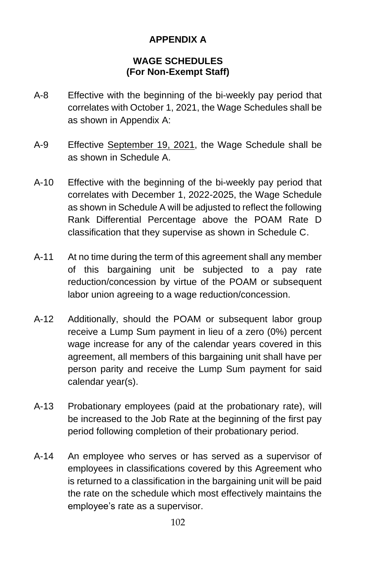# **APPENDIX A**

### **WAGE SCHEDULES (For Non-Exempt Staff)**

- A-8 Effective with the beginning of the bi-weekly pay period that correlates with October 1, 2021, the Wage Schedules shall be as shown in Appendix A:
- A-9 Effective September 19, 2021, the Wage Schedule shall be as shown in Schedule A.
- A-10 Effective with the beginning of the bi-weekly pay period that correlates with December 1, 2022-2025, the Wage Schedule as shown in Schedule A will be adjusted to reflect the following Rank Differential Percentage above the POAM Rate D classification that they supervise as shown in Schedule C.
- A-11 At no time during the term of this agreement shall any member of this bargaining unit be subjected to a pay rate reduction/concession by virtue of the POAM or subsequent labor union agreeing to a wage reduction/concession.
- A-12 Additionally, should the POAM or subsequent labor group receive a Lump Sum payment in lieu of a zero (0%) percent wage increase for any of the calendar years covered in this agreement, all members of this bargaining unit shall have per person parity and receive the Lump Sum payment for said calendar year(s).
- A-13 Probationary employees (paid at the probationary rate), will be increased to the Job Rate at the beginning of the first pay period following completion of their probationary period.
- A-14 An employee who serves or has served as a supervisor of employees in classifications covered by this Agreement who is returned to a classification in the bargaining unit will be paid the rate on the schedule which most effectively maintains the employee's rate as a supervisor.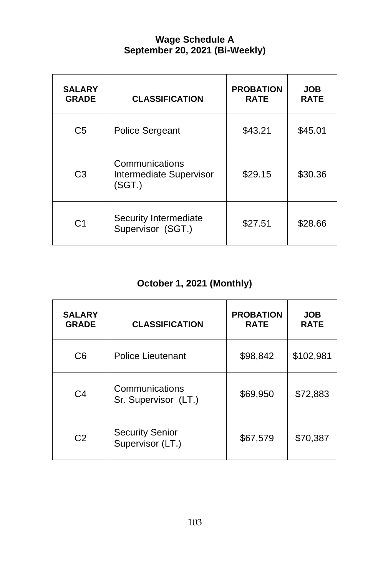# **Wage Schedule A September 20, 2021 (Bi-Weekly)**

| <b>SALARY</b><br><b>GRADE</b> | <b>CLASSIFICATION</b>                               | <b>PROBATION</b><br><b>RATE</b> | <b>JOB</b><br><b>RATE</b> |
|-------------------------------|-----------------------------------------------------|---------------------------------|---------------------------|
| C <sub>5</sub>                | Police Sergeant                                     | \$43.21                         | \$45.01                   |
| C <sub>3</sub>                | Communications<br>Intermediate Supervisor<br>(SGT.) | \$29.15                         | \$30.36                   |
| C <sub>1</sub>                | Security Intermediate<br>Supervisor (SGT.)          | \$27.51                         | \$28.66                   |

# **October 1, 2021 (Monthly)**

| <b>SALARY</b><br><b>GRADE</b> | <b>CLASSIFICATION</b>                      | <b>PROBATION</b><br><b>RATE</b> | <b>JOB</b><br><b>RATE</b> |
|-------------------------------|--------------------------------------------|---------------------------------|---------------------------|
| C6                            | Police Lieutenant                          | \$98,842                        | \$102,981                 |
| C <sub>4</sub>                | Communications<br>Sr. Supervisor (LT.)     | \$69,950                        | \$72,883                  |
| C <sub>2</sub>                | <b>Security Senior</b><br>Supervisor (LT.) | \$67,579                        | \$70,387                  |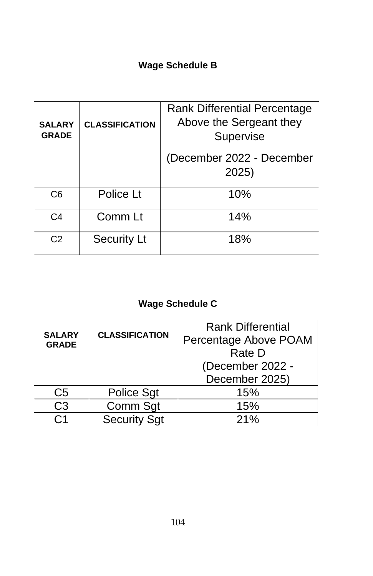# **Wage Schedule B**

| <b>SALARY</b><br><b>GRADE</b> | <b>CLASSIFICATION</b> | <b>Rank Differential Percentage</b><br>Above the Sergeant they<br>Supervise |
|-------------------------------|-----------------------|-----------------------------------------------------------------------------|
|                               |                       | (December 2022 - December<br>2025)                                          |
| C <sub>6</sub>                | Police Lt             | 10%                                                                         |
| C <sub>4</sub>                | Comm Lt               | 14%                                                                         |
| C <sub>2</sub>                | <b>Security Lt</b>    | 18%                                                                         |

# **Wage Schedule C**

| <b>SALARY</b><br><b>GRADE</b> | <b>CLASSIFICATION</b> | <b>Rank Differential</b><br>Percentage Above POAM<br>Rate D<br>(December 2022 -<br>December 2025) |
|-------------------------------|-----------------------|---------------------------------------------------------------------------------------------------|
| C5                            | Police Sgt            | 15%                                                                                               |
| CЗ                            | Comm Sgt              | 15%                                                                                               |
|                               | <b>Security Sqt</b>   | 21%                                                                                               |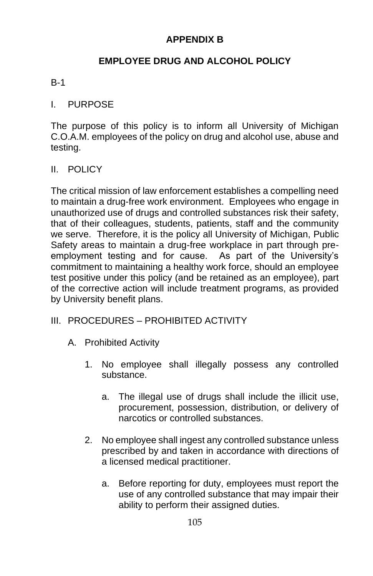## **APPENDIX B**

## **EMPLOYEE DRUG AND ALCOHOL POLICY**

#### B-1

#### I. PURPOSE

The purpose of this policy is to inform all University of Michigan C.O.A.M. employees of the policy on drug and alcohol use, abuse and testing.

#### II. POLICY

The critical mission of law enforcement establishes a compelling need to maintain a drug-free work environment. Employees who engage in unauthorized use of drugs and controlled substances risk their safety, that of their colleagues, students, patients, staff and the community we serve. Therefore, it is the policy all University of Michigan, Public Safety areas to maintain a drug-free workplace in part through preemployment testing and for cause. As part of the University's commitment to maintaining a healthy work force, should an employee test positive under this policy (and be retained as an employee), part of the corrective action will include treatment programs, as provided by University benefit plans.

### III. PROCEDURES – PROHIBITED ACTIVITY

- A. Prohibited Activity
	- 1. No employee shall illegally possess any controlled substance.
		- a. The illegal use of drugs shall include the illicit use, procurement, possession, distribution, or delivery of narcotics or controlled substances.
	- 2. No employee shall ingest any controlled substance unless prescribed by and taken in accordance with directions of a licensed medical practitioner.
		- a. Before reporting for duty, employees must report the use of any controlled substance that may impair their ability to perform their assigned duties.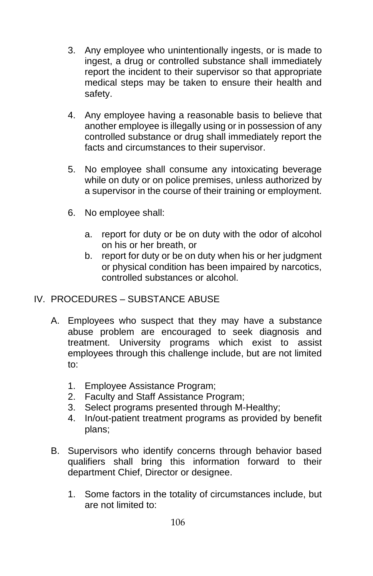- 3. Any employee who unintentionally ingests, or is made to ingest, a drug or controlled substance shall immediately report the incident to their supervisor so that appropriate medical steps may be taken to ensure their health and safety.
- 4. Any employee having a reasonable basis to believe that another employee is illegally using or in possession of any controlled substance or drug shall immediately report the facts and circumstances to their supervisor.
- 5. No employee shall consume any intoxicating beverage while on duty or on police premises, unless authorized by a supervisor in the course of their training or employment.
- 6. No employee shall:
	- a. report for duty or be on duty with the odor of alcohol on his or her breath, or
	- b. report for duty or be on duty when his or her judgment or physical condition has been impaired by narcotics, controlled substances or alcohol.
- IV. PROCEDURES SUBSTANCE ABUSE
	- A. Employees who suspect that they may have a substance abuse problem are encouraged to seek diagnosis and treatment. University programs which exist to assist employees through this challenge include, but are not limited to:
		- 1. Employee Assistance Program;
		- 2. Faculty and Staff Assistance Program;
		- 3. Select programs presented through M-Healthy;
		- 4. In/out-patient treatment programs as provided by benefit plans;
	- B. Supervisors who identify concerns through behavior based qualifiers shall bring this information forward to their department Chief, Director or designee.
		- 1. Some factors in the totality of circumstances include, but are not limited to: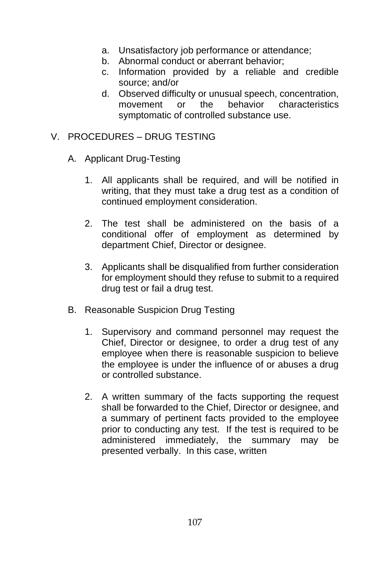- a. Unsatisfactory job performance or attendance;
- b. Abnormal conduct or aberrant behavior;
- c. Information provided by a reliable and credible source; and/or
- d. Observed difficulty or unusual speech, concentration, movement or the behavior characteristics symptomatic of controlled substance use.

## V. PROCEDURES – DRUG TESTING

- A. Applicant Drug-Testing
	- 1. All applicants shall be required, and will be notified in writing, that they must take a drug test as a condition of continued employment consideration.
	- 2. The test shall be administered on the basis of a conditional offer of employment as determined by department Chief, Director or designee.
	- 3. Applicants shall be disqualified from further consideration for employment should they refuse to submit to a required drug test or fail a drug test.
- B. Reasonable Suspicion Drug Testing
	- 1. Supervisory and command personnel may request the Chief, Director or designee, to order a drug test of any employee when there is reasonable suspicion to believe the employee is under the influence of or abuses a drug or controlled substance.
	- 2. A written summary of the facts supporting the request shall be forwarded to the Chief, Director or designee, and a summary of pertinent facts provided to the employee prior to conducting any test. If the test is required to be administered immediately, the summary may be presented verbally. In this case, written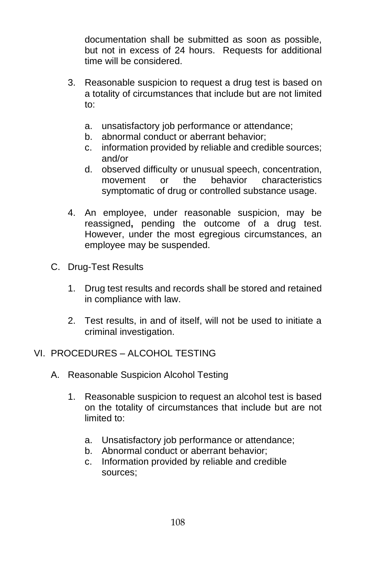documentation shall be submitted as soon as possible, but not in excess of 24 hours. Requests for additional time will be considered.

- 3. Reasonable suspicion to request a drug test is based on a totality of circumstances that include but are not limited to:
	- a. unsatisfactory job performance or attendance;
	- b. abnormal conduct or aberrant behavior;
	- c. information provided by reliable and credible sources; and/or
	- d. observed difficulty or unusual speech, concentration, movement or the behavior characteristics symptomatic of drug or controlled substance usage.
- 4. An employee, under reasonable suspicion, may be reassigned**,** pending the outcome of a drug test. However, under the most egregious circumstances, an employee may be suspended.
- C. Drug-Test Results
	- 1. Drug test results and records shall be stored and retained in compliance with law.
	- 2. Test results, in and of itself, will not be used to initiate a criminal investigation.

### VI. PROCEDURES – ALCOHOL TESTING

- A. Reasonable Suspicion Alcohol Testing
	- 1. Reasonable suspicion to request an alcohol test is based on the totality of circumstances that include but are not limited to:
		- a. Unsatisfactory job performance or attendance;
		- b. Abnormal conduct or aberrant behavior;
		- c. Information provided by reliable and credible sources;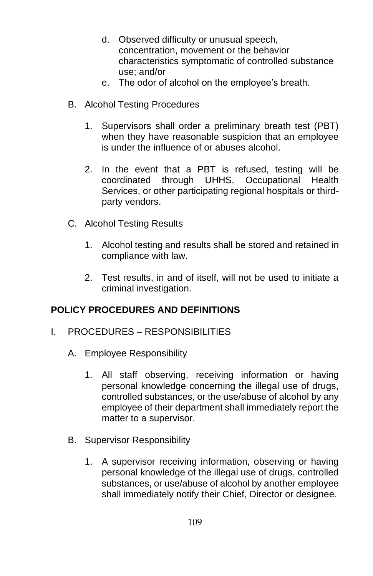- d. Observed difficulty or unusual speech, concentration, movement or the behavior characteristics symptomatic of controlled substance use; and/or
- e. The odor of alcohol on the employee's breath.
- B. Alcohol Testing Procedures
	- 1. Supervisors shall order a preliminary breath test (PBT) when they have reasonable suspicion that an employee is under the influence of or abuses alcohol.
	- 2. In the event that a PBT is refused, testing will be coordinated through UHHS, Occupational Health Services, or other participating regional hospitals or thirdparty vendors.
- C. Alcohol Testing Results
	- 1. Alcohol testing and results shall be stored and retained in compliance with law.
	- 2. Test results, in and of itself, will not be used to initiate a criminal investigation.

## **POLICY PROCEDURES AND DEFINITIONS**

- I. PROCEDURES RESPONSIBILITIES
	- A. Employee Responsibility
		- 1. All staff observing, receiving information or having personal knowledge concerning the illegal use of drugs, controlled substances, or the use/abuse of alcohol by any employee of their department shall immediately report the matter to a supervisor.
	- B. Supervisor Responsibility
		- 1. A supervisor receiving information, observing or having personal knowledge of the illegal use of drugs, controlled substances, or use/abuse of alcohol by another employee shall immediately notify their Chief, Director or designee.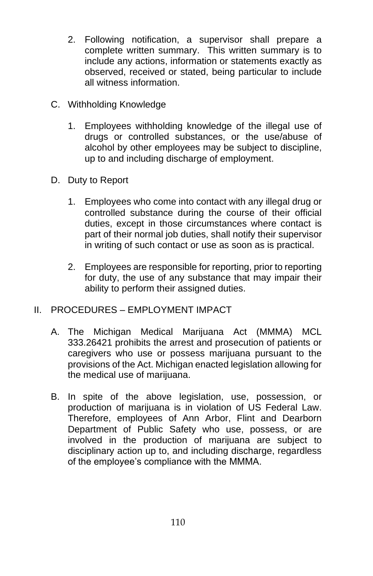- 2. Following notification, a supervisor shall prepare a complete written summary. This written summary is to include any actions, information or statements exactly as observed, received or stated, being particular to include all witness information.
- C. Withholding Knowledge
	- 1. Employees withholding knowledge of the illegal use of drugs or controlled substances, or the use/abuse of alcohol by other employees may be subject to discipline, up to and including discharge of employment.
- D. Duty to Report
	- 1. Employees who come into contact with any illegal drug or controlled substance during the course of their official duties, except in those circumstances where contact is part of their normal job duties, shall notify their supervisor in writing of such contact or use as soon as is practical.
	- 2. Employees are responsible for reporting, prior to reporting for duty, the use of any substance that may impair their ability to perform their assigned duties.
- II. PROCEDURES EMPLOYMENT IMPACT
	- A. The Michigan Medical Marijuana Act (MMMA) MCL 333.26421 prohibits the arrest and prosecution of patients or caregivers who use or possess marijuana pursuant to the provisions of the Act. Michigan enacted legislation allowing for the medical use of marijuana.
	- B. In spite of the above legislation, use, possession, or production of marijuana is in violation of US Federal Law. Therefore, employees of Ann Arbor, Flint and Dearborn Department of Public Safety who use, possess, or are involved in the production of marijuana are subject to disciplinary action up to, and including discharge, regardless of the employee's compliance with the MMMA.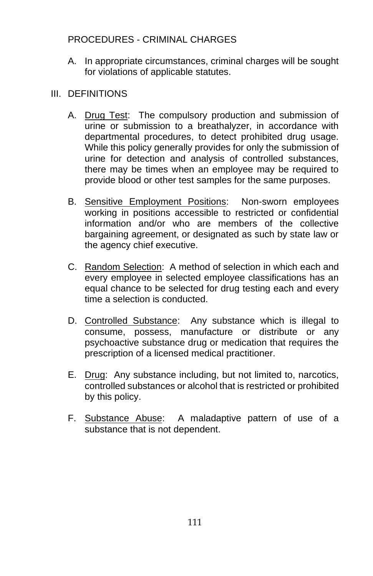## PROCEDURES - CRIMINAL CHARGES

A. In appropriate circumstances, criminal charges will be sought for violations of applicable statutes.

## III. DEFINITIONS

- A. Drug Test: The compulsory production and submission of urine or submission to a breathalyzer, in accordance with departmental procedures, to detect prohibited drug usage. While this policy generally provides for only the submission of urine for detection and analysis of controlled substances, there may be times when an employee may be required to provide blood or other test samples for the same purposes.
- B. Sensitive Employment Positions: Non-sworn employees working in positions accessible to restricted or confidential information and/or who are members of the collective bargaining agreement, or designated as such by state law or the agency chief executive.
- C. Random Selection: A method of selection in which each and every employee in selected employee classifications has an equal chance to be selected for drug testing each and every time a selection is conducted.
- D. Controlled Substance: Any substance which is illegal to consume, possess, manufacture or distribute or any psychoactive substance drug or medication that requires the prescription of a licensed medical practitioner.
- E. Drug: Any substance including, but not limited to, narcotics, controlled substances or alcohol that is restricted or prohibited by this policy.
- F. Substance Abuse: A maladaptive pattern of use of a substance that is not dependent.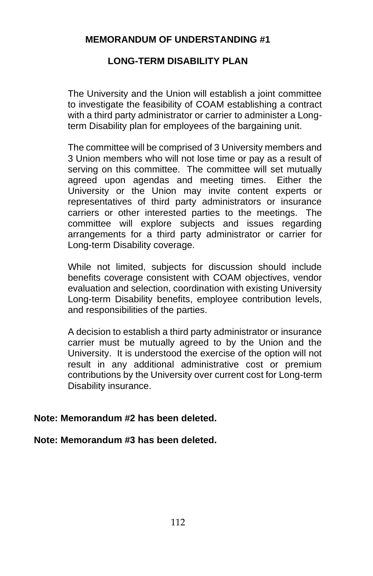### **LONG-TERM DISABILITY PLAN**

The University and the Union will establish a joint committee to investigate the feasibility of COAM establishing a contract with a third party administrator or carrier to administer a Longterm Disability plan for employees of the bargaining unit.

The committee will be comprised of 3 University members and 3 Union members who will not lose time or pay as a result of serving on this committee. The committee will set mutually agreed upon agendas and meeting times. Either the University or the Union may invite content experts or representatives of third party administrators or insurance carriers or other interested parties to the meetings. The committee will explore subjects and issues regarding arrangements for a third party administrator or carrier for Long-term Disability coverage.

While not limited, subjects for discussion should include benefits coverage consistent with COAM objectives, vendor evaluation and selection, coordination with existing University Long-term Disability benefits, employee contribution levels, and responsibilities of the parties.

A decision to establish a third party administrator or insurance carrier must be mutually agreed to by the Union and the University. It is understood the exercise of the option will not result in any additional administrative cost or premium contributions by the University over current cost for Long-term Disability insurance.

#### **Note: Memorandum #2 has been deleted.**

#### **Note: Memorandum #3 has been deleted.**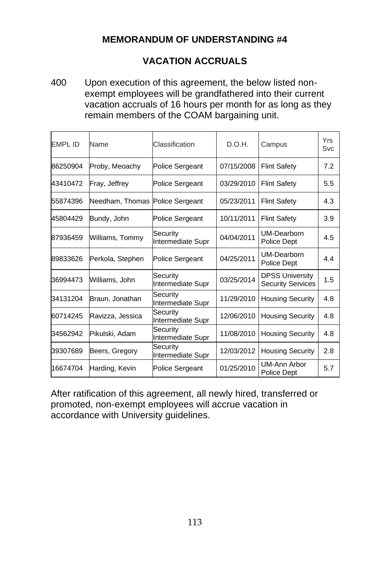## **VACATION ACCRUALS**

400 Upon execution of this agreement, the below listed nonexempt employees will be grandfathered into their current vacation accruals of 16 hours per month for as long as they remain members of the COAM bargaining unit.

| <b>FMPI ID</b> | Name             | Classification                | D.O.H.     | Campus                                             | <b>Yrs</b><br>Svc |
|----------------|------------------|-------------------------------|------------|----------------------------------------------------|-------------------|
| 86250904       | Proby, Meoachy   | Police Sergeant               | 07/15/2008 | <b>Flint Safety</b>                                | 7.2               |
| 43410472       | Fray, Jeffrey    | <b>Police Sergeant</b>        | 03/29/2010 | <b>Flint Safety</b>                                | 5.5               |
| 55874396       | Needham, Thomas  | <b>Police Sergeant</b>        | 05/23/2011 | <b>Flint Safety</b>                                | 4.3               |
| 45804429       | Bundy, John      | <b>Police Sergeant</b>        | 10/11/2011 | <b>Flint Safety</b>                                | 3.9               |
| 87936459       | Williams, Tommy  | Security<br>Intermediate Supr | 04/04/2011 | UM-Dearborn<br>Police Dept                         | 4.5               |
| 89833626       | Perkola, Stephen | <b>Police Sergeant</b>        | 04/25/2011 | UM-Dearborn<br>Police Dept                         | 4.4               |
| 36994473       | Williams, John   | Security<br>Intermediate Supr | 03/25/2014 | <b>DPSS University</b><br><b>Security Services</b> | 1.5               |
| 34131204       | Braun, Jonathan  | Security<br>Intermediate Supr | 11/29/2010 | <b>Housing Security</b>                            | 4.8               |
| 60714245       | Ravizza, Jessica | Security<br>Intermediate Supr | 12/06/2010 | <b>Housing Security</b>                            | 4.8               |
| 34562942       | Pikulski, Adam   | Security<br>Intermediate Supr | 11/08/2010 | <b>Housing Security</b>                            | 4.8               |
| 39307689       | Beers, Gregory   | Security<br>Intermediate Supr | 12/03/2012 | <b>Housing Security</b>                            | 2.8               |
| 16674704       | Harding, Kevin   | <b>Police Sergeant</b>        | 01/25/2010 | UM-Ann Arbor<br>Police Dept                        | 5.7               |

After ratification of this agreement, all newly hired, transferred or promoted, non-exempt employees will accrue vacation in accordance with University guidelines.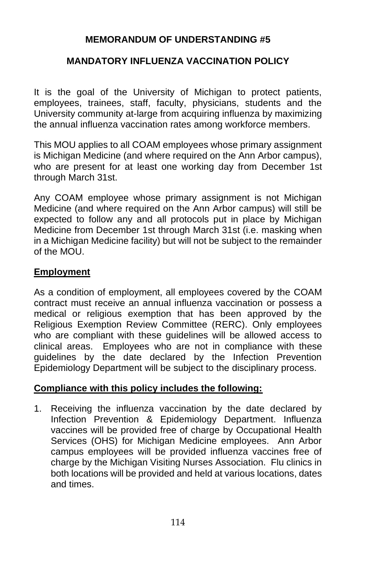### **MANDATORY INFLUENZA VACCINATION POLICY**

It is the goal of the University of Michigan to protect patients, employees, trainees, staff, faculty, physicians, students and the University community at-large from acquiring influenza by maximizing the annual influenza vaccination rates among workforce members.

This MOU applies to all COAM employees whose primary assignment is Michigan Medicine (and where required on the Ann Arbor campus), who are present for at least one working day from December 1st through March 31st.

Any COAM employee whose primary assignment is not Michigan Medicine (and where required on the Ann Arbor campus) will still be expected to follow any and all protocols put in place by Michigan Medicine from December 1st through March 31st (i.e. masking when in a Michigan Medicine facility) but will not be subject to the remainder of the MOU.

### **Employment**

As a condition of employment, all employees covered by the COAM contract must receive an annual influenza vaccination or possess a medical or religious exemption that has been approved by the Religious Exemption Review Committee (RERC). Only employees who are compliant with these guidelines will be allowed access to clinical areas. Employees who are not in compliance with these guidelines by the date declared by the Infection Prevention Epidemiology Department will be subject to the disciplinary process.

### **Compliance with this policy includes the following:**

1. Receiving the influenza vaccination by the date declared by Infection Prevention & Epidemiology Department. Influenza vaccines will be provided free of charge by Occupational Health Services (OHS) for Michigan Medicine employees. Ann Arbor campus employees will be provided influenza vaccines free of charge by the Michigan Visiting Nurses Association. Flu clinics in both locations will be provided and held at various locations, dates and times.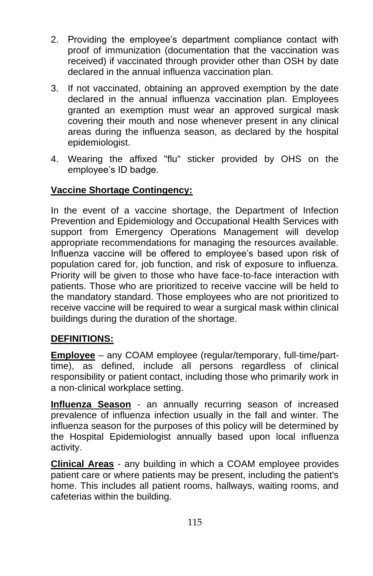- 2. Providing the employee's department compliance contact with proof of immunization (documentation that the vaccination was received) if vaccinated through provider other than OSH by date declared in the annual influenza vaccination plan.
- 3. If not vaccinated, obtaining an approved exemption by the date declared in the annual influenza vaccination plan. Employees granted an exemption must wear an approved surgical mask covering their mouth and nose whenever present in any clinical areas during the influenza season, as declared by the hospital epidemiologist.
- 4. Wearing the affixed "flu" sticker provided by OHS on the employee's ID badge.

## **Vaccine Shortage Contingency:**

In the event of a vaccine shortage, the Department of Infection Prevention and Epidemiology and Occupational Health Services with support from Emergency Operations Management will develop appropriate recommendations for managing the resources available. Influenza vaccine will be offered to employee's based upon risk of population cared for, job function, and risk of exposure to influenza. Priority will be given to those who have face-to-face interaction with patients. Those who are prioritized to receive vaccine will be held to the mandatory standard. Those employees who are not prioritized to receive vaccine will be required to wear a surgical mask within clinical buildings during the duration of the shortage.

### **DEFINITIONS:**

**Employee** – any COAM employee (regular/temporary, full-time/parttime), as defined, include all persons regardless of clinical responsibility or patient contact, including those who primarily work in a non-clinical workplace setting.

**Influenza Season** - an annually recurring season of increased prevalence of influenza infection usually in the fall and winter. The influenza season for the purposes of this policy will be determined by the Hospital Epidemiologist annually based upon local influenza activity.

**Clinical Areas** - any building in which a COAM employee provides patient care or where patients may be present, including the patient's home. This includes all patient rooms, hallways, waiting rooms, and cafeterias within the building.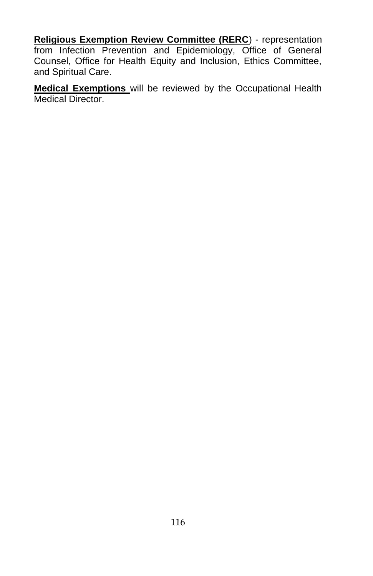**Religious Exemption Review Committee (RERC**) - representation from Infection Prevention and Epidemiology, Office of General Counsel, Office for Health Equity and Inclusion, Ethics Committee, and Spiritual Care.

**Medical Exemptions** will be reviewed by the Occupational Health Medical Director.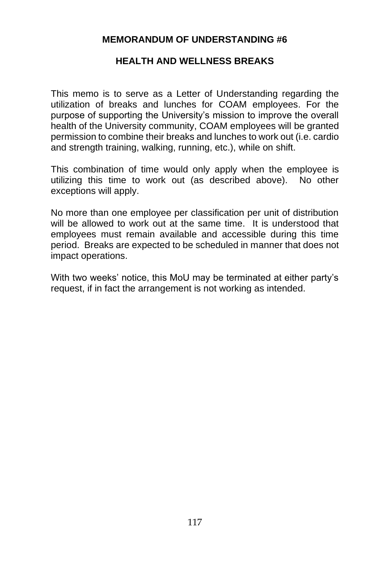#### **HEALTH AND WELLNESS BREAKS**

This memo is to serve as a Letter of Understanding regarding the utilization of breaks and lunches for COAM employees. For the purpose of supporting the University's mission to improve the overall health of the University community, COAM employees will be granted permission to combine their breaks and lunches to work out (i.e. cardio and strength training, walking, running, etc.), while on shift.

This combination of time would only apply when the employee is utilizing this time to work out (as described above). No other exceptions will apply.

No more than one employee per classification per unit of distribution will be allowed to work out at the same time. It is understood that employees must remain available and accessible during this time period. Breaks are expected to be scheduled in manner that does not impact operations.

With two weeks' notice, this MoU may be terminated at either party's request, if in fact the arrangement is not working as intended.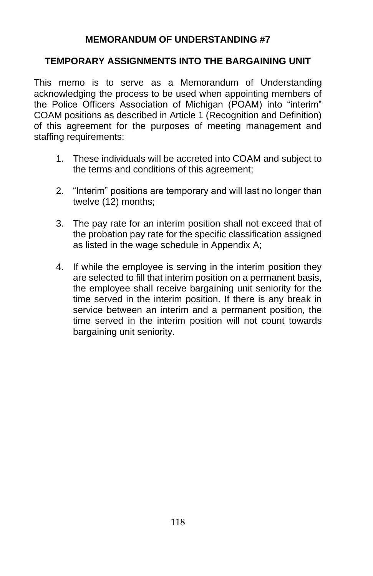### **TEMPORARY ASSIGNMENTS INTO THE BARGAINING UNIT**

This memo is to serve as a Memorandum of Understanding acknowledging the process to be used when appointing members of the Police Officers Association of Michigan (POAM) into "interim" COAM positions as described in Article 1 (Recognition and Definition) of this agreement for the purposes of meeting management and staffing requirements:

- 1. These individuals will be accreted into COAM and subject to the terms and conditions of this agreement;
- 2. "Interim" positions are temporary and will last no longer than twelve (12) months;
- 3. The pay rate for an interim position shall not exceed that of the probation pay rate for the specific classification assigned as listed in the wage schedule in Appendix A;
- 4. If while the employee is serving in the interim position they are selected to fill that interim position on a permanent basis, the employee shall receive bargaining unit seniority for the time served in the interim position. If there is any break in service between an interim and a permanent position, the time served in the interim position will not count towards bargaining unit seniority.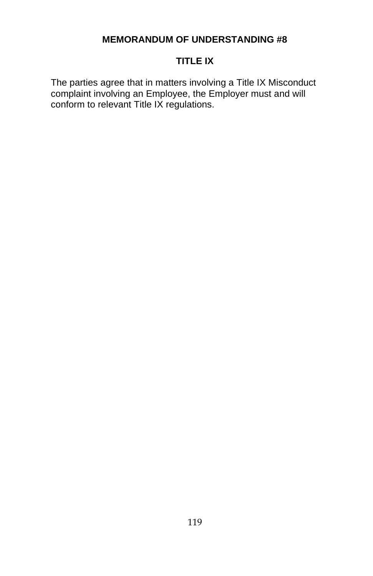### **TITLE IX**

The parties agree that in matters involving a Title IX Misconduct complaint involving an Employee, the Employer must and will conform to relevant Title IX regulations.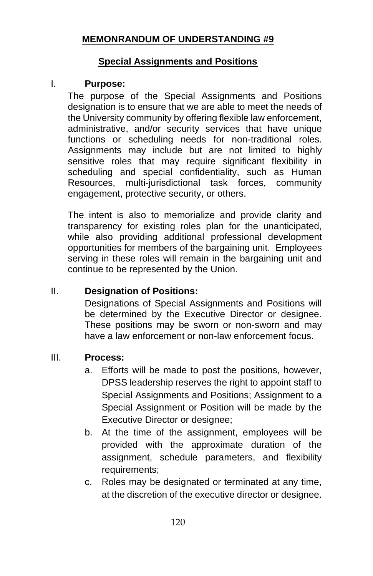### **Special Assignments and Positions**

#### I. **Purpose:**

The purpose of the Special Assignments and Positions designation is to ensure that we are able to meet the needs of the University community by offering flexible law enforcement, administrative, and/or security services that have unique functions or scheduling needs for non-traditional roles. Assignments may include but are not limited to highly sensitive roles that may require significant flexibility in scheduling and special confidentiality, such as Human Resources, multi-jurisdictional task forces, community engagement, protective security, or others.

The intent is also to memorialize and provide clarity and transparency for existing roles plan for the unanticipated, while also providing additional professional development opportunities for members of the bargaining unit. Employees serving in these roles will remain in the bargaining unit and continue to be represented by the Union.

# II. **Designation of Positions:**

Designations of Special Assignments and Positions will be determined by the Executive Director or designee. These positions may be sworn or non-sworn and may have a law enforcement or non-law enforcement focus.

#### III. **Process:**

- a. Efforts will be made to post the positions, however, DPSS leadership reserves the right to appoint staff to Special Assignments and Positions; Assignment to a Special Assignment or Position will be made by the Executive Director or designee;
- b. At the time of the assignment, employees will be provided with the approximate duration of the assignment, schedule parameters, and flexibility requirements;
- c. Roles may be designated or terminated at any time, at the discretion of the executive director or designee.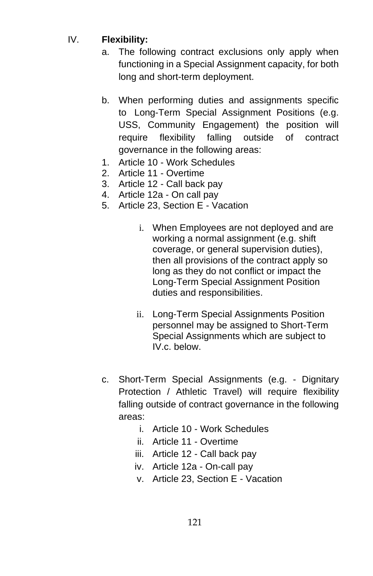# IV. **Flexibility:**

- a. The following contract exclusions only apply when functioning in a Special Assignment capacity, for both long and short-term deployment.
- b. When performing duties and assignments specific to Long-Term Special Assignment Positions (e.g. USS, Community Engagement) the position will require flexibility falling outside of contract governance in the following areas:
- 1. Article 10 Work Schedules
- 2. Article 11 Overtime
- 3. Article 12 Call back pay
- 4. Article 12a On call pay
- 5. Article 23, Section E Vacation
	- i. When Employees are not deployed and are working a normal assignment (e.g. shift coverage, or general supervision duties), then all provisions of the contract apply so long as they do not conflict or impact the Long-Term Special Assignment Position duties and responsibilities.
	- ii. Long-Term Special Assignments Position personnel may be assigned to Short-Term Special Assignments which are subject to IV.c. below.
- c. Short-Term Special Assignments (e.g. Dignitary Protection / Athletic Travel) will require flexibility falling outside of contract governance in the following areas:
	- i. Article 10 Work Schedules
	- ii. Article 11 Overtime
	- iii. Article 12 Call back pay
	- iv. Article 12a On-call pay
	- v. Article 23, Section E Vacation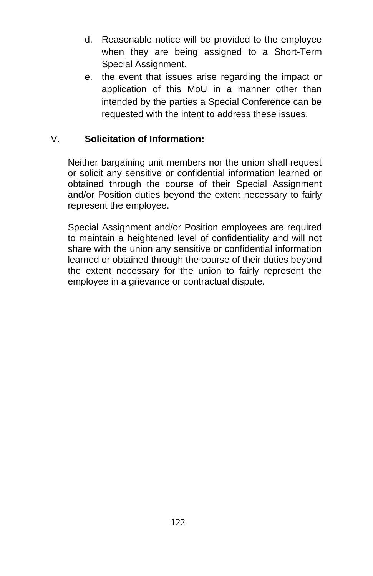- d. Reasonable notice will be provided to the employee when they are being assigned to a Short-Term Special Assignment.
- e. the event that issues arise regarding the impact or application of this MoU in a manner other than intended by the parties a Special Conference can be requested with the intent to address these issues.

### V. **Solicitation of Information:**

Neither bargaining unit members nor the union shall request or solicit any sensitive or confidential information learned or obtained through the course of their Special Assignment and/or Position duties beyond the extent necessary to fairly represent the employee.

Special Assignment and/or Position employees are required to maintain a heightened level of confidentiality and will not share with the union any sensitive or confidential information learned or obtained through the course of their duties beyond the extent necessary for the union to fairly represent the employee in a grievance or contractual dispute.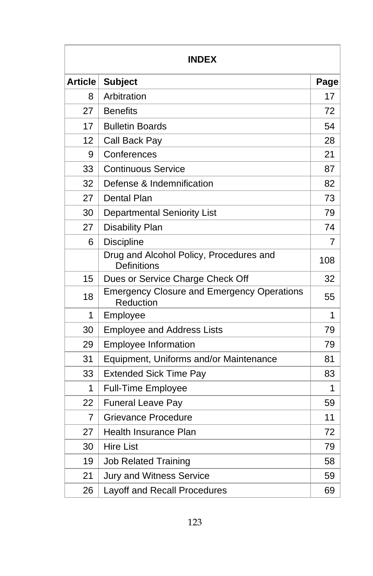| <b>INDEX</b>   |                                                                |                |
|----------------|----------------------------------------------------------------|----------------|
| <b>Article</b> | <b>Subject</b>                                                 |                |
| 8              | Arbitration                                                    | 17             |
| 27             | <b>Benefits</b>                                                | 72             |
| 17             | <b>Bulletin Boards</b>                                         | 54             |
| 12             | Call Back Pay                                                  | 28             |
| 9              | Conferences                                                    | 21             |
| 33             | <b>Continuous Service</b>                                      | 87             |
| 32             | Defense & Indemnification                                      | 82             |
| 27             | Dental Plan                                                    | 73             |
| 30             | <b>Departmental Seniority List</b>                             | 79             |
| 27             | <b>Disability Plan</b>                                         | 74             |
| 6              | <b>Discipline</b>                                              | $\overline{7}$ |
|                | Drug and Alcohol Policy, Procedures and<br>Definitions         | 108            |
| 15             | Dues or Service Charge Check Off                               | 32             |
| 18             | <b>Emergency Closure and Emergency Operations</b><br>Reduction | 55             |
| 1              | Employee                                                       | 1              |
| 30             | <b>Employee and Address Lists</b>                              | 79             |
| 29             | <b>Employee Information</b>                                    | 79             |
| 31             | Equipment, Uniforms and/or Maintenance                         | 81             |
| 33             | <b>Extended Sick Time Pay</b>                                  | 83             |
| 1              | <b>Full-Time Employee</b>                                      | 1              |
| 22             | <b>Funeral Leave Pay</b>                                       | 59             |
| 7              | Grievance Procedure                                            | 11             |
| 27             | <b>Health Insurance Plan</b>                                   | 72             |
| 30             | <b>Hire List</b>                                               | 79             |
| 19             | <b>Job Related Training</b>                                    | 58             |
| 21             | <b>Jury and Witness Service</b>                                | 59             |
| 26             | Layoff and Recall Procedures                                   | 69             |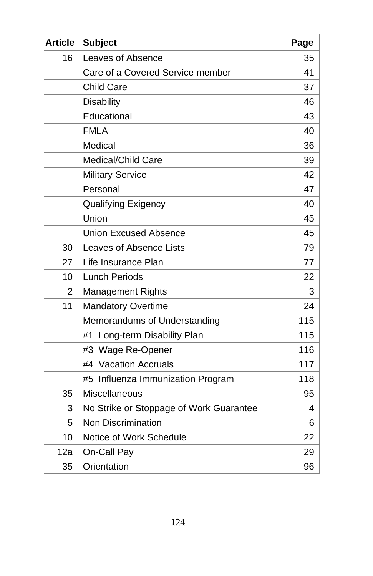| <b>Article</b> | <b>Subject</b>                          | Page |
|----------------|-----------------------------------------|------|
| 16             | Leaves of Absence                       | 35   |
|                | Care of a Covered Service member        | 41   |
|                | <b>Child Care</b>                       | 37   |
|                | <b>Disability</b>                       | 46   |
|                | Educational                             | 43   |
|                | <b>FMLA</b>                             | 40   |
|                | Medical                                 | 36   |
|                | Medical/Child Care                      | 39   |
|                | <b>Military Service</b>                 | 42   |
|                | Personal                                | 47   |
|                | Qualifying Exigency                     | 40   |
|                | Union                                   | 45   |
|                | <b>Union Excused Absence</b>            | 45   |
| 30             | <b>Leaves of Absence Lists</b>          | 79   |
| 27             | Life Insurance Plan                     | 77   |
| 10             | <b>Lunch Periods</b>                    | 22   |
| $\mathbf{2}$   | <b>Management Rights</b>                | 3    |
| 11             | <b>Mandatory Overtime</b>               | 24   |
|                | Memorandums of Understanding            | 115  |
|                | Long-term Disability Plan<br>#1         | 115  |
|                | #3 Wage Re-Opener                       | 116  |
|                | #4 Vacation Accruals                    | 117  |
|                | #5 Influenza Immunization Program       | 118  |
| 35             | Miscellaneous                           | 95   |
| 3              | No Strike or Stoppage of Work Guarantee | 4    |
| 5              | <b>Non Discrimination</b>               | 6    |
| 10             | Notice of Work Schedule                 | 22   |
| 12a            | On-Call Pay                             | 29   |
| 35             | Orientation                             | 96   |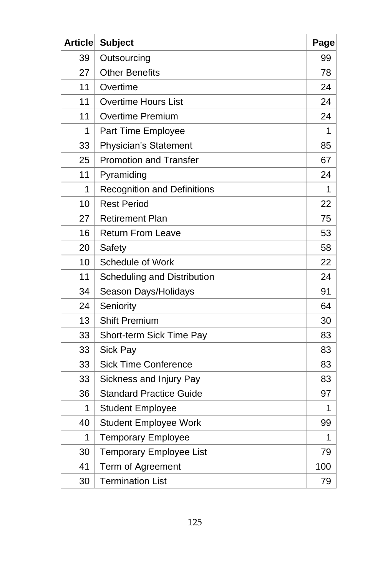| Article | <b>Subject</b>                     | Page |
|---------|------------------------------------|------|
| 39      | Outsourcing                        | 99   |
| 27      | <b>Other Benefits</b>              | 78   |
| 11      | Overtime                           | 24   |
| 11      | <b>Overtime Hours List</b>         | 24   |
| 11      | <b>Overtime Premium</b>            | 24   |
| 1       | Part Time Employee                 | 1    |
| 33      | Physician's Statement              | 85   |
| 25      | Promotion and Transfer             | 67   |
| 11      | Pyramiding                         | 24   |
| 1       | <b>Recognition and Definitions</b> | 1    |
| 10      | <b>Rest Period</b>                 | 22   |
| 27      | <b>Retirement Plan</b>             | 75   |
| 16      | <b>Return From Leave</b>           | 53   |
| 20      | Safety                             | 58   |
| 10      | Schedule of Work                   | 22   |
| 11      | Scheduling and Distribution        | 24   |
| 34      | Season Days/Holidays               | 91   |
| 24      | Seniority                          | 64   |
| 13      | <b>Shift Premium</b>               | 30   |
| 33      | Short-term Sick Time Pay           | 83   |
| 33      | Sick Pay                           | 83   |
| 33      | <b>Sick Time Conference</b>        | 83   |
| 33      | Sickness and Injury Pay            | 83   |
| 36      | <b>Standard Practice Guide</b>     | 97   |
| 1       | <b>Student Employee</b>            | 1    |
| 40      | <b>Student Employee Work</b>       | 99   |
| 1       | <b>Temporary Employee</b>          | 1    |
| 30      | Temporary Employee List            | 79   |
| 41      | Term of Agreement                  | 100  |
| 30      | <b>Termination List</b>            | 79   |